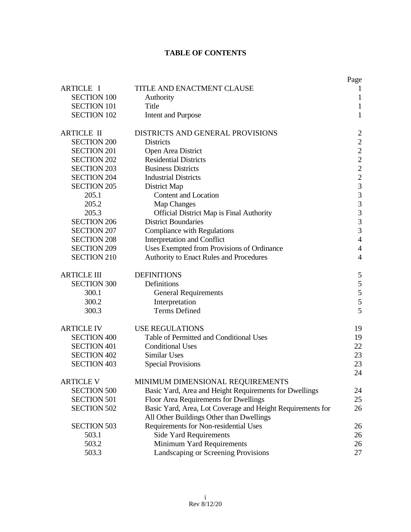# **TABLE OF CONTENTS**

|                    |                                                            | Page                                            |
|--------------------|------------------------------------------------------------|-------------------------------------------------|
| <b>ARTICLE I</b>   | TITLE AND ENACTMENT CLAUSE                                 | 1                                               |
| <b>SECTION 100</b> | Authority                                                  | $\mathbf{1}$                                    |
| <b>SECTION 101</b> | Title                                                      | $\mathbf{1}$                                    |
| <b>SECTION 102</b> | <b>Intent and Purpose</b>                                  | $\mathbf{1}$                                    |
| <b>ARTICLE II</b>  | DISTRICTS AND GENERAL PROVISIONS                           |                                                 |
| <b>SECTION 200</b> | <b>Districts</b>                                           | $\frac{2}{2}$<br>$\frac{2}{2}$                  |
| <b>SECTION 201</b> | Open Area District                                         |                                                 |
| <b>SECTION 202</b> | <b>Residential Districts</b>                               |                                                 |
| <b>SECTION 203</b> | <b>Business Districts</b>                                  |                                                 |
| <b>SECTION 204</b> | <b>Industrial Districts</b>                                | $\begin{array}{c} 2 \\ 3 \\ 3 \\ 3 \end{array}$ |
| <b>SECTION 205</b> | District Map                                               |                                                 |
| 205.1              | Content and Location                                       |                                                 |
| 205.2              | Map Changes                                                |                                                 |
| 205.3              | <b>Official District Map is Final Authority</b>            | $\overline{3}$                                  |
| <b>SECTION 206</b> | <b>District Boundaries</b>                                 | $\frac{3}{3}$                                   |
| <b>SECTION 207</b> | Compliance with Regulations                                |                                                 |
| <b>SECTION 208</b> | Interpretation and Conflict                                | $\overline{4}$                                  |
| <b>SECTION 209</b> | Uses Exempted from Provisions of Ordinance                 | $\overline{4}$                                  |
| <b>SECTION 210</b> | Authority to Enact Rules and Procedures                    | $\overline{4}$                                  |
| <b>ARTICLE III</b> | <b>DEFINITIONS</b>                                         | 5                                               |
| <b>SECTION 300</b> | Definitions                                                | 5                                               |
| 300.1              | <b>General Requirements</b>                                | 5                                               |
| 300.2              | Interpretation                                             | 5                                               |
| 300.3              | <b>Terms Defined</b>                                       | 5                                               |
| <b>ARTICLE IV</b>  | <b>USE REGULATIONS</b>                                     | 19                                              |
| <b>SECTION 400</b> | Table of Permitted and Conditional Uses                    | 19                                              |
| <b>SECTION 401</b> | <b>Conditional Uses</b>                                    | 22                                              |
| <b>SECTION 402</b> | <b>Similar Uses</b>                                        | 23                                              |
| <b>SECTION 403</b> | <b>Special Provisions</b>                                  | 23                                              |
|                    |                                                            | 24                                              |
| <b>ARTICLE V</b>   | MINIMUM DIMENSIONAL REQUIREMENTS                           |                                                 |
| <b>SECTION 500</b> | Basic Yard, Area and Height Requirements for Dwellings     | 24                                              |
| <b>SECTION 501</b> | Floor Area Requirements for Dwellings                      | 25                                              |
| <b>SECTION 502</b> | Basic Yard, Area, Lot Coverage and Height Requirements for | 26                                              |
|                    | All Other Buildings Other than Dwellings                   |                                                 |
| <b>SECTION 503</b> | Requirements for Non-residential Uses                      | 26                                              |
| 503.1              | <b>Side Yard Requirements</b>                              | 26                                              |
| 503.2              | Minimum Yard Requirements                                  | 26                                              |
| 503.3              | Landscaping or Screening Provisions                        | 27                                              |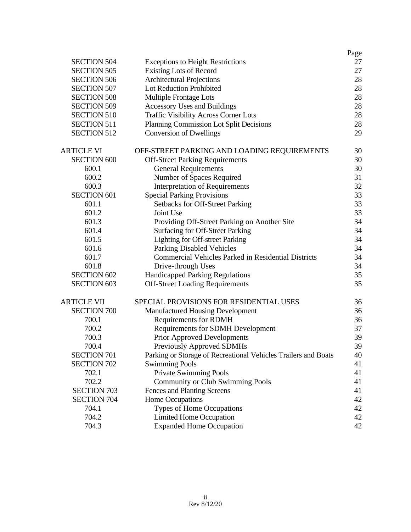|                    |                                                                | Page |
|--------------------|----------------------------------------------------------------|------|
| <b>SECTION 504</b> | <b>Exceptions to Height Restrictions</b>                       | 27   |
| <b>SECTION 505</b> | <b>Existing Lots of Record</b>                                 | 27   |
| <b>SECTION 506</b> | <b>Architectural Projections</b>                               | 28   |
| <b>SECTION 507</b> | Lot Reduction Prohibited                                       | 28   |
| <b>SECTION 508</b> | Multiple Frontage Lots                                         | 28   |
| <b>SECTION 509</b> | <b>Accessory Uses and Buildings</b>                            | 28   |
| <b>SECTION 510</b> | <b>Traffic Visibility Across Corner Lots</b>                   | 28   |
| <b>SECTION 511</b> | Planning Commission Lot Split Decisions                        | 28   |
| <b>SECTION 512</b> | <b>Conversion of Dwellings</b>                                 | 29   |
| ARTICLE VI         | OFF-STREET PARKING AND LOADING REQUIREMENTS                    | 30   |
| <b>SECTION 600</b> | <b>Off-Street Parking Requirements</b>                         | 30   |
| 600.1              | <b>General Requirements</b>                                    | 30   |
| 600.2              | Number of Spaces Required                                      | 31   |
| 600.3              | <b>Interpretation of Requirements</b>                          | 32   |
| <b>SECTION 601</b> | <b>Special Parking Provisions</b>                              | 33   |
| 601.1              | <b>Setbacks for Off-Street Parking</b>                         | 33   |
| 601.2              | Joint Use                                                      | 33   |
| 601.3              | Providing Off-Street Parking on Another Site                   | 34   |
| 601.4              | <b>Surfacing for Off-Street Parking</b>                        | 34   |
| 601.5              | Lighting for Off-street Parking                                | 34   |
| 601.6              | <b>Parking Disabled Vehicles</b>                               | 34   |
| 601.7              | <b>Commercial Vehicles Parked in Residential Districts</b>     | 34   |
| 601.8              | Drive-through Uses                                             | 34   |
| <b>SECTION 602</b> | <b>Handicapped Parking Regulations</b>                         | 35   |
| <b>SECTION 603</b> | <b>Off-Street Loading Requirements</b>                         | 35   |
| ARTICLE VII        | SPECIAL PROVISIONS FOR RESIDENTIAL USES                        | 36   |
| <b>SECTION 700</b> | <b>Manufactured Housing Development</b>                        | 36   |
| 700.1              | <b>Requirements for RDMH</b>                                   | 36   |
| 700.2              | <b>Requirements for SDMH Development</b>                       | 37   |
| 700.3              | <b>Prior Approved Developments</b>                             | 39   |
| 700.4              | <b>Previously Approved SDMHs</b>                               | 39   |
| <b>SECTION 701</b> | Parking or Storage of Recreational Vehicles Trailers and Boats | 40   |
| <b>SECTION 702</b> | <b>Swimming Pools</b>                                          | 41   |
| 702.1              | <b>Private Swimming Pools</b>                                  | 41   |
| 702.2              | <b>Community or Club Swimming Pools</b>                        | 41   |
| <b>SECTION 703</b> | Fences and Planting Screens                                    | 41   |
| <b>SECTION 704</b> | Home Occupations                                               | 42   |
| 704.1              | Types of Home Occupations                                      | 42   |
| 704.2              | <b>Limited Home Occupation</b>                                 | 42   |
| 704.3              | <b>Expanded Home Occupation</b>                                | 42   |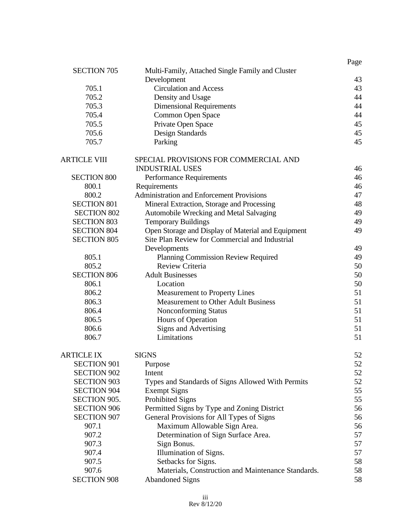|                     |                                                    | Page |
|---------------------|----------------------------------------------------|------|
| <b>SECTION 705</b>  | Multi-Family, Attached Single Family and Cluster   |      |
|                     | Development                                        | 43   |
| 705.1               | <b>Circulation and Access</b>                      | 43   |
| 705.2               | Density and Usage                                  | 44   |
| 705.3               | <b>Dimensional Requirements</b>                    | 44   |
| 705.4               | Common Open Space                                  | 44   |
| 705.5               | Private Open Space                                 | 45   |
| 705.6               | Design Standards                                   | 45   |
| 705.7               | Parking                                            | 45   |
| <b>ARTICLE VIII</b> | SPECIAL PROVISIONS FOR COMMERCIAL AND              |      |
|                     | <b>INDUSTRIAL USES</b>                             | 46   |
| <b>SECTION 800</b>  | <b>Performance Requirements</b>                    | 46   |
| 800.1               | Requirements                                       | 46   |
| 800.2               | <b>Administration and Enforcement Provisions</b>   | 47   |
| <b>SECTION 801</b>  | Mineral Extraction, Storage and Processing         | 48   |
| <b>SECTION 802</b>  | Automobile Wrecking and Metal Salvaging            | 49   |
| <b>SECTION 803</b>  | <b>Temporary Buildings</b>                         | 49   |
| <b>SECTION 804</b>  | Open Storage and Display of Material and Equipment | 49   |
| <b>SECTION 805</b>  | Site Plan Review for Commercial and Industrial     |      |
|                     | Developments                                       | 49   |
| 805.1               | Planning Commission Review Required                | 49   |
| 805.2               | Review Criteria                                    | 50   |
| <b>SECTION 806</b>  | <b>Adult Businesses</b>                            | 50   |
| 806.1               | Location                                           | 50   |
| 806.2               | <b>Measurement to Property Lines</b>               | 51   |
| 806.3               | <b>Measurement to Other Adult Business</b>         | 51   |
| 806.4               | Nonconforming Status                               | 51   |
| 806.5               | Hours of Operation                                 | 51   |
| 806.6               | <b>Signs and Advertising</b>                       | 51   |
| 806.7               | Limitations                                        | 51   |
| <b>ARTICLE IX</b>   | <b>SIGNS</b>                                       | 52   |
| <b>SECTION 901</b>  | Purpose                                            | 52   |
| <b>SECTION 902</b>  | Intent                                             | 52   |
| <b>SECTION 903</b>  | Types and Standards of Signs Allowed With Permits  | 52   |
| <b>SECTION 904</b>  | <b>Exempt Signs</b>                                | 55   |
| SECTION 905.        | <b>Prohibited Signs</b>                            | 55   |
| <b>SECTION 906</b>  | Permitted Signs by Type and Zoning District        | 56   |
| <b>SECTION 907</b>  | General Provisions for All Types of Signs          | 56   |
| 907.1               | Maximum Allowable Sign Area.                       | 56   |
| 907.2               | Determination of Sign Surface Area.                | 57   |
| 907.3               | Sign Bonus.                                        | 57   |
| 907.4               | Illumination of Signs.                             | 57   |
| 907.5               | Setbacks for Signs.                                | 58   |
| 907.6               | Materials, Construction and Maintenance Standards. | 58   |
| <b>SECTION 908</b>  | <b>Abandoned Signs</b>                             | 58   |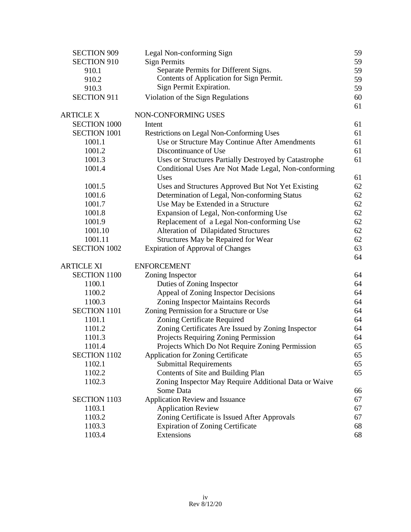| <b>SECTION 909</b>  | Legal Non-conforming Sign                             | 59 |
|---------------------|-------------------------------------------------------|----|
| <b>SECTION 910</b>  | <b>Sign Permits</b>                                   | 59 |
| 910.1               | Separate Permits for Different Signs.                 | 59 |
| 910.2               | Contents of Application for Sign Permit.              | 59 |
| 910.3               | Sign Permit Expiration.                               | 59 |
| <b>SECTION 911</b>  | Violation of the Sign Regulations                     | 60 |
|                     |                                                       | 61 |
| <b>ARTICLE X</b>    | NON-CONFORMING USES                                   |    |
| <b>SECTION 1000</b> | Intent                                                | 61 |
| <b>SECTION 1001</b> | <b>Restrictions on Legal Non-Conforming Uses</b>      | 61 |
| 1001.1              | Use or Structure May Continue After Amendments        | 61 |
| 1001.2              | Discontinuance of Use                                 | 61 |
| 1001.3              | Uses or Structures Partially Destroyed by Catastrophe | 61 |
| 1001.4              | Conditional Uses Are Not Made Legal, Non-conforming   |    |
|                     | Uses                                                  | 61 |
| 1001.5              | Uses and Structures Approved But Not Yet Existing     | 62 |
| 1001.6              | Determination of Legal, Non-conforming Status         | 62 |
| 1001.7              | Use May be Extended in a Structure                    | 62 |
| 1001.8              | Expansion of Legal, Non-conforming Use                | 62 |
| 1001.9              | Replacement of a Legal Non-conforming Use             | 62 |
| 1001.10             | <b>Alteration of Dilapidated Structures</b>           | 62 |
| 1001.11             | Structures May be Repaired for Wear                   | 62 |
| <b>SECTION 1002</b> | <b>Expiration of Approval of Changes</b>              | 63 |
|                     |                                                       | 64 |
| ARTICLE XI          | <b>ENFORCEMENT</b>                                    |    |
| <b>SECTION 1100</b> | Zoning Inspector                                      | 64 |
| 1100.1              | Duties of Zoning Inspector                            | 64 |
| 1100.2              | Appeal of Zoning Inspector Decisions                  | 64 |
| 1100.3              | <b>Zoning Inspector Maintains Records</b>             | 64 |
| <b>SECTION 1101</b> | Zoning Permission for a Structure or Use              | 64 |
| 1101.1              | Zoning Certificate Required                           | 64 |
| 1101.2              | Zoning Certificates Are Issued by Zoning Inspector    | 64 |
| 1101.3              | Projects Requiring Zoning Permission                  | 64 |
| 1101.4              | Projects Which Do Not Require Zoning Permission       | 65 |
| <b>SECTION 1102</b> | <b>Application for Zoning Certificate</b>             | 65 |
| 1102.1              | <b>Submittal Requirements</b>                         | 65 |
| 1102.2              | Contents of Site and Building Plan                    | 65 |
| 1102.3              | Zoning Inspector May Require Additional Data or Waive |    |
|                     | Some Data                                             | 66 |
| <b>SECTION 1103</b> | <b>Application Review and Issuance</b>                | 67 |
| 1103.1              | <b>Application Review</b>                             | 67 |
| 1103.2              | Zoning Certificate is Issued After Approvals          | 67 |
| 1103.3              | <b>Expiration of Zoning Certificate</b>               | 68 |
| 1103.4              | Extensions                                            | 68 |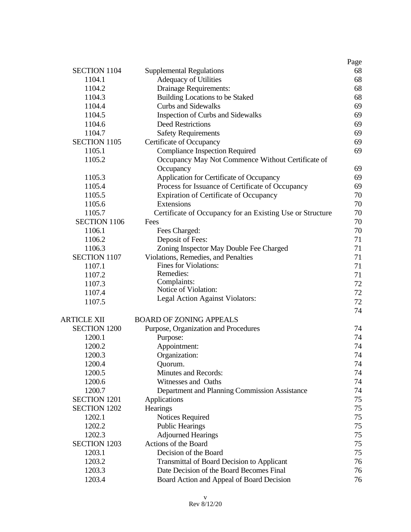|                     |                                                           | Page |
|---------------------|-----------------------------------------------------------|------|
| <b>SECTION 1104</b> | <b>Supplemental Regulations</b>                           | 68   |
| 1104.1              | <b>Adequacy of Utilities</b>                              | 68   |
| 1104.2              | Drainage Requirements:                                    | 68   |
| 1104.3              | Building Locations to be Staked                           | 68   |
| 1104.4              | <b>Curbs and Sidewalks</b>                                | 69   |
| 1104.5              | Inspection of Curbs and Sidewalks                         | 69   |
| 1104.6              | <b>Deed Restrictions</b>                                  | 69   |
| 1104.7              | <b>Safety Requirements</b>                                | 69   |
| <b>SECTION 1105</b> | Certificate of Occupancy                                  | 69   |
| 1105.1              | <b>Compliance Inspection Required</b>                     | 69   |
| 1105.2              | Occupancy May Not Commence Without Certificate of         |      |
|                     | Occupancy                                                 | 69   |
| 1105.3              | Application for Certificate of Occupancy                  | 69   |
| 1105.4              | Process for Issuance of Certificate of Occupancy          | 69   |
| 1105.5              | <b>Expiration of Certificate of Occupancy</b>             | 70   |
| 1105.6              | Extensions                                                | 70   |
| 1105.7              | Certificate of Occupancy for an Existing Use or Structure | 70   |
| <b>SECTION 1106</b> | Fees                                                      | 70   |
| 1106.1              | Fees Charged:                                             | 70   |
| 1106.2              | Deposit of Fees:                                          | 71   |
| 1106.3              | Zoning Inspector May Double Fee Charged                   | 71   |
| <b>SECTION 1107</b> | Violations, Remedies, and Penalties                       | 71   |
| 1107.1              | Fines for Violations:                                     | 71   |
| 1107.2              | Remedies:                                                 | 71   |
| 1107.3              | Complaints:                                               | 72   |
| 1107.4              | Notice of Violation:                                      | 72   |
| 1107.5              | Legal Action Against Violators:                           | 72   |
|                     |                                                           | 74   |
| <b>ARTICLE XII</b>  | <b>BOARD OF ZONING APPEALS</b>                            |      |
| <b>SECTION 1200</b> | Purpose, Organization and Procedures                      | 74   |
| 1200.1              | Purpose:                                                  | 74   |
| 1200.2              | Appointment:                                              | 74   |
| 1200.3              | Organization:                                             | 74   |
| 1200.4              | Quorum.                                                   | 74   |
| 1200.5              | Minutes and Records:                                      | 74   |
| 1200.6              | Witnesses and Oaths                                       | 74   |
| 1200.7              | Department and Planning Commission Assistance             | 74   |
| <b>SECTION 1201</b> | Applications                                              | 75   |
| <b>SECTION 1202</b> | Hearings                                                  | 75   |
| 1202.1              | Notices Required                                          | 75   |
| 1202.2              | <b>Public Hearings</b>                                    | 75   |
| 1202.3              | <b>Adjourned Hearings</b>                                 | 75   |
| <b>SECTION 1203</b> | Actions of the Board                                      | 75   |
| 1203.1              | Decision of the Board                                     | 75   |
| 1203.2              | <b>Transmittal of Board Decision to Applicant</b>         | 76   |
| 1203.3              | Date Decision of the Board Becomes Final                  | 76   |
| 1203.4              | Board Action and Appeal of Board Decision                 | 76   |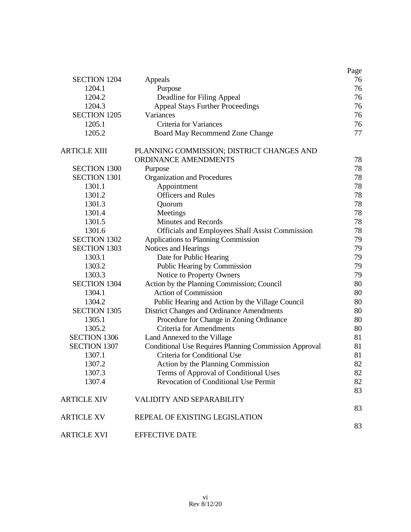|                     |                                                              | Page |
|---------------------|--------------------------------------------------------------|------|
| <b>SECTION 1204</b> | Appeals                                                      | 76   |
| 1204.1              | Purpose                                                      | 76   |
| 1204.2              | Deadline for Filing Appeal                                   | 76   |
| 1204.3              | <b>Appeal Stays Further Proceedings</b>                      | 76   |
| <b>SECTION 1205</b> | Variances                                                    | 76   |
| 1205.1              | <b>Criteria for Variances</b>                                | 76   |
| 1205.2              | <b>Board May Recommend Zone Change</b>                       | 77   |
| ARTICLE XIII        | PLANNING COMMISSION; DISTRICT CHANGES AND                    |      |
|                     | ORDINANCE AMENDMENTS                                         | 78   |
| <b>SECTION 1300</b> | Purpose                                                      | 78   |
| <b>SECTION 1301</b> | Organization and Procedures                                  | 78   |
| 1301.1              | Appointment                                                  | 78   |
| 1301.2              | <b>Officers and Rules</b>                                    | 78   |
| 1301.3              | Quorum                                                       | 78   |
| 1301.4              | Meetings                                                     | 78   |
| 1301.5              | <b>Minutes and Records</b>                                   | 78   |
| 1301.6              | Officials and Employees Shall Assist Commission              | 78   |
| <b>SECTION 1302</b> | Applications to Planning Commission                          | 79   |
| <b>SECTION 1303</b> | Notices and Hearings                                         | 79   |
| 1303.1              | Date for Public Hearing                                      | 79   |
| 1303.2              | Public Hearing by Commission                                 | 79   |
| 1303.3              | Notice to Property Owners                                    | 79   |
| <b>SECTION 1304</b> | Action by the Planning Commission; Council                   | 80   |
| 1304.1              | <b>Action of Commission</b>                                  | 80   |
| 1304.2              | Public Hearing and Action by the Village Council             | 80   |
| <b>SECTION 1305</b> | District Changes and Ordinance Amendments                    | 80   |
| 1305.1              | Procedure for Change in Zoning Ordinance                     | 80   |
| 1305.2              | <b>Criteria for Amendments</b>                               | 80   |
| <b>SECTION 1306</b> | Land Annexed to the Village                                  | 81   |
| <b>SECTION 1307</b> | <b>Conditional Use Requires Planning Commission Approval</b> | 81   |
| 1307.1              | Criteria for Conditional Use                                 | 81   |
| 1307.2              | Action by the Planning Commission                            | 82   |
| 1307.3              | Terms of Approval of Conditional Uses                        | 82   |
| 1307.4              | <b>Revocation of Conditional Use Permit</b>                  | 82   |
|                     |                                                              | 83   |
| <b>ARTICLE XIV</b>  | <b>VALIDITY AND SEPARABILITY</b>                             |      |
|                     |                                                              | 83   |
| <b>ARTICLE XV</b>   | REPEAL OF EXISTING LEGISLATION                               |      |
|                     |                                                              | 83   |
| <b>ARTICLE XVI</b>  | <b>EFFECTIVE DATE</b>                                        |      |
|                     |                                                              |      |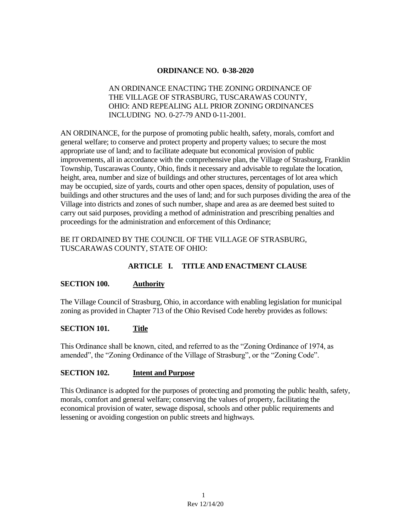### **ORDINANCE NO. 0-38-2020**

### AN ORDINANCE ENACTING THE ZONING ORDINANCE OF THE VILLAGE OF STRASBURG, TUSCARAWAS COUNTY, OHIO: AND REPEALING ALL PRIOR ZONING ORDINANCES INCLUDING NO. 0-27-79 AND 0-11-2001.

AN ORDINANCE, for the purpose of promoting public health, safety, morals, comfort and general welfare; to conserve and protect property and property values; to secure the most appropriate use of land; and to facilitate adequate but economical provision of public improvements, all in accordance with the comprehensive plan, the Village of Strasburg, Franklin Township, Tuscarawas County, Ohio, finds it necessary and advisable to regulate the location, height, area, number and size of buildings and other structures, percentages of lot area which may be occupied, size of yards, courts and other open spaces, density of population, uses of buildings and other structures and the uses of land; and for such purposes dividing the area of the Village into districts and zones of such number, shape and area as are deemed best suited to carry out said purposes, providing a method of administration and prescribing penalties and proceedings for the administration and enforcement of this Ordinance;

### BE IT ORDAINED BY THE COUNCIL OF THE VILLAGE OF STRASBURG, TUSCARAWAS COUNTY, STATE OF OHIO:

## **ARTICLE I. TITLE AND ENACTMENT CLAUSE**

#### **SECTION 100. Authority**

The Village Council of Strasburg, Ohio, in accordance with enabling legislation for municipal zoning as provided in Chapter 713 of the Ohio Revised Code hereby provides as follows:

#### **SECTION 101. Title**

This Ordinance shall be known, cited, and referred to as the "Zoning Ordinance of 1974, as amended", the "Zoning Ordinance of the Village of Strasburg", or the "Zoning Code".

### **SECTION 102. Intent and Purpose**

This Ordinance is adopted for the purposes of protecting and promoting the public health, safety, morals, comfort and general welfare; conserving the values of property, facilitating the economical provision of water, sewage disposal, schools and other public requirements and lessening or avoiding congestion on public streets and highways.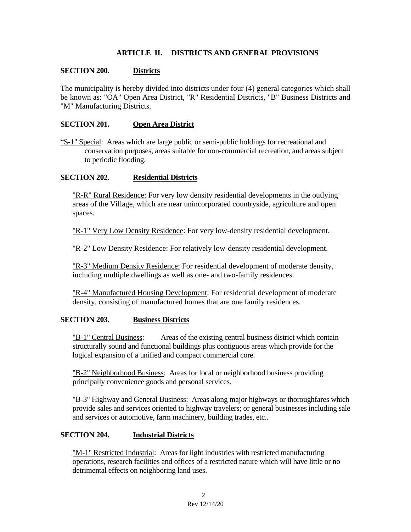### **ARTICLE II. DISTRICTS AND GENERAL PROVISIONS**

### **SECTION 200. Districts**

The municipality is hereby divided into districts under four (4) general categories which shall be known as: "OA" Open Area District, "R" Residential Districts, "B" Business Districts and "M" Manufacturing Districts.

### **SECTION 201. Open Area District**

"S-1" Special: Areas which are large public or semi-public holdings for recreational and conservation purposes, areas suitable for non-commercial recreation, and areas subject to periodic flooding.

### **SECTION 202. Residential Districts**

"R-R" Rural Residence: For very low density residential developments in the outlying areas of the Village, which are near unincorporated countryside, agriculture and open spaces.

"R-1" Very Low Density Residence: For very low-density residential development.

"R-2" Low Density Residence: For relatively low-density residential development.

"R-3" Medium Density Residence: For residential development of moderate density, including multiple dwellings as well as one- and two-family residences.

"R-4" Manufactured Housing Development: For residential development of moderate density, consisting of manufactured homes that are one family residences.

### **SECTION 203. Business Districts**

"B-1" Central Business: Areas of the existing central business district which contain structurally sound and functional buildings plus contiguous areas which provide for the logical expansion of a unified and compact commercial core.

"B-2" Neighborhood Business: Areas for local or neighborhood business providing principally convenience goods and personal services.

"B-3" Highway and General Business: Areas along major highways or thoroughfares which provide sales and services oriented to highway travelers; or general businesses including sale and services or automotive, farm machinery, building trades, etc..

#### **SECTION 204. Industrial Districts**

"M-1" Restricted Industrial: Areas for light industries with restricted manufacturing operations, research facilities and offices of a restricted nature which will have little or no detrimental effects on neighboring land uses.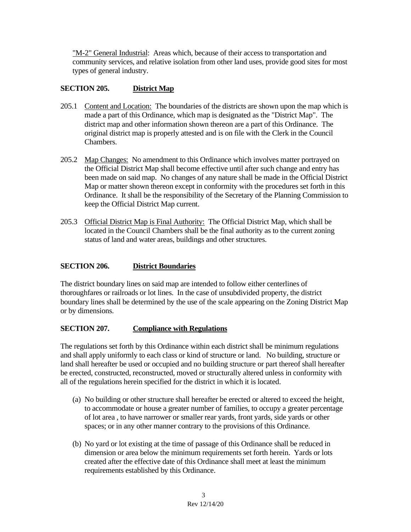"M-2" General Industrial: Areas which, because of their access to transportation and community services, and relative isolation from other land uses, provide good sites for most types of general industry.

## **SECTION 205. District Map**

- 205.1 Content and Location: The boundaries of the districts are shown upon the map which is made a part of this Ordinance, which map is designated as the "District Map". The district map and other information shown thereon are a part of this Ordinance. The original district map is properly attested and is on file with the Clerk in the Council Chambers.
- 205.2 Map Changes: No amendment to this Ordinance which involves matter portrayed on the Official District Map shall become effective until after such change and entry has been made on said map. No changes of any nature shall be made in the Official District Map or matter shown thereon except in conformity with the procedures set forth in this Ordinance. It shall be the responsibility of the Secretary of the Planning Commission to keep the Official District Map current.
- 205.3 Official District Map is Final Authority: The Official District Map, which shall be located in the Council Chambers shall be the final authority as to the current zoning status of land and water areas, buildings and other structures.

### **SECTION 206. District Boundaries**

The district boundary lines on said map are intended to follow either centerlines of thoroughfares or railroads or lot lines. In the case of unsubdivided property, the district boundary lines shall be determined by the use of the scale appearing on the Zoning District Map or by dimensions.

### **SECTION 207. Compliance with Regulations**

The regulations set forth by this Ordinance within each district shall be minimum regulations and shall apply uniformly to each class or kind of structure or land. No building, structure or land shall hereafter be used or occupied and no building structure or part thereof shall hereafter be erected, constructed, reconstructed, moved or structurally altered unless in conformity with all of the regulations herein specified for the district in which it is located.

- (a) No building or other structure shall hereafter be erected or altered to exceed the height, to accommodate or house a greater number of families, to occupy a greater percentage of lot area , to have narrower or smaller rear yards, front yards, side yards or other spaces; or in any other manner contrary to the provisions of this Ordinance.
- (b) No yard or lot existing at the time of passage of this Ordinance shall be reduced in dimension or area below the minimum requirements set forth herein. Yards or lots created after the effective date of this Ordinance shall meet at least the minimum requirements established by this Ordinance.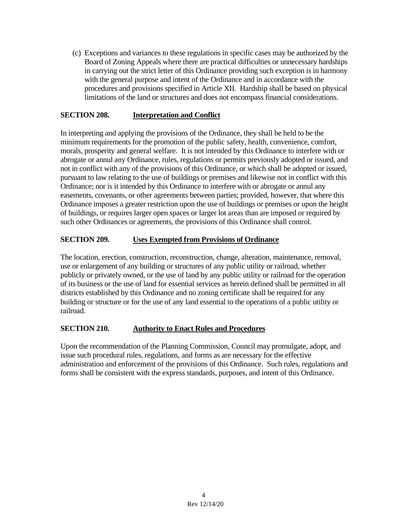(c) Exceptions and variances to these regulations in specific cases may be authorized by the Board of Zoning Appeals where there are practical difficulties or unnecessary hardships in carrying out the strict letter of this Ordinance providing such exception is in harmony with the general purpose and intent of the Ordinance and in accordance with the procedures and provisions specified in Article XII. Hardship shall be based on physical limitations of the land or structures and does not encompass financial considerations.

## **SECTION 208. Interpretation and Conflict**

In interpreting and applying the provisions of the Ordinance, they shall be held to be the minimum requirements for the promotion of the public safety, health, convenience, comfort, morals, prosperity and general welfare. It is not intended by this Ordinance to interfere with or abrogate or annul any Ordinance, rules, regulations or permits previously adopted or issued, and not in conflict with any of the provisions of this Ordinance, or which shall be adopted or issued, pursuant to law relating to the use of buildings or premises and likewise not in conflict with this Ordinance; nor is it intended by this Ordinance to interfere with or abrogate or annul any easements, covenants, or other agreements between parties; provided, however, that where this Ordinance imposes a greater restriction upon the use of buildings or premises or upon the height of buildings, or requires larger open spaces or larger lot areas than are imposed or required by such other Ordinances or agreements, the provisions of this Ordinance shall control.

## **SECTION 209. Uses Exempted from Provisions of Ordinance**

The location, erection, construction, reconstruction, change, alteration, maintenance, removal, use or enlargement of any building or structures of any public utility or railroad, whether publicly or privately owned, or the use of land by any public utility or railroad for the operation of its business or the use of land for essential services as herein defined shall be permitted in all districts established by this Ordinance and no zoning certificate shall be required for any building or structure or for the use of any land essential to the operations of a public utility or railroad.

### **SECTION 210. Authority to Enact Rules and Procedures**

Upon the recommendation of the Planning Commission, Council may promulgate, adopt, and issue such procedural rules, regulations, and forms as are necessary for the effective administration and enforcement of the provisions of this Ordinance. Such rules, regulations and forms shall be consistent with the express standards, purposes, and intent of this Ordinance.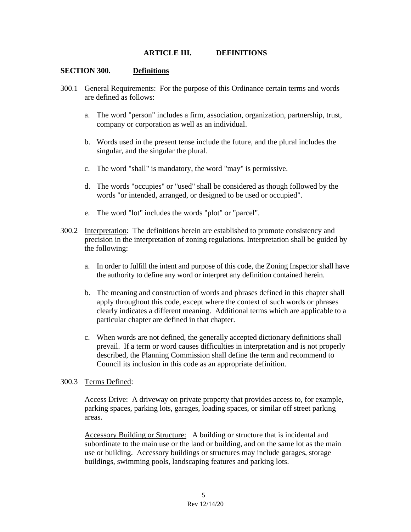#### **ARTICLE III. DEFINITIONS**

#### **SECTION 300. Definitions**

- 300.1 General Requirements: For the purpose of this Ordinance certain terms and words are defined as follows:
	- a. The word "person" includes a firm, association, organization, partnership, trust, company or corporation as well as an individual.
	- b. Words used in the present tense include the future, and the plural includes the singular, and the singular the plural.
	- c. The word "shall" is mandatory, the word "may" is permissive.
	- d. The words "occupies" or "used" shall be considered as though followed by the words "or intended, arranged, or designed to be used or occupied".
	- e. The word "lot" includes the words "plot" or "parcel".
- 300.2 Interpretation: The definitions herein are established to promote consistency and precision in the interpretation of zoning regulations. Interpretation shall be guided by the following:
	- a. In order to fulfill the intent and purpose of this code, the Zoning Inspector shall have the authority to define any word or interpret any definition contained herein.
	- b. The meaning and construction of words and phrases defined in this chapter shall apply throughout this code, except where the context of such words or phrases clearly indicates a different meaning. Additional terms which are applicable to a particular chapter are defined in that chapter.
	- c. When words are not defined, the generally accepted dictionary definitions shall prevail. If a term or word causes difficulties in interpretation and is not properly described, the Planning Commission shall define the term and recommend to Council its inclusion in this code as an appropriate definition.

#### 300.3 Terms Defined:

Access Drive: A driveway on private property that provides access to, for example, parking spaces, parking lots, garages, loading spaces, or similar off street parking areas.

Accessory Building or Structure: A building or structure that is incidental and subordinate to the main use or the land or building, and on the same lot as the main use or building. Accessory buildings or structures may include garages, storage buildings, swimming pools, landscaping features and parking lots.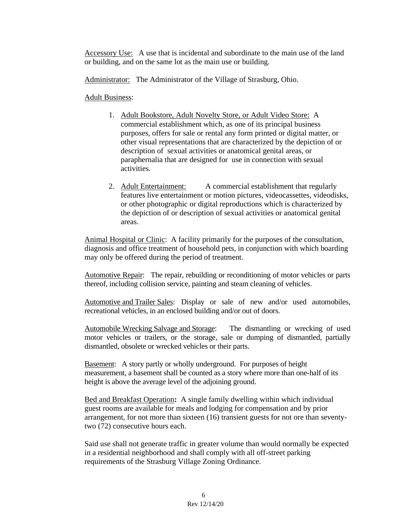Accessory Use: A use that is incidental and subordinate to the main use of the land or building, and on the same lot as the main use or building.

Administrator: The Administrator of the Village of Strasburg, Ohio.

### Adult Business:

- 1. Adult Bookstore, Adult Novelty Store, or Adult Video Store: A commercial establishment which, as one of its principal business purposes, offers for sale or rental any form printed or digital matter, or other visual representations that are characterized by the depiction of or description of sexual activities or anatomical genital areas, or paraphernalia that are designed for use in connection with sexual activities.
- 2. Adult Entertainment: A commercial establishment that regularly features live entertainment or motion pictures, videocassettes, videodisks, or other photographic or digital reproductions which is characterized by the depiction of or description of sexual activities or anatomical genital areas.

Animal Hospital or Clinic: A facility primarily for the purposes of the consultation, diagnosis and office treatment of household pets, in conjunction with which boarding may only be offered during the period of treatment.

Automotive Repair: The repair, rebuilding or reconditioning of motor vehicles or parts thereof, including collision service, painting and steam cleaning of vehicles.

Automotive and Trailer Sales: Display or sale of new and/or used automobiles, recreational vehicles, in an enclosed building and/or out of doors.

Automobile Wrecking Salvage and Storage: The dismantling or wrecking of used motor vehicles or trailers, or the storage, sale or dumping of dismantled, partially dismantled, obsolete or wrecked vehicles or their parts.

Basement: A story partly or wholly underground. For purposes of height measurement, a basement shall be counted as a story where more than one-half of its height is above the average level of the adjoining ground.

Bed and Breakfast Operation**:** A single family dwelling within which individual guest rooms are available for meals and lodging for compensation and by prior arrangement, for not more than sixteen (16) transient guests for not ore than seventytwo (72) consecutive hours each.

Said use shall not generate traffic in greater volume than would normally be expected in a residential neighborhood and shall comply with all off-street parking requirements of the Strasburg Village Zoning Ordinance.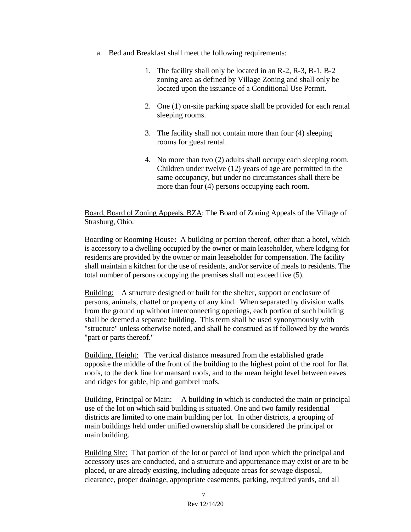- a. Bed and Breakfast shall meet the following requirements:
	- 1. The facility shall only be located in an R-2, R-3, B-1, B-2 zoning area as defined by Village Zoning and shall only be located upon the issuance of a Conditional Use Permit.
	- 2. One (1) on-site parking space shall be provided for each rental sleeping rooms.
	- 3. The facility shall not contain more than four (4) sleeping rooms for guest rental.
	- 4. No more than two (2) adults shall occupy each sleeping room. Children under twelve (12) years of age are permitted in the same occupancy, but under no circumstances shall there be more than four (4) persons occupying each room.

Board, Board of Zoning Appeals, BZA: The Board of Zoning Appeals of the Village of Strasburg, Ohio.

Boarding or Rooming House**:** A building or portion thereof, other than a hotel**,** which is accessory to a dwelling occupied by the owner or main leaseholder, where lodging for residents are provided by the owner or main leaseholder for compensation. The facility shall maintain a kitchen for the use of residents, and/or service of meals to residents. The total number of persons occupying the premises shall not exceed five (5).

Building: A structure designed or built for the shelter, support or enclosure of persons, animals, chattel or property of any kind. When separated by division walls from the ground up without interconnecting openings, each portion of such building shall be deemed a separate building. This term shall be used synonymously with "structure" unless otherwise noted, and shall be construed as if followed by the words "part or parts thereof."

Building, Height: The vertical distance measured from the established grade opposite the middle of the front of the building to the highest point of the roof for flat roofs, to the deck line for mansard roofs, and to the mean height level between eaves and ridges for gable, hip and gambrel roofs.

Building, Principal or Main: A building in which is conducted the main or principal use of the lot on which said building is situated. One and two family residential districts are limited to one main building per lot. In other districts, a grouping of main buildings held under unified ownership shall be considered the principal or main building.

Building Site:That portion of the lot or parcel of land upon which the principal and accessory uses are conducted, and a structure and appurtenance may exist or are to be placed, or are already existing, including adequate areas for sewage disposal, clearance, proper drainage, appropriate easements, parking, required yards, and all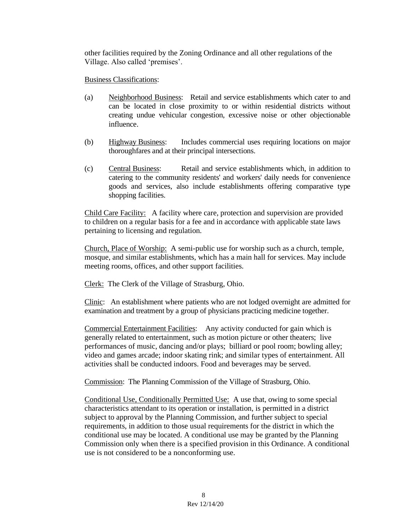other facilities required by the Zoning Ordinance and all other regulations of the Village. Also called 'premises'.

### Business Classifications:

- (a) Neighborhood Business: Retail and service establishments which cater to and can be located in close proximity to or within residential districts without creating undue vehicular congestion, excessive noise or other objectionable influence.
- (b) Highway Business: Includes commercial uses requiring locations on major thoroughfares and at their principal intersections.
- (c) Central Business: Retail and service establishments which, in addition to catering to the community residents' and workers' daily needs for convenience goods and services, also include establishments offering comparative type shopping facilities.

Child Care Facility: A facility where care, protection and supervision are provided to children on a regular basis for a fee and in accordance with applicable state laws pertaining to licensing and regulation.

Church, Place of Worship: A semi-public use for worship such as a church, temple, mosque, and similar establishments, which has a main hall for services. May include meeting rooms, offices, and other support facilities.

Clerk: The Clerk of the Village of Strasburg, Ohio.

Clinic: An establishment where patients who are not lodged overnight are admitted for examination and treatment by a group of physicians practicing medicine together.

Commercial Entertainment Facilities: Any activity conducted for gain which is generally related to entertainment, such as motion picture or other theaters; live performances of music, dancing and/or plays; billiard or pool room; bowling alley; video and games arcade; indoor skating rink; and similar types of entertainment. All activities shall be conducted indoors. Food and beverages may be served.

Commission: The Planning Commission of the Village of Strasburg, Ohio.

Conditional Use, Conditionally Permitted Use: A use that, owing to some special characteristics attendant to its operation or installation, is permitted in a district subject to approval by the Planning Commission, and further subject to special requirements, in addition to those usual requirements for the district in which the conditional use may be located. A conditional use may be granted by the Planning Commission only when there is a specified provision in this Ordinance. A conditional use is not considered to be a nonconforming use.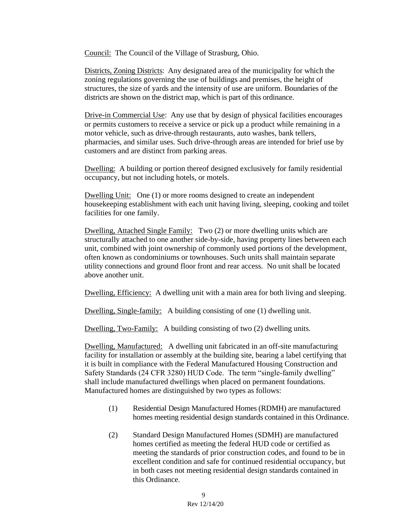Council: The Council of the Village of Strasburg, Ohio.

Districts, Zoning Districts: Any designated area of the municipality for which the zoning regulations governing the use of buildings and premises, the height of structures, the size of yards and the intensity of use are uniform. Boundaries of the districts are shown on the district map, which is part of this ordinance.

Drive-in Commercial Use: Any use that by design of physical facilities encourages or permits customers to receive a service or pick up a product while remaining in a motor vehicle, such as drive-through restaurants, auto washes, bank tellers, pharmacies, and similar uses. Such drive-through areas are intended for brief use by customers and are distinct from parking areas.

Dwelling: A building or portion thereof designed exclusively for family residential occupancy, but not including hotels, or motels.

Dwelling Unit: One (1) or more rooms designed to create an independent housekeeping establishment with each unit having living, sleeping, cooking and toilet facilities for one family.

Dwelling, Attached Single Family: Two (2) or more dwelling units which are structurally attached to one another side-by-side, having property lines between each unit, combined with joint ownership of commonly used portions of the development, often known as condominiums or townhouses. Such units shall maintain separate utility connections and ground floor front and rear access. No unit shall be located above another unit.

Dwelling, Efficiency: A dwelling unit with a main area for both living and sleeping.

Dwelling, Single-family: A building consisting of one (1) dwelling unit.

Dwelling, Two-Family: A building consisting of two (2) dwelling units.

Dwelling, Manufactured: A dwelling unit fabricated in an off-site manufacturing facility for installation or assembly at the building site, bearing a label certifying that it is built in compliance with the Federal Manufactured Housing Construction and Safety Standards (24 CFR 3280) HUD Code. The term "single-family dwelling" shall include manufactured dwellings when placed on permanent foundations. Manufactured homes are distinguished by two types as follows:

- (1) Residential Design Manufactured Homes (RDMH) are manufactured homes meeting residential design standards contained in this Ordinance.
- (2) Standard Design Manufactured Homes (SDMH) are manufactured homes certified as meeting the federal HUD code or certified as meeting the standards of prior construction codes, and found to be in excellent condition and safe for continued residential occupancy, but in both cases not meeting residential design standards contained in this Ordinance.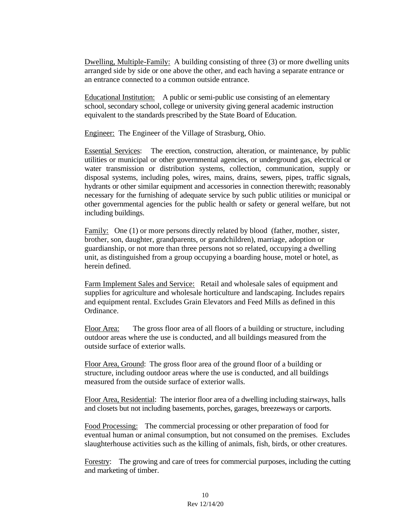Dwelling, Multiple-Family: A building consisting of three (3) or more dwelling units arranged side by side or one above the other, and each having a separate entrance or an entrance connected to a common outside entrance.

Educational Institution: A public or semi-public use consisting of an elementary school, secondary school, college or university giving general academic instruction equivalent to the standards prescribed by the State Board of Education.

Engineer: The Engineer of the Village of Strasburg, Ohio.

Essential Services: The erection, construction, alteration, or maintenance, by public utilities or municipal or other governmental agencies, or underground gas, electrical or water transmission or distribution systems, collection, communication, supply or disposal systems, including poles, wires, mains, drains, sewers, pipes, traffic signals, hydrants or other similar equipment and accessories in connection therewith; reasonably necessary for the furnishing of adequate service by such public utilities or municipal or other governmental agencies for the public health or safety or general welfare, but not including buildings.

Family: One (1) or more persons directly related by blood (father, mother, sister, brother, son, daughter, grandparents, or grandchildren), marriage, adoption or guardianship, or not more than three persons not so related, occupying a dwelling unit, as distinguished from a group occupying a boarding house, motel or hotel, as herein defined.

Farm Implement Sales and Service:Retail and wholesale sales of equipment and supplies for agriculture and wholesale horticulture and landscaping. Includes repairs and equipment rental. Excludes Grain Elevators and Feed Mills as defined in this Ordinance.

Floor Area: The gross floor area of all floors of a building or structure, including outdoor areas where the use is conducted, and all buildings measured from the outside surface of exterior walls.

Floor Area, Ground: The gross floor area of the ground floor of a building or structure, including outdoor areas where the use is conducted, and all buildings measured from the outside surface of exterior walls.

Floor Area, Residential: The interior floor area of a dwelling including stairways, halls and closets but not including basements, porches, garages, breezeways or carports.

Food Processing: The commercial processing or other preparation of food for eventual human or animal consumption, but not consumed on the premises. Excludes slaughterhouse activities such as the killing of animals, fish, birds, or other creatures.

Forestry: The growing and care of trees for commercial purposes, including the cutting and marketing of timber.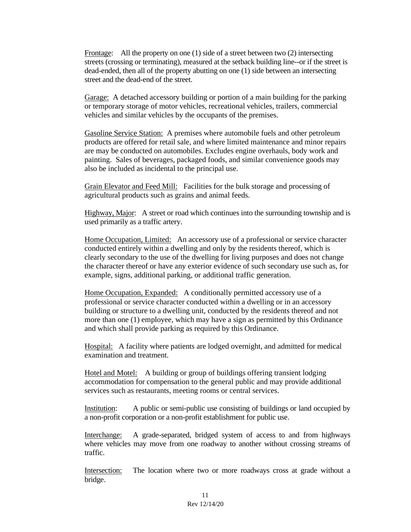Frontage: All the property on one (1) side of a street between two (2) intersecting streets (crossing or terminating), measured at the setback building line--or if the street is dead-ended, then all of the property abutting on one (1) side between an intersecting street and the dead-end of the street.

Garage: A detached accessory building or portion of a main building for the parking or temporary storage of motor vehicles, recreational vehicles, trailers, commercial vehicles and similar vehicles by the occupants of the premises.

Gasoline Service Station: A premises where automobile fuels and other petroleum products are offered for retail sale, and where limited maintenance and minor repairs are may be conducted on automobiles. Excludes engine overhauls, body work and painting. Sales of beverages, packaged foods, and similar convenience goods may also be included as incidental to the principal use.

Grain Elevator and Feed Mill:Facilities for the bulk storage and processing of agricultural products such as grains and animal feeds.

Highway, Major: A street or road which continues into the surrounding township and is used primarily as a traffic artery.

Home Occupation, Limited: An accessory use of a professional or service character conducted entirely within a dwelling and only by the residents thereof, which is clearly secondary to the use of the dwelling for living purposes and does not change the character thereof or have any exterior evidence of such secondary use such as, for example, signs, additional parking, or additional traffic generation.

Home Occupation, Expanded: A conditionally permitted accessory use of a professional or service character conducted within a dwelling or in an accessory building or structure to a dwelling unit, conducted by the residents thereof and not more than one (1) employee, which may have a sign as permitted by this Ordinance and which shall provide parking as required by this Ordinance.

Hospital:A facility where patients are lodged overnight, and admitted for medical examination and treatment.

Hotel and Motel: A building or group of buildings offering transient lodging accommodation for compensation to the general public and may provide additional services such as restaurants, meeting rooms or central services.

Institution: A public or semi-public use consisting of buildings or land occupied by a non-profit corporation or a non-profit establishment for public use.

Interchange: A grade-separated, bridged system of access to and from highways where vehicles may move from one roadway to another without crossing streams of traffic.

Intersection: The location where two or more roadways cross at grade without a bridge.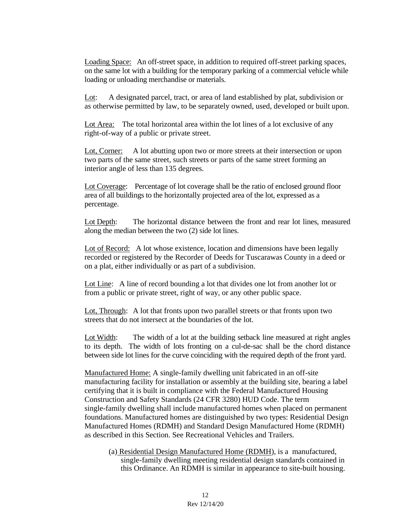Loading Space: An off-street space, in addition to required off-street parking spaces, on the same lot with a building for the temporary parking of a commercial vehicle while loading or unloading merchandise or materials.

Lot: A designated parcel, tract, or area of land established by plat, subdivision or as otherwise permitted by law, to be separately owned, used, developed or built upon.

Lot Area: The total horizontal area within the lot lines of a lot exclusive of any right-of-way of a public or private street.

Lot, Corner: A lot abutting upon two or more streets at their intersection or upon two parts of the same street, such streets or parts of the same street forming an interior angle of less than 135 degrees.

Lot Coverage: Percentage of lot coverage shall be the ratio of enclosed ground floor area of all buildings to the horizontally projected area of the lot, expressed as a percentage.

Lot Depth: The horizontal distance between the front and rear lot lines, measured along the median between the two (2) side lot lines.

Lot of Record: A lot whose existence, location and dimensions have been legally recorded or registered by the Recorder of Deeds for Tuscarawas County in a deed or on a plat, either individually or as part of a subdivision.

Lot Line: A line of record bounding a lot that divides one lot from another lot or from a public or private street, right of way, or any other public space.

Lot, Through: A lot that fronts upon two parallel streets or that fronts upon two streets that do not intersect at the boundaries of the lot.

Lot Width: The width of a lot at the building setback line measured at right angles to its depth. The width of lots fronting on a cul-de-sac shall be the chord distance between side lot lines for the curve coinciding with the required depth of the front yard.

Manufactured Home: A single-family dwelling unit fabricated in an off-site manufacturing facility for installation or assembly at the building site, bearing a label certifying that it is built in compliance with the Federal Manufactured Housing Construction and Safety Standards (24 CFR 3280) HUD Code. The term single-family dwelling shall include manufactured homes when placed on permanent foundations. Manufactured homes are distinguished by two types: Residential Design Manufactured Homes (RDMH) and Standard Design Manufactured Home (RDMH) as described in this Section. See Recreational Vehicles and Trailers.

(a) Residential Design Manufactured Home (RDMH), is a manufactured, single-family dwelling meeting residential design standards contained in this Ordinance. An RDMH is similar in appearance to site-built housing.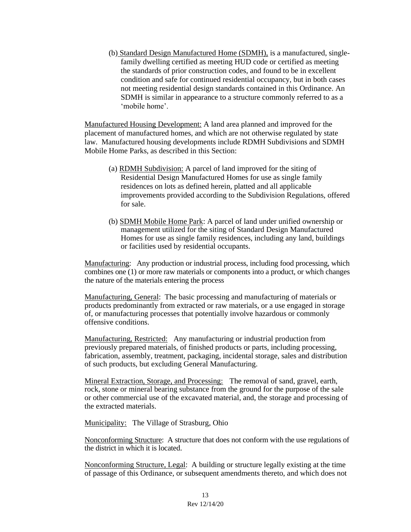(b) Standard Design Manufactured Home (SDMH), is a manufactured, singlefamily dwelling certified as meeting HUD code or certified as meeting the standards of prior construction codes, and found to be in excellent condition and safe for continued residential occupancy, but in both cases not meeting residential design standards contained in this Ordinance. An SDMH is similar in appearance to a structure commonly referred to as a 'mobile home'.

Manufactured Housing Development: A land area planned and improved for the placement of manufactured homes, and which are not otherwise regulated by state law. Manufactured housing developments include RDMH Subdivisions and SDMH Mobile Home Parks, as described in this Section:

- (a) RDMH Subdivision: A parcel of land improved for the siting of Residential Design Manufactured Homes for use as single family residences on lots as defined herein, platted and all applicable improvements provided according to the Subdivision Regulations, offered for sale.
- (b) SDMH Mobile Home Park: A parcel of land under unified ownership or management utilized for the siting of Standard Design Manufactured Homes for use as single family residences, including any land, buildings or facilities used by residential occupants.

Manufacturing: Any production or industrial process, including food processing, which combines one (1) or more raw materials or components into a product, or which changes the nature of the materials entering the process

Manufacturing, General:The basic processing and manufacturing of materials or products predominantly from extracted or raw materials, or a use engaged in storage of, or manufacturing processes that potentially involve hazardous or commonly offensive conditions.

Manufacturing, Restricted: Any manufacturing or industrial production from previously prepared materials, of finished products or parts, including processing, fabrication, assembly, treatment, packaging, incidental storage, sales and distribution of such products, but excluding General Manufacturing.

Mineral Extraction, Storage, and Processing: The removal of sand, gravel, earth, rock, stone or mineral bearing substance from the ground for the purpose of the sale or other commercial use of the excavated material, and, the storage and processing of the extracted materials.

Municipality: The Village of Strasburg, Ohio

Nonconforming Structure: A structure that does not conform with the use regulations of the district in which it is located.

Nonconforming Structure, Legal: A building or structure legally existing at the time of passage of this Ordinance, or subsequent amendments thereto, and which does not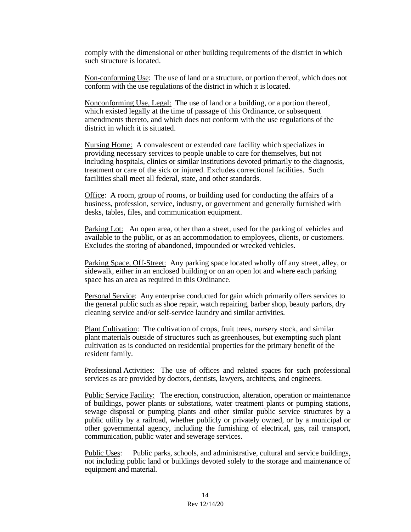comply with the dimensional or other building requirements of the district in which such structure is located.

Non-conforming Use: The use of land or a structure, or portion thereof, which does not conform with the use regulations of the district in which it is located.

Nonconforming Use, Legal: The use of land or a building, or a portion thereof, which existed legally at the time of passage of this Ordinance, or subsequent amendments thereto, and which does not conform with the use regulations of the district in which it is situated.

Nursing Home:A convalescent or extended care facility which specializes in providing necessary services to people unable to care for themselves, but not including hospitals, clinics or similar institutions devoted primarily to the diagnosis, treatment or care of the sick or injured. Excludes correctional facilities. Such facilities shall meet all federal, state, and other standards.

Office: A room, group of rooms, or building used for conducting the affairs of a business, profession, service, industry, or government and generally furnished with desks, tables, files, and communication equipment.

Parking Lot: An open area, other than a street, used for the parking of vehicles and available to the public, or as an accommodation to employees, clients, or customers. Excludes the storing of abandoned, impounded or wrecked vehicles.

Parking Space, Off-Street: Any parking space located wholly off any street, alley, or sidewalk, either in an enclosed building or on an open lot and where each parking space has an area as required in this Ordinance.

Personal Service: Any enterprise conducted for gain which primarily offers services to the general public such as shoe repair, watch repairing, barber shop, beauty parlors, dry cleaning service and/or self-service laundry and similar activities.

Plant Cultivation: The cultivation of crops, fruit trees, nursery stock, and similar plant materials outside of structures such as greenhouses, but exempting such plant cultivation as is conducted on residential properties for the primary benefit of the resident family.

Professional Activities: The use of offices and related spaces for such professional services as are provided by doctors, dentists, lawyers, architects, and engineers.

Public Service Facility: The erection, construction, alteration, operation or maintenance of buildings, power plants or substations, water treatment plants or pumping stations, sewage disposal or pumping plants and other similar public service structures by a public utility by a railroad, whether publicly or privately owned, or by a municipal or other governmental agency, including the furnishing of electrical, gas, rail transport, communication, public water and sewerage services.

Public Uses: Public parks, schools, and administrative, cultural and service buildings, not including public land or buildings devoted solely to the storage and maintenance of equipment and material.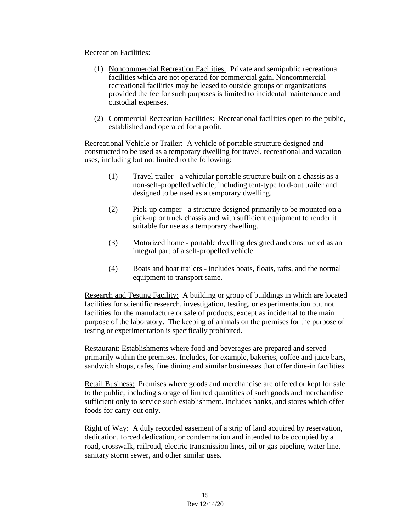### Recreation Facilities:

- (1) Noncommercial Recreation Facilities: Private and semipublic recreational facilities which are not operated for commercial gain. Noncommercial recreational facilities may be leased to outside groups or organizations provided the fee for such purposes is limited to incidental maintenance and custodial expenses.
- (2) Commercial Recreation Facilities: Recreational facilities open to the public, established and operated for a profit.

Recreational Vehicle or Trailer: A vehicle of portable structure designed and constructed to be used as a temporary dwelling for travel, recreational and vacation uses, including but not limited to the following:

- (1) Travel trailer a vehicular portable structure built on a chassis as a non-self-propelled vehicle, including tent-type fold-out trailer and designed to be used as a temporary dwelling.
- (2) Pick-up camper a structure designed primarily to be mounted on a pick-up or truck chassis and with sufficient equipment to render it suitable for use as a temporary dwelling.
- (3) Motorized home portable dwelling designed and constructed as an integral part of a self-propelled vehicle.
- (4) Boats and boat trailers includes boats, floats, rafts, and the normal equipment to transport same.

Research and Testing Facility: A building or group of buildings in which are located facilities for scientific research, investigation, testing, or experimentation but not facilities for the manufacture or sale of products, except as incidental to the main purpose of the laboratory. The keeping of animals on the premises for the purpose of testing or experimentation is specifically prohibited.

Restaurant: Establishments where food and beverages are prepared and served primarily within the premises. Includes, for example, bakeries, coffee and juice bars, sandwich shops, cafes, fine dining and similar businesses that offer dine-in facilities.

Retail Business: Premises where goods and merchandise are offered or kept for sale to the public, including storage of limited quantities of such goods and merchandise sufficient only to service such establishment. Includes banks, and stores which offer foods for carry-out only.

Right of Way:A duly recorded easement of a strip of land acquired by reservation, dedication, forced dedication, or condemnation and intended to be occupied by a road, crosswalk, railroad, electric transmission lines, oil or gas pipeline, water line, sanitary storm sewer, and other similar uses.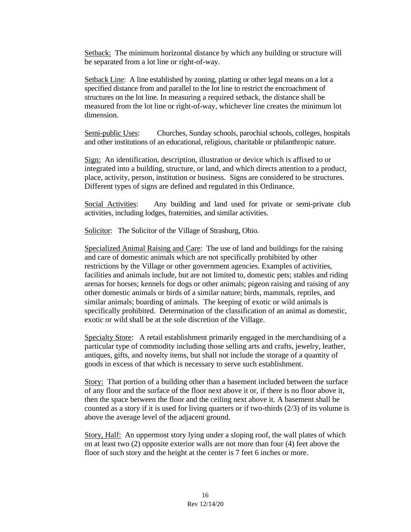Setback: The minimum horizontal distance by which any building or structure will be separated from a lot line or right-of-way.

Setback Line: A line established by zoning, platting or other legal means on a lot a specified distance from and parallel to the lot line to restrict the encroachment of structures on the lot line. In measuring a required setback, the distance shall be measured from the lot line or right-of-way, whichever line creates the minimum lot dimension.

Semi-public Uses: Churches, Sunday schools, parochial schools, colleges, hospitals and other institutions of an educational, religious, charitable or philanthropic nature.

Sign: An identification, description, illustration or device which is affixed to or integrated into a building, structure, or land, and which directs attention to a product, place, activity, person, institution or business. Signs are considered to be structures. Different types of signs are defined and regulated in this Ordinance.

Social Activities: Any building and land used for private or semi-private club activities, including lodges, fraternities, and similar activities.

Solicitor: The Solicitor of the Village of Strasburg, Ohio.

Specialized Animal Raising and Care: The use of land and buildings for the raising and care of domestic animals which are not specifically prohibited by other restrictions by the Village or other government agencies. Examples of activities, facilities and animals include, but are not limited to, domestic pets; stables and riding arenas for horses; kennels for dogs or other animals; pigeon raising and raising of any other domestic animals or birds of a similar nature; birds, mammals, reptiles, and similar animals; boarding of animals. The keeping of exotic or wild animals is specifically prohibited. Determination of the classification of an animal as domestic, exotic or wild shall be at the sole discretion of the Village.

Specialty Store: A retail establishment primarily engaged in the merchandising of a particular type of commodity including those selling arts and crafts, jewelry, leather, antiques, gifts, and novelty items, but shall not include the storage of a quantity of goods in excess of that which is necessary to serve such establishment.

Story: That portion of a building other than a basement included between the surface of any floor and the surface of the floor next above it or, if there is no floor above it, then the space between the floor and the ceiling next above it. A basement shall be counted as a story if it is used for living quarters or if two-thirds  $(2/3)$  of its volume is above the average level of the adjacent ground.

Story, Half: An uppermost story lying under a sloping roof, the wall plates of which on at least two (2) opposite exterior walls are not more than four (4) feet above the floor of such story and the height at the center is 7 feet 6 inches or more.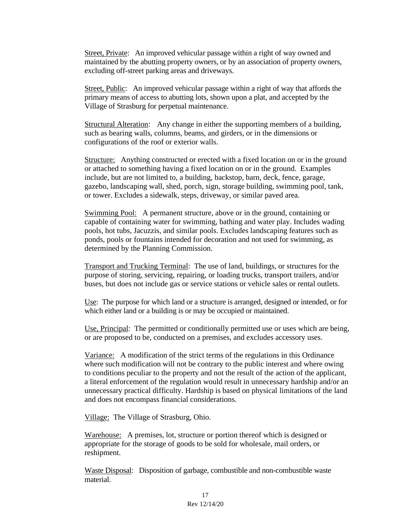Street, Private: An improved vehicular passage within a right of way owned and maintained by the abutting property owners, or by an association of property owners, excluding off-street parking areas and driveways.

Street, Public: An improved vehicular passage within a right of way that affords the primary means of access to abutting lots, shown upon a plat, and accepted by the Village of Strasburg for perpetual maintenance.

Structural Alteration: Any change in either the supporting members of a building, such as bearing walls, columns, beams, and girders, or in the dimensions or configurations of the roof or exterior walls.

Structure: Anything constructed or erected with a fixed location on or in the ground or attached to something having a fixed location on or in the ground. Examples include, but are not limited to, a building, backstop, barn, deck, fence, garage, gazebo, landscaping wall, shed, porch, sign, storage building, swimming pool, tank, or tower. Excludes a sidewalk, steps, driveway, or similar paved area.

Swimming Pool:A permanent structure, above or in the ground, containing or capable of containing water for swimming, bathing and water play. Includes wading pools, hot tubs, Jacuzzis, and similar pools. Excludes landscaping features such as ponds, pools or fountains intended for decoration and not used for swimming, as determined by the Planning Commission.

Transport and Trucking Terminal: The use of land, buildings, or structures for the purpose of storing, servicing, repairing, or loading trucks, transport trailers, and/or buses, but does not include gas or service stations or vehicle sales or rental outlets.

Use: The purpose for which land or a structure is arranged, designed or intended, or for which either land or a building is or may be occupied or maintained.

Use, Principal: The permitted or conditionally permitted use or uses which are being, or are proposed to be, conducted on a premises, and excludes accessory uses.

Variance: A modification of the strict terms of the regulations in this Ordinance where such modification will not be contrary to the public interest and where owing to conditions peculiar to the property and not the result of the action of the applicant, a literal enforcement of the regulation would result in unnecessary hardship and/or an unnecessary practical difficulty. Hardship is based on physical limitations of the land and does not encompass financial considerations.

Village:The Village of Strasburg, Ohio.

Warehouse:A premises, lot, structure or portion thereof which is designed or appropriate for the storage of goods to be sold for wholesale, mail orders, or reshipment.

Waste Disposal: Disposition of garbage, combustible and non-combustible waste material.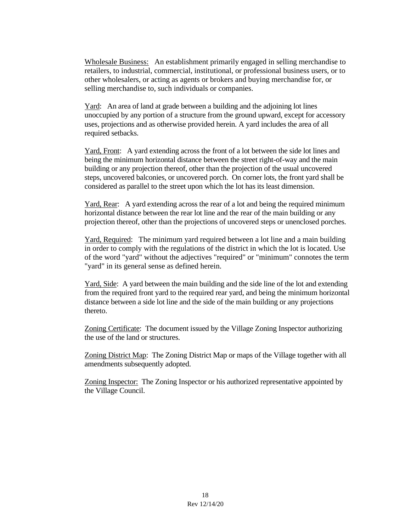Wholesale Business: An establishment primarily engaged in selling merchandise to retailers, to industrial, commercial, institutional, or professional business users, or to other wholesalers, or acting as agents or brokers and buying merchandise for, or selling merchandise to, such individuals or companies.

Yard: An area of land at grade between a building and the adjoining lot lines unoccupied by any portion of a structure from the ground upward, except for accessory uses, projections and as otherwise provided herein. A yard includes the area of all required setbacks.

Yard, Front: A yard extending across the front of a lot between the side lot lines and being the minimum horizontal distance between the street right-of-way and the main building or any projection thereof, other than the projection of the usual uncovered steps, uncovered balconies, or uncovered porch. On corner lots, the front yard shall be considered as parallel to the street upon which the lot has its least dimension.

Yard, Rear: A yard extending across the rear of a lot and being the required minimum horizontal distance between the rear lot line and the rear of the main building or any projection thereof, other than the projections of uncovered steps or unenclosed porches.

Yard, Required: The minimum yard required between a lot line and a main building in order to comply with the regulations of the district in which the lot is located. Use of the word "yard" without the adjectives "required" or "minimum" connotes the term "yard" in its general sense as defined herein.

Yard, Side: A yard between the main building and the side line of the lot and extending from the required front yard to the required rear yard, and being the minimum horizontal distance between a side lot line and the side of the main building or any projections thereto.

Zoning Certificate: The document issued by the Village Zoning Inspector authorizing the use of the land or structures.

Zoning District Map: The Zoning District Map or maps of the Village together with all amendments subsequently adopted.

Zoning Inspector: The Zoning Inspector or his authorized representative appointed by the Village Council.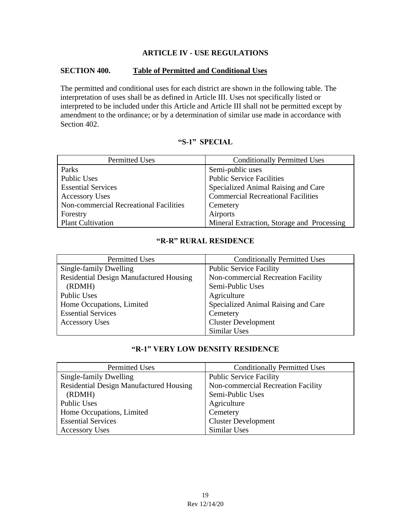### **ARTICLE IV - USE REGULATIONS**

### **SECTION 400. Table of Permitted and Conditional Uses**

The permitted and conditional uses for each district are shown in the following table. The interpretation of uses shall be as defined in Article III. Uses not specifically listed or interpreted to be included under this Article and Article III shall not be permitted except by amendment to the ordinance; or by a determination of similar use made in accordance with Section 402.

# **"S-1" SPECIAL**

| Permitted Uses                         | <b>Conditionally Permitted Uses</b>        |
|----------------------------------------|--------------------------------------------|
| Parks                                  | Semi-public uses                           |
| <b>Public Uses</b>                     | <b>Public Service Facilities</b>           |
| <b>Essential Services</b>              | Specialized Animal Raising and Care        |
| <b>Accessory Uses</b>                  | <b>Commercial Recreational Facilities</b>  |
| Non-commercial Recreational Facilities | Cemetery                                   |
| Forestry                               | Airports                                   |
| <b>Plant Cultivation</b>               | Mineral Extraction, Storage and Processing |

# **"R-R" RURAL RESIDENCE**

| <b>Permitted Uses</b>                   | <b>Conditionally Permitted Uses</b> |
|-----------------------------------------|-------------------------------------|
| Single-family Dwelling                  | <b>Public Service Facility</b>      |
| Residential Design Manufactured Housing | Non-commercial Recreation Facility  |
| (RDMH)                                  | Semi-Public Uses                    |
| <b>Public Uses</b>                      | Agriculture                         |
| Home Occupations, Limited               | Specialized Animal Raising and Care |
| <b>Essential Services</b>               | Cemetery                            |
| <b>Accessory Uses</b>                   | <b>Cluster Development</b>          |
|                                         | Similar Uses                        |

# **"R-1" VERY LOW DENSITY RESIDENCE**

| <b>Permitted Uses</b>                          | <b>Conditionally Permitted Uses</b> |
|------------------------------------------------|-------------------------------------|
| Single-family Dwelling                         | <b>Public Service Facility</b>      |
| <b>Residential Design Manufactured Housing</b> | Non-commercial Recreation Facility  |
| (RDMH)                                         | Semi-Public Uses                    |
| Public Uses                                    | Agriculture                         |
| Home Occupations, Limited                      | Cemetery                            |
| <b>Essential Services</b>                      | <b>Cluster Development</b>          |
| <b>Accessory Uses</b>                          | Similar Uses                        |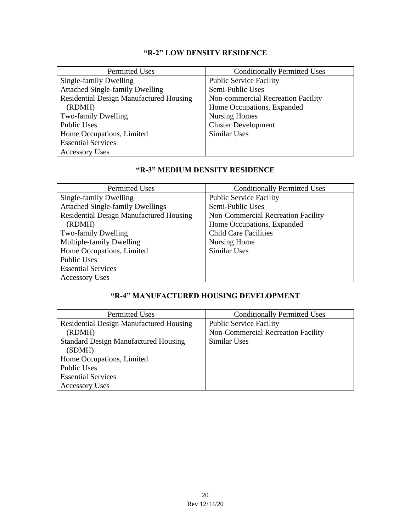# **"R-2" LOW DENSITY RESIDENCE**

| <b>Permitted Uses</b>                          | <b>Conditionally Permitted Uses</b> |
|------------------------------------------------|-------------------------------------|
| Single-family Dwelling                         | <b>Public Service Facility</b>      |
| <b>Attached Single-family Dwelling</b>         | Semi-Public Uses                    |
| <b>Residential Design Manufactured Housing</b> | Non-commercial Recreation Facility  |
| (RDMH)                                         | Home Occupations, Expanded          |
| Two-family Dwelling                            | <b>Nursing Homes</b>                |
| <b>Public Uses</b>                             | <b>Cluster Development</b>          |
| Home Occupations, Limited                      | Similar Uses                        |
| <b>Essential Services</b>                      |                                     |
| <b>Accessory Uses</b>                          |                                     |

# **"R-3" MEDIUM DENSITY RESIDENCE**

| <b>Permitted Uses</b>                          | <b>Conditionally Permitted Uses</b> |
|------------------------------------------------|-------------------------------------|
| Single-family Dwelling                         | <b>Public Service Facility</b>      |
| <b>Attached Single-family Dwellings</b>        | Semi-Public Uses                    |
| <b>Residential Design Manufactured Housing</b> | Non-Commercial Recreation Facility  |
| (RDMH)                                         | Home Occupations, Expanded          |
| Two-family Dwelling                            | <b>Child Care Facilities</b>        |
| Multiple-family Dwelling                       | Nursing Home                        |
| Home Occupations, Limited                      | Similar Uses                        |
| <b>Public Uses</b>                             |                                     |
| <b>Essential Services</b>                      |                                     |
| <b>Accessory Uses</b>                          |                                     |

# **"R-4" MANUFACTURED HOUSING DEVELOPMENT**

| <b>Permitted Uses</b>                          | <b>Conditionally Permitted Uses</b> |
|------------------------------------------------|-------------------------------------|
| <b>Residential Design Manufactured Housing</b> | <b>Public Service Facility</b>      |
| (RDMH)                                         | Non-Commercial Recreation Facility  |
| <b>Standard Design Manufactured Housing</b>    | Similar Uses                        |
| (SDMH)                                         |                                     |
| Home Occupations, Limited                      |                                     |
| <b>Public Uses</b>                             |                                     |
| <b>Essential Services</b>                      |                                     |
| <b>Accessory Uses</b>                          |                                     |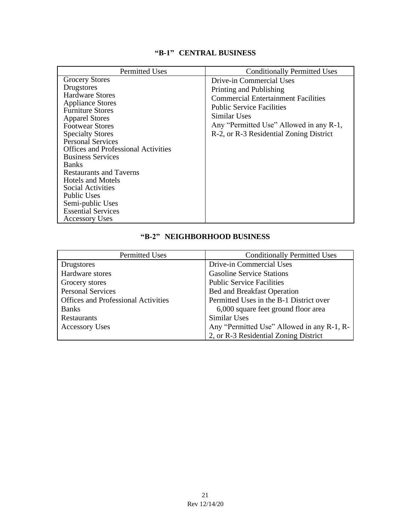# **"B-1" CENTRAL BUSINESS**

| <b>Permitted Uses</b>                                                                                                                                                                                                                                                                                                                                                                                                                                                                               | <b>Conditionally Permitted Uses</b>                                                                                                                                                                                                         |  |  |  |  |
|-----------------------------------------------------------------------------------------------------------------------------------------------------------------------------------------------------------------------------------------------------------------------------------------------------------------------------------------------------------------------------------------------------------------------------------------------------------------------------------------------------|---------------------------------------------------------------------------------------------------------------------------------------------------------------------------------------------------------------------------------------------|--|--|--|--|
| <b>Grocery Stores</b><br>Drugstores<br><b>Hardware Stores</b><br><b>Appliance Stores</b><br><b>Furniture Stores</b><br><b>Apparel Stores</b><br><b>Footwear Stores</b><br><b>Specialty Stores</b><br><b>Personal Services</b><br><b>Offices and Professional Activities</b><br><b>Business Services</b><br><b>Banks</b><br><b>Restaurants and Taverns</b><br>Hotels and Motels<br>Social Activities<br><b>Public Uses</b><br>Semi-public Uses<br><b>Essential Services</b><br><b>Accessory Uses</b> | Drive-in Commercial Uses<br>Printing and Publishing<br><b>Commercial Entertainment Facilities</b><br><b>Public Service Facilities</b><br>Similar Uses<br>Any "Permitted Use" Allowed in any R-1,<br>R-2, or R-3 Residential Zoning District |  |  |  |  |

# **"B-2" NEIGHBORHOOD BUSINESS**

| <b>Permitted Uses</b>                      | <b>Conditionally Permitted Uses</b>        |  |  |  |
|--------------------------------------------|--------------------------------------------|--|--|--|
| Drugstores                                 | Drive-in Commercial Uses                   |  |  |  |
| Hardware stores                            | <b>Gasoline Service Stations</b>           |  |  |  |
| Grocery stores                             | <b>Public Service Facilities</b>           |  |  |  |
| <b>Personal Services</b>                   | <b>Bed and Breakfast Operation</b>         |  |  |  |
| <b>Offices and Professional Activities</b> | Permitted Uses in the B-1 District over    |  |  |  |
| <b>Banks</b>                               | 6,000 square feet ground floor area        |  |  |  |
| Restaurants                                | Similar Uses                               |  |  |  |
| <b>Accessory Uses</b>                      | Any "Permitted Use" Allowed in any R-1, R- |  |  |  |
|                                            | 2, or R-3 Residential Zoning District      |  |  |  |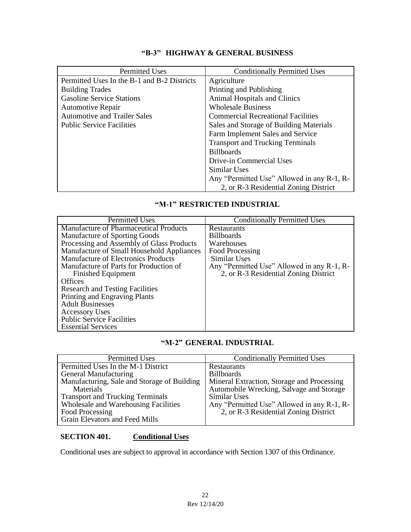# **"B-3" HIGHWAY & GENERAL BUSINESS**

| <b>Permitted Uses</b>                       | <b>Conditionally Permitted Uses</b>        |  |  |  |
|---------------------------------------------|--------------------------------------------|--|--|--|
| Permitted Uses In the B-1 and B-2 Districts | Agriculture                                |  |  |  |
| <b>Building Trades</b>                      | Printing and Publishing                    |  |  |  |
| <b>Gasoline Service Stations</b>            | Animal Hospitals and Clinics               |  |  |  |
| <b>Automotive Repair</b>                    | <b>Wholesale Business</b>                  |  |  |  |
| <b>Automotive and Trailer Sales</b>         | <b>Commercial Recreational Facilities</b>  |  |  |  |
| <b>Public Service Facilities</b>            | Sales and Storage of Building Materials    |  |  |  |
|                                             | Farm Implement Sales and Service           |  |  |  |
|                                             | <b>Transport and Trucking Terminals</b>    |  |  |  |
|                                             | <b>Billboards</b>                          |  |  |  |
|                                             | Drive-in Commercial Uses                   |  |  |  |
|                                             | Similar Uses                               |  |  |  |
|                                             | Any "Permitted Use" Allowed in any R-1, R- |  |  |  |
|                                             | 2, or R-3 Residential Zoning District      |  |  |  |

## **"M-1" RESTRICTED INDUSTRIAL**

| <b>Permitted Uses</b>                     | <b>Conditionally Permitted Uses</b>        |
|-------------------------------------------|--------------------------------------------|
| Manufacture of Pharmaceutical Products    | Restaurants                                |
| Manufacture of Sporting Goods             | <b>Billboards</b>                          |
| Processing and Assembly of Glass Products | Warehouses                                 |
| Manufacture of Small Household Appliances | Food Processing                            |
| Manufacture of Electronics Products       | Similar Uses                               |
| Manufacture of Parts for Production of    | Any "Permitted Use" Allowed in any R-1, R- |
| <b>Finished Equipment</b>                 | 2, or R-3 Residential Zoning District      |
| Offices                                   |                                            |
| <b>Research and Testing Facilities</b>    |                                            |
| Printing and Engraving Plants             |                                            |
| <b>Adult Businesses</b>                   |                                            |
| <b>Accessory Uses</b>                     |                                            |
| <b>Public Service Facilities</b>          |                                            |
| <b>Essential Services</b>                 |                                            |

## **"M-2" GENERAL INDUSTRIAL**

| <b>Permitted Uses</b>                       | <b>Conditionally Permitted Uses</b>        |
|---------------------------------------------|--------------------------------------------|
| Permitted Uses In the M-1 District          | Restaurants                                |
| General Manufacturing                       | <b>Billboards</b>                          |
| Manufacturing, Sale and Storage of Building | Mineral Extraction, Storage and Processing |
| Materials                                   | Automobile Wrecking, Salvage and Storage   |
| <b>Transport and Trucking Terminals</b>     | Similar Uses                               |
| Wholesale and Warehousing Facilities        | Any "Permitted Use" Allowed in any R-1, R- |
| Food Processing                             | 2, or R-3 Residential Zoning District      |
| Grain Elevators and Feed Mills              |                                            |

## **SECTION 401. Conditional Uses**

Conditional uses are subject to approval in accordance with Section 1307 of this Ordinance.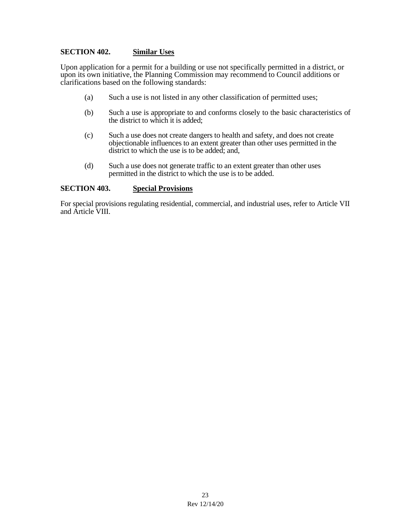### **SECTION 402. Similar Uses**

Upon application for a permit for a building or use not specifically permitted in a district, or upon its own initiative, the Planning Commission may recommend to Council additions or clarifications based on the following standards:

- (a) Such a use is not listed in any other classification of permitted uses;
- (b) Such a use is appropriate to and conforms closely to the basic characteristics of the district to which it is added;
- (c) Such a use does not create dangers to health and safety, and does not create objectionable influences to an extent greater than other uses permitted in the district to which the use is to be added; and,
- (d) Such a use does not generate traffic to an extent greater than other uses permitted in the district to which the use is to be added.

#### **SECTION 403. Special Provisions**

For special provisions regulating residential, commercial, and industrial uses, refer to Article VII and Article VIII.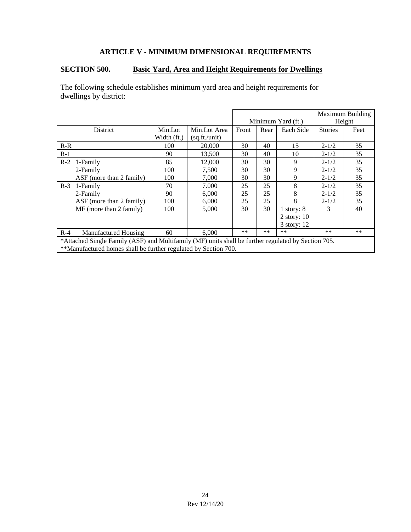# **ARTICLE V - MINIMUM DIMENSIONAL REQUIREMENTS**

# **SECTION 500. Basic Yard, Area and Height Requirements for Dwellings**

The following schedule establishes minimum yard area and height requirements for dwellings by district:

|                                                                                                     |                                                                 |             |               |                    |       |               |                | Maximum Building |  |
|-----------------------------------------------------------------------------------------------------|-----------------------------------------------------------------|-------------|---------------|--------------------|-------|---------------|----------------|------------------|--|
|                                                                                                     |                                                                 |             |               | Minimum Yard (ft.) |       |               | Height         |                  |  |
|                                                                                                     | <b>District</b>                                                 | Min.Lot     | Min.Lot Area  | Front              | Rear  | Each Side     | <b>Stories</b> | Feet             |  |
|                                                                                                     |                                                                 | Width (ft.) | (sq.ft./unit) |                    |       |               |                |                  |  |
| $R-R$                                                                                               |                                                                 | 100         | 20,000        | 30                 | 40    | 15            | $2 - 1/2$      | 35               |  |
| $R-1$                                                                                               |                                                                 | 90          | 13.500        | 30                 | 40    | 10            | $2 - 1/2$      | 35               |  |
| $R-2$                                                                                               | 1-Family                                                        | 85          | 12,000        | 30                 | 30    | 9             | $2 - 1/2$      | 35               |  |
|                                                                                                     | 2-Family                                                        | 100         | 7.500         | 30                 | 30    | 9             | $2 - 1/2$      | 35               |  |
|                                                                                                     | $\overline{ABF}$ (more than 2 family)                           | 100         | 7,000         | 30                 | 30    | 9             | $2 - 1/2$      | 35               |  |
| $R-3$                                                                                               | 1-Family                                                        | 70          | 7.000         | 25                 | 25    | 8             | $2 - 1/2$      | 35               |  |
|                                                                                                     | 2-Family                                                        | 90          | 6,000         | 25                 | 25    | 8             | $2 - 1/2$      | 35               |  |
|                                                                                                     | ASF (more than 2 family)                                        | 100         | 6,000         | 25                 | 25    | 8             | $2 - 1/2$      | 35               |  |
|                                                                                                     | $MF$ (more than 2 family)                                       | 100         | 5,000         | 30                 | 30    | 1 story: $8$  | 3              | 40               |  |
|                                                                                                     |                                                                 |             |               |                    |       | 2 story: $10$ |                |                  |  |
|                                                                                                     |                                                                 |             |               |                    |       | 3 story: 12   |                |                  |  |
| $R-4$                                                                                               | Manufactured Housing                                            | 60          | 6,000         | **                 | $***$ | $***$         | $***$          | $***$            |  |
| *Attached Single Family (ASF) and Multifamily (MF) units shall be further regulated by Section 705. |                                                                 |             |               |                    |       |               |                |                  |  |
|                                                                                                     | **Manufactured homes shall be further regulated by Section 700. |             |               |                    |       |               |                |                  |  |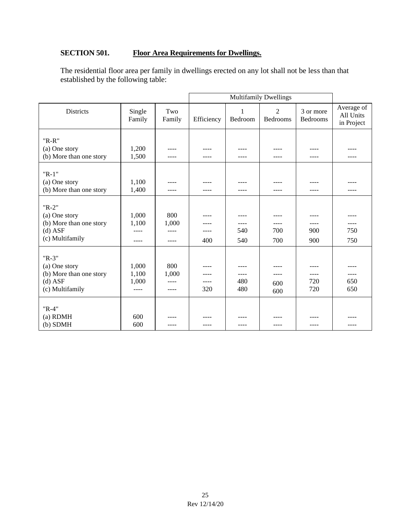# **SECTION 501. Floor Area Requirements for Dwellings.**

The residential floor area per family in dwellings erected on any lot shall not be less than that established by the following table:

| <b>Districts</b>                                                                    | Single<br>Family                     | Two<br>Family                          | Efficiency          | 1<br>Bedroom               | $\overline{2}$<br>Bedrooms | 3 or more<br>Bedrooms   | Average of<br>All Units<br>in Project |
|-------------------------------------------------------------------------------------|--------------------------------------|----------------------------------------|---------------------|----------------------------|----------------------------|-------------------------|---------------------------------------|
| $"R-R"$<br>(a) One story<br>(b) More than one story                                 | 1,200<br>1,500                       | ----<br>----                           | ----                | ----                       | ----                       | ----<br>----            |                                       |
| $"R-1"$<br>(a) One story<br>(b) More than one story                                 | 1,100<br>1,400                       | ----<br>----                           | ----                | ----                       | ----                       | ----                    |                                       |
| $"R-2"$<br>(a) One story<br>(b) More than one story<br>$(d)$ ASF<br>(c) Multifamily | 1,000<br>1,100<br>$---$<br>$- - - -$ | 800<br>1,000<br>$- - - -$<br>$- - - -$ | $- - - -$<br>400    | ----<br>540<br>540         | $- - - -$<br>700<br>700    | ----<br>900<br>900      | 750<br>750                            |
| $"R-3"$<br>(a) One story<br>(b) More than one story<br>$(d)$ ASF<br>(c) Multifamily | 1,000<br>1,100<br>1,000<br>$---$     | 800<br>1,000<br>$---$<br>----          | ----<br>----<br>320 | ----<br>----<br>480<br>480 | $- - - -$<br>600<br>600    | $- - - -$<br>720<br>720 | 650<br>650                            |
| $"R-4"$<br>(a) RDMH<br>$(b)$ SDMH                                                   | 600<br>600                           |                                        |                     |                            |                            |                         |                                       |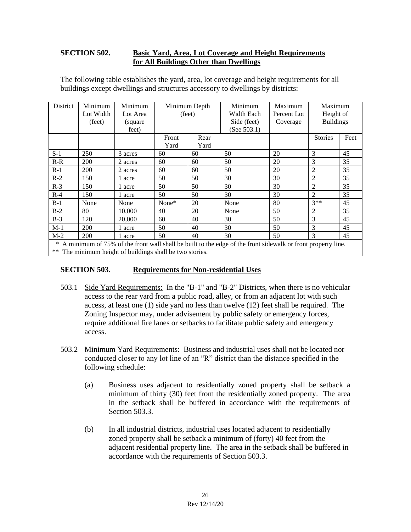## **SECTION 502. Basic Yard, Area, Lot Coverage and Height Requirements for All Buildings Other than Dwellings**

| District                                                                                                           | Minimum   | Minimum  | Minimum Depth |      | Minimum        | Maximum     | Maximum          |      |
|--------------------------------------------------------------------------------------------------------------------|-----------|----------|---------------|------|----------------|-------------|------------------|------|
|                                                                                                                    | Lot Width | Lot Area | (feet)        |      | Width Each     | Percent Lot | Height of        |      |
|                                                                                                                    | (feet)    | (square) |               |      | Side (feet)    | Coverage    | <b>Buildings</b> |      |
|                                                                                                                    |           | feet)    |               |      | (See $503.1$ ) |             |                  |      |
|                                                                                                                    |           |          | Front         | Rear |                |             | <b>Stories</b>   | Feet |
|                                                                                                                    |           |          | Yard          | Yard |                |             |                  |      |
| $S-1$                                                                                                              | 250       | 3 acres  | 60            | 60   | 50             | 20          | 3                | 45   |
| $R-R$                                                                                                              | 200       | 2 acres  | 60            | 60   | 50             | 20          | 3                | 35   |
| $R-1$                                                                                                              | 200       | 2 acres  | 60            | 60   | 50             | 20          | 2                | 35   |
| $R-2$                                                                                                              | 150       | 1 acre   | 50            | 50   | 30             | 30          | 2                | 35   |
| $R-3$                                                                                                              | 150       | 1 acre   | 50            | 50   | 30             | 30          | $\overline{2}$   | 35   |
| $R-4$                                                                                                              | 150       | 1 acre   | 50            | 50   | 30             | 30          | $\overline{2}$   | 35   |
| $B-1$                                                                                                              | None      | None     | None*         | 20   | None           | 80          | $3**$            | 45   |
| $B-2$                                                                                                              | 80        | 10.000   | 40            | 20   | None           | 50          | 2                | 35   |
| $B-3$                                                                                                              | 120       | 20,000   | 60            | 40   | 30             | 50          | 3                | 45   |
| $M-1$                                                                                                              | 200       | 1 acre   | 50            | 40   | 30             | 50          | 3                | 45   |
| $M-2$                                                                                                              | 200       | 1 acre   | 50            | 40   | 30             | 50          | 3                | 45   |
| $*$ A minimum of $75\%$ of the front well shell be built to the edge of the front sidewells or front property line |           |          |               |      |                |             |                  |      |

The following table establishes the yard, area, lot coverage and height requirements for all buildings except dwellings and structures accessory to dwellings by districts:

A minimum of 75% of the front wall shall be built to the edge of the front sidewalk or front property line.

\*\* The minimum height of buildings shall be two stories.

### **SECTION 503. Requirements for Non-residential Uses**

- 503.1 Side Yard Requirements: In the "B-1" and "B-2" Districts, when there is no vehicular access to the rear yard from a public road, alley, or from an adjacent lot with such access, at least one (1) side yard no less than twelve (12) feet shall be required. The Zoning Inspector may, under advisement by public safety or emergency forces, require additional fire lanes or setbacks to facilitate public safety and emergency access.
- 503.2 Minimum Yard Requirements: Business and industrial uses shall not be located nor conducted closer to any lot line of an "R" district than the distance specified in the following schedule:
	- (a) Business uses adjacent to residentially zoned property shall be setback a minimum of thirty (30) feet from the residentially zoned property. The area in the setback shall be buffered in accordance with the requirements of Section 503.3.
	- (b) In all industrial districts, industrial uses located adjacent to residentially zoned property shall be setback a minimum of (forty) 40 feet from the adjacent residential property line. The area in the setback shall be buffered in accordance with the requirements of Section 503.3.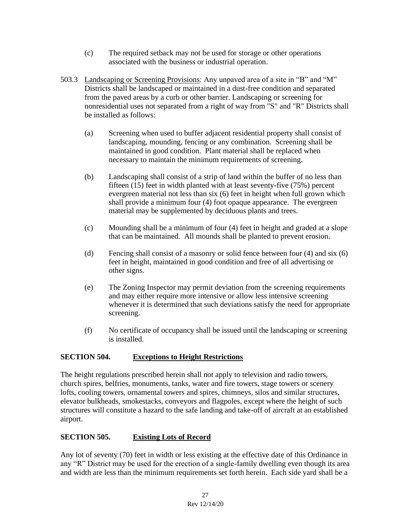- (c) The required setback may not be used for storage or other operations associated with the business or industrial operation.
- 503.3 Landscaping or Screening Provisions: Any unpaved area of a site in "B" and "M" Districts shall be landscaped or maintained in a dust-free condition and separated from the paved areas by a curb or other barrier. Landscaping or screening for nonresidential uses not separated from a right of way from "S" and "R" Districts shall be installed as follows:
	- (a) Screening when used to buffer adjacent residential property shall consist of landscaping, mounding, fencing or any combination. Screening shall be maintained in good condition. Plant material shall be replaced when necessary to maintain the minimum requirements of screening.
	- (b) Landscaping shall consist of a strip of land within the buffer of no less than fifteen  $(15)$  feet in width planted with at least seventy-five  $(75%)$  percent evergreen material not less than six (6) feet in height when full grown which shall provide a minimum four (4) foot opaque appearance. The evergreen material may be supplemented by deciduous plants and trees.
	- (c) Mounding shall be a minimum of four (4) feet in height and graded at a slope that can be maintained. All mounds shall be planted to prevent erosion.
	- (d) Fencing shall consist of a masonry or solid fence between four (4) and six (6) feet in height, maintained in good condition and free of all advertising or other signs.
	- (e) The Zoning Inspector may permit deviation from the screening requirements and may either require more intensive or allow less intensive screening whenever it is determined that such deviations satisfy the need for appropriate screening.
	- (f) No certificate of occupancy shall be issued until the landscaping or screening is installed.

# **SECTION 504. Exceptions to Height Restrictions**

The height regulations prescribed herein shall not apply to television and radio towers, church spires, belfries, monuments, tanks, water and fire towers, stage towers or scenery lofts, cooling towers, ornamental towers and spires, chimneys, silos and similar structures, elevator bulkheads, smokestacks, conveyors and flagpoles, except where the height of such structures will constitute a hazard to the safe landing and take-off of aircraft at an established airport.

# **SECTION 505. Existing Lots of Record**

Any lot of seventy (70) feet in width or less existing at the effective date of this Ordinance in any "R" District may be used for the erection of a single-family dwelling even though its area and width are less than the minimum requirements set forth herein. Each side yard shall be a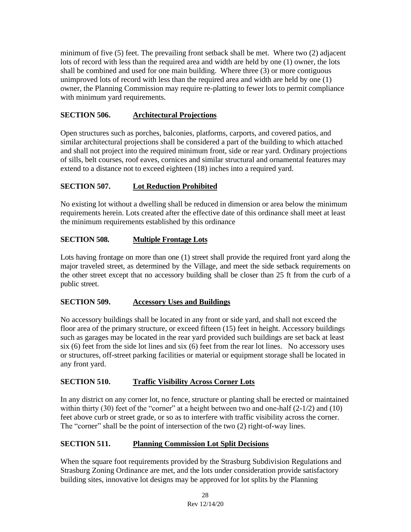minimum of five (5) feet. The prevailing front setback shall be met. Where two (2) adjacent lots of record with less than the required area and width are held by one (1) owner, the lots shall be combined and used for one main building. Where three (3) or more contiguous unimproved lots of record with less than the required area and width are held by one (1) owner, the Planning Commission may require re-platting to fewer lots to permit compliance with minimum yard requirements.

## **SECTION 506. Architectural Projections**

Open structures such as porches, balconies, platforms, carports, and covered patios, and similar architectural projections shall be considered a part of the building to which attached and shall not project into the required minimum front, side or rear yard. Ordinary projections of sills, belt courses, roof eaves, cornices and similar structural and ornamental features may extend to a distance not to exceed eighteen (18) inches into a required yard.

# **SECTION 507. Lot Reduction Prohibited**

No existing lot without a dwelling shall be reduced in dimension or area below the minimum requirements herein. Lots created after the effective date of this ordinance shall meet at least the minimum requirements established by this ordinance

### **SECTION 508.** Multiple Frontage Lots

Lots having frontage on more than one (1) street shall provide the required front yard along the major traveled street, as determined by the Village, and meet the side setback requirements on the other street except that no accessory building shall be closer than 25 ft from the curb of a public street.

### **SECTION 509. Accessory Uses and Buildings**

No accessory buildings shall be located in any front or side yard, and shall not exceed the floor area of the primary structure, or exceed fifteen (15) feet in height. Accessory buildings such as garages may be located in the rear yard provided such buildings are set back at least six (6) feet from the side lot lines and six (6) feet from the rear lot lines. No accessory uses or structures, off-street parking facilities or material or equipment storage shall be located in any front yard.

### **SECTION 510. Traffic Visibility Across Corner Lots**

In any district on any corner lot, no fence, structure or planting shall be erected or maintained within thirty (30) feet of the "corner" at a height between two and one-half  $(2-1/2)$  and (10) feet above curb or street grade, or so as to interfere with traffic visibility across the corner. The "corner" shall be the point of intersection of the two (2) right-of-way lines.

### **SECTION 511. Planning Commission Lot Split Decisions**

When the square foot requirements provided by the Strasburg Subdivision Regulations and Strasburg Zoning Ordinance are met, and the lots under consideration provide satisfactory building sites, innovative lot designs may be approved for lot splits by the Planning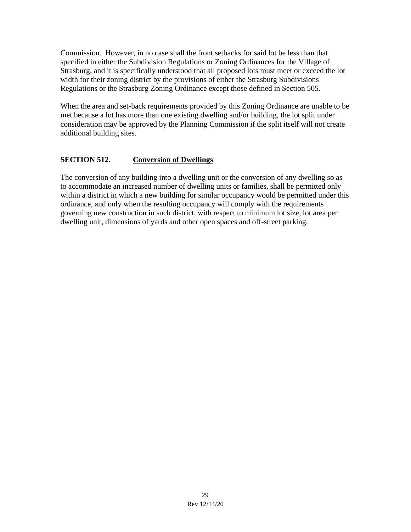Commission. However, in no case shall the front setbacks for said lot be less than that specified in either the Subdivision Regulations or Zoning Ordinances for the Village of Strasburg, and it is specifically understood that all proposed lots must meet or exceed the lot width for their zoning district by the provisions of either the Strasburg Subdivisions Regulations or the Strasburg Zoning Ordinance except those defined in Section 505.

When the area and set-back requirements provided by this Zoning Ordinance are unable to be met because a lot has more than one existing dwelling and/or building, the lot split under consideration may be approved by the Planning Commission if the split itself will not create additional building sites.

## **SECTION 512. Conversion of Dwellings**

The conversion of any building into a dwelling unit or the conversion of any dwelling so as to accommodate an increased number of dwelling units or families, shall be permitted only within a district in which a new building for similar occupancy would be permitted under this ordinance, and only when the resulting occupancy will comply with the requirements governing new construction in such district, with respect to minimum lot size, lot area per dwelling unit, dimensions of yards and other open spaces and off-street parking.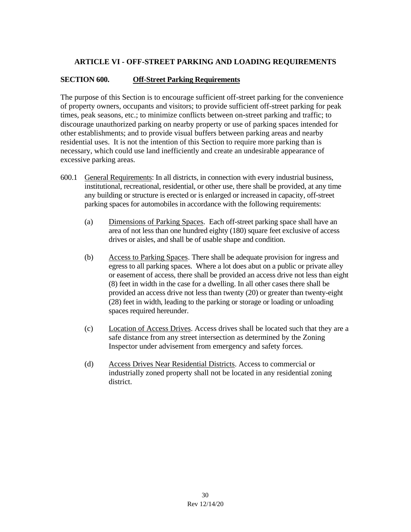# **ARTICLE VI - OFF-STREET PARKING AND LOADING REQUIREMENTS**

## **SECTION 600. Off-Street Parking Requirements**

The purpose of this Section is to encourage sufficient off-street parking for the convenience of property owners, occupants and visitors; to provide sufficient off-street parking for peak times, peak seasons, etc.; to minimize conflicts between on-street parking and traffic; to discourage unauthorized parking on nearby property or use of parking spaces intended for other establishments; and to provide visual buffers between parking areas and nearby residential uses. It is not the intention of this Section to require more parking than is necessary, which could use land inefficiently and create an undesirable appearance of excessive parking areas.

- 600.1 General Requirements: In all districts, in connection with every industrial business, institutional, recreational, residential, or other use, there shall be provided, at any time any building or structure is erected or is enlarged or increased in capacity, off-street parking spaces for automobiles in accordance with the following requirements:
	- (a) Dimensions of Parking Spaces. Each off-street parking space shall have an area of not less than one hundred eighty (180) square feet exclusive of access drives or aisles, and shall be of usable shape and condition.
	- (b) Access to Parking Spaces. There shall be adequate provision for ingress and egress to all parking spaces. Where a lot does abut on a public or private alley or easement of access, there shall be provided an access drive not less than eight (8) feet in width in the case for a dwelling. In all other cases there shall be provided an access drive not less than twenty (20) or greater than twenty-eight (28) feet in width, leading to the parking or storage or loading or unloading spaces required hereunder.
	- (c) Location of Access Drives. Access drives shall be located such that they are a safe distance from any street intersection as determined by the Zoning Inspector under advisement from emergency and safety forces.
	- (d) Access Drives Near Residential Districts. Access to commercial or industrially zoned property shall not be located in any residential zoning district.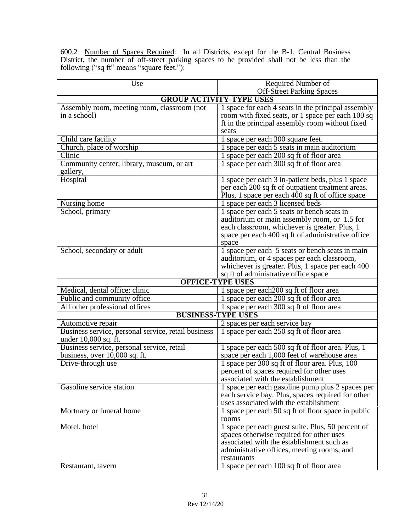600.2 Number of Spaces Required: In all Districts, except for the B-1, Central Business District, the number of off-street parking spaces to be provided shall not be less than the following ("sq ft" means "square feet."):

| Use                                                 | Required Number of                                                           |  |  |  |  |  |  |  |  |
|-----------------------------------------------------|------------------------------------------------------------------------------|--|--|--|--|--|--|--|--|
|                                                     | <b>Off-Street Parking Spaces</b>                                             |  |  |  |  |  |  |  |  |
|                                                     | <b>GROUP ACTIVITY-TYPE USES</b>                                              |  |  |  |  |  |  |  |  |
| Assembly room, meeting room, classroom (not         | $\overline{1}$ space for each $\overline{4}$ seats in the principal assembly |  |  |  |  |  |  |  |  |
| in a school)                                        | room with fixed seats, or 1 space per each 100 sq                            |  |  |  |  |  |  |  |  |
|                                                     | ft in the principal assembly room without fixed                              |  |  |  |  |  |  |  |  |
|                                                     | seats                                                                        |  |  |  |  |  |  |  |  |
| Child care facility                                 | 1 space per each 300 square feet.                                            |  |  |  |  |  |  |  |  |
| Church, place of worship                            | 1 space per each 5 seats in main auditorium                                  |  |  |  |  |  |  |  |  |
| Clinic                                              | 1 space per each 200 sq ft of floor area                                     |  |  |  |  |  |  |  |  |
| Community center, library, museum, or art           | 1 space per each 300 sq ft of floor area                                     |  |  |  |  |  |  |  |  |
| gallery,                                            |                                                                              |  |  |  |  |  |  |  |  |
| Hospital                                            | 1 space per each 3 in-patient beds, plus 1 space                             |  |  |  |  |  |  |  |  |
|                                                     | per each 200 sq ft of outpatient treatment areas.                            |  |  |  |  |  |  |  |  |
|                                                     | Plus, 1 space per each 400 sq ft of office space                             |  |  |  |  |  |  |  |  |
| Nursing home                                        | 1 space per each 3 licensed beds                                             |  |  |  |  |  |  |  |  |
| School, primary                                     | 1 space per each 5 seats or bench seats in                                   |  |  |  |  |  |  |  |  |
|                                                     | auditorium or main assembly room, or 1.5 for                                 |  |  |  |  |  |  |  |  |
|                                                     | each classroom, whichever is greater. Plus, 1                                |  |  |  |  |  |  |  |  |
|                                                     | space per each 400 sq ft of administrative office                            |  |  |  |  |  |  |  |  |
|                                                     | space                                                                        |  |  |  |  |  |  |  |  |
| School, secondary or adult                          | 1 space per each 5 seats or bench seats in main                              |  |  |  |  |  |  |  |  |
|                                                     | auditorium, or 4 spaces per each classroom,                                  |  |  |  |  |  |  |  |  |
|                                                     | whichever is greater. Plus, 1 space per each 400                             |  |  |  |  |  |  |  |  |
|                                                     | sq ft of administrative office space                                         |  |  |  |  |  |  |  |  |
|                                                     | <b>OFFICE-TYPE USES</b>                                                      |  |  |  |  |  |  |  |  |
| Medical, dental office; clinic                      | 1 space per each 200 sq ft of floor area                                     |  |  |  |  |  |  |  |  |
| Public and community office                         | 1 space per each 200 sq ft of floor area                                     |  |  |  |  |  |  |  |  |
| All other professional offices                      | 1 space per each 300 sq ft of floor area                                     |  |  |  |  |  |  |  |  |
| <b>BUSINESS-TYPE USES</b>                           |                                                                              |  |  |  |  |  |  |  |  |
| Automotive repair                                   | 2 spaces per each service bay                                                |  |  |  |  |  |  |  |  |
| Business service, personal service, retail business | 1 space per each 250 sq ft of floor area                                     |  |  |  |  |  |  |  |  |
| under 10,000 sq. ft.                                |                                                                              |  |  |  |  |  |  |  |  |
| Business service, personal service, retail          | 1 space per each 500 sq ft of floor area. Plus, 1                            |  |  |  |  |  |  |  |  |
| business, over 10,000 sq. ft.                       | space per each 1,000 feet of warehouse area                                  |  |  |  |  |  |  |  |  |
| Drive-through use                                   | 1 space per 300 sq ft of floor area. Plus, 100                               |  |  |  |  |  |  |  |  |
|                                                     | percent of spaces required for other uses                                    |  |  |  |  |  |  |  |  |
|                                                     | associated with the establishment                                            |  |  |  |  |  |  |  |  |
| Gasoline service station                            | 1 space per each gasoline pump plus $\overline{2}$ spaces per                |  |  |  |  |  |  |  |  |
|                                                     | each service bay. Plus, spaces required for other                            |  |  |  |  |  |  |  |  |
|                                                     | uses associated with the establishment                                       |  |  |  |  |  |  |  |  |
| Mortuary or funeral home                            | 1 space per each 50 sq ft of floor space in public                           |  |  |  |  |  |  |  |  |
|                                                     | rooms                                                                        |  |  |  |  |  |  |  |  |
| Motel, hotel                                        | 1 space per each guest suite. Plus, 50 percent of                            |  |  |  |  |  |  |  |  |
|                                                     | spaces otherwise required for other uses                                     |  |  |  |  |  |  |  |  |
|                                                     | associated with the establishment such as                                    |  |  |  |  |  |  |  |  |
|                                                     | administrative offices, meeting rooms, and                                   |  |  |  |  |  |  |  |  |
|                                                     | restaurants                                                                  |  |  |  |  |  |  |  |  |
| Restaurant, tavern                                  | 1 space per each 100 sq ft of floor area                                     |  |  |  |  |  |  |  |  |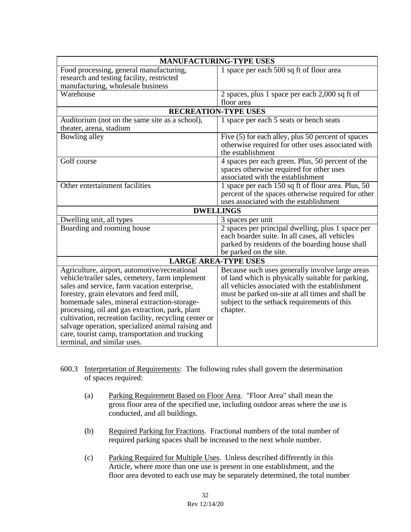| <b>MANUFACTURING-TYPE USES</b>                        |                                                    |  |  |  |  |  |  |
|-------------------------------------------------------|----------------------------------------------------|--|--|--|--|--|--|
| Food processing, general manufacturing,               | 1 space per each 500 sq ft of floor area           |  |  |  |  |  |  |
| research and testing facility, restricted             |                                                    |  |  |  |  |  |  |
| manufacturing, wholesale business                     |                                                    |  |  |  |  |  |  |
| Warehouse                                             | 2 spaces, plus 1 space per each 2,000 sq ft of     |  |  |  |  |  |  |
|                                                       | floor area                                         |  |  |  |  |  |  |
| <b>RECREATION-TYPE USES</b>                           |                                                    |  |  |  |  |  |  |
| Auditorium (not on the same site as a school),        | 1 space per each 5 seats or bench seats            |  |  |  |  |  |  |
| theater, arena, stadium                               |                                                    |  |  |  |  |  |  |
| Bowling alley                                         | Five (5) for each alley, plus 50 percent of spaces |  |  |  |  |  |  |
|                                                       | otherwise required for other uses associated with  |  |  |  |  |  |  |
|                                                       | the establishment                                  |  |  |  |  |  |  |
| Golf course                                           | 4 spaces per each green. Plus, 50 percent of the   |  |  |  |  |  |  |
|                                                       | spaces otherwise required for other uses           |  |  |  |  |  |  |
|                                                       | associated with the establishment                  |  |  |  |  |  |  |
| Other entertainment facilities                        | 1 space per each 150 sq ft of floor area. Plus, 50 |  |  |  |  |  |  |
|                                                       | percent of the spaces otherwise required for other |  |  |  |  |  |  |
|                                                       | uses associated with the establishment             |  |  |  |  |  |  |
|                                                       | <b>DWELLINGS</b>                                   |  |  |  |  |  |  |
| Dwelling unit, all types                              | 3 spaces per unit                                  |  |  |  |  |  |  |
| Boarding and rooming house                            | 2 spaces per principal dwelling, plus 1 space per  |  |  |  |  |  |  |
|                                                       | each boarder suite. In all cases, all vehicles     |  |  |  |  |  |  |
|                                                       | parked by residents of the boarding house shall    |  |  |  |  |  |  |
|                                                       | be parked on the site.                             |  |  |  |  |  |  |
|                                                       | <b>LARGE AREA-TYPE USES</b>                        |  |  |  |  |  |  |
| Agriculture, airport, automotive/recreational         | Because such uses generally involve large areas    |  |  |  |  |  |  |
| vehicle/trailer sales, cemetery, farm implement       | of land which is physically suitable for parking,  |  |  |  |  |  |  |
| sales and service, farm vacation enterprise,          | all vehicles associated with the establishment     |  |  |  |  |  |  |
| forestry, grain elevators and feed mill,              | must be parked on-site at all times and shall be   |  |  |  |  |  |  |
| homemade sales, mineral extraction-storage-           | subject to the setback requirements of this        |  |  |  |  |  |  |
| processing, oil and gas extraction, park, plant       | chapter.                                           |  |  |  |  |  |  |
| cultivation, recreation facility, recycling center or |                                                    |  |  |  |  |  |  |
| salvage operation, specialized animal raising and     |                                                    |  |  |  |  |  |  |
| care, tourist camp, transportation and trucking       |                                                    |  |  |  |  |  |  |
| terminal, and similar uses.                           |                                                    |  |  |  |  |  |  |

- 600.3 Interpretation of Requirements: The following rules shall govern the determination of spaces required:
	- (a) Parking Requirement Based on Floor Area."Floor Area" shall mean the gross floor area of the specified use, including outdoor areas where the use is conducted, and all buildings.
	- (b) Required Parking for Fractions.Fractional numbers of the total number of required parking spaces shall be increased to the next whole number.
	- (c) Parking Required for Multiple Uses. Unless described differently in this Article, where more than one use is present in one establishment, and the floor area devoted to each use may be separately determined, the total number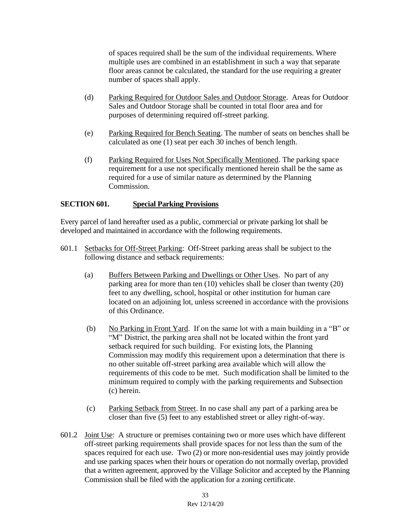of spaces required shall be the sum of the individual requirements. Where multiple uses are combined in an establishment in such a way that separate floor areas cannot be calculated, the standard for the use requiring a greater number of spaces shall apply.

- (d) Parking Required for Outdoor Sales and Outdoor Storage.Areas for Outdoor Sales and Outdoor Storage shall be counted in total floor area and for purposes of determining required off-street parking.
- (e) Parking Required for Bench Seating. The number of seats on benches shall be calculated as one (1) seat per each 30 inches of bench length.
- (f) Parking Required for Uses Not Specifically Mentioned. The parking space requirement for a use not specifically mentioned herein shall be the same as required for a use of similar nature as determined by the Planning Commission.

## **SECTION 601. Special Parking Provisions**

Every parcel of land hereafter used as a public, commercial or private parking lot shall be developed and maintained in accordance with the following requirements.

- 601.1 Setbacks for Off-Street Parking: Off-Street parking areas shall be subject to the following distance and setback requirements:
	- (a) Buffers Between Parking and Dwellings or Other Uses. No part of any parking area for more than ten (10) vehicles shall be closer than twenty (20) feet to any dwelling, school, hospital or other institution for human care located on an adjoining lot, unless screened in accordance with the provisions of this Ordinance.
	- (b) No Parking in Front Yard. If on the same lot with a main building in a "B" or "M" District, the parking area shall not be located within the front yard setback required for such building. For existing lots, the Planning Commission may modify this requirement upon a determination that there is no other suitable off-street parking area available which will allow the requirements of this code to be met. Such modification shall be limited to the minimum required to comply with the parking requirements and Subsection (c) herein.
	- (c) Parking Setback from Street. In no case shall any part of a parking area be closer than five (5) feet to any established street or alley right-of-way.
- 601.2 Joint Use: A structure or premises containing two or more uses which have different off-street parking requirements shall provide spaces for not less than the sum of the spaces required for each use. Two (2) or more non-residential uses may jointly provide and use parking spaces when their hours or operation do not normally overlap, provided that a written agreement, approved by the Village Solicitor and accepted by the Planning Commission shall be filed with the application for a zoning certificate.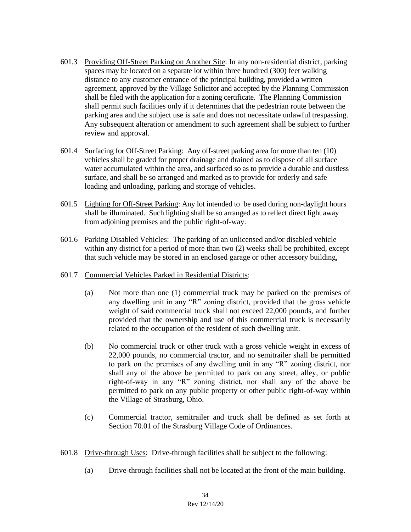- 601.3 Providing Off-Street Parking on Another Site: In any non-residential district, parking spaces may be located on a separate lot within three hundred (300) feet walking distance to any customer entrance of the principal building, provided a written agreement, approved by the Village Solicitor and accepted by the Planning Commission shall be filed with the application for a zoning certificate. The Planning Commission shall permit such facilities only if it determines that the pedestrian route between the parking area and the subject use is safe and does not necessitate unlawful trespassing. Any subsequent alteration or amendment to such agreement shall be subject to further review and approval.
- 601.4 Surfacing for Off-Street Parking: Any off-street parking area for more than ten (10) vehicles shall be graded for proper drainage and drained as to dispose of all surface water accumulated within the area, and surfaced so as to provide a durable and dustless surface, and shall be so arranged and marked as to provide for orderly and safe loading and unloading, parking and storage of vehicles.
- 601.5 Lighting for Off-Street Parking: Any lot intended to be used during non-daylight hours shall be illuminated. Such lighting shall be so arranged as to reflect direct light away from adjoining premises and the public right-of-way.
- 601.6 Parking Disabled Vehicles: The parking of an unlicensed and/or disabled vehicle within any district for a period of more than two  $(2)$  weeks shall be prohibited, except that such vehicle may be stored in an enclosed garage or other accessory building,
- 601.7 Commercial Vehicles Parked in Residential Districts:
	- (a) Not more than one (1) commercial truck may be parked on the premises of any dwelling unit in any "R" zoning district, provided that the gross vehicle weight of said commercial truck shall not exceed 22,000 pounds, and further provided that the ownership and use of this commercial truck is necessarily related to the occupation of the resident of such dwelling unit.
	- (b) No commercial truck or other truck with a gross vehicle weight in excess of 22,000 pounds, no commercial tractor, and no semitrailer shall be permitted to park on the premises of any dwelling unit in any "R" zoning district, nor shall any of the above be permitted to park on any street, alley, or public right-of-way in any "R" zoning district, nor shall any of the above be permitted to park on any public property or other public right-of-way within the Village of Strasburg, Ohio.
	- (c) Commercial tractor, semitrailer and truck shall be defined as set forth at Section 70.01 of the Strasburg Village Code of Ordinances.
- 601.8 Drive-through Uses: Drive-through facilities shall be subject to the following:
	- (a) Drive-through facilities shall not be located at the front of the main building.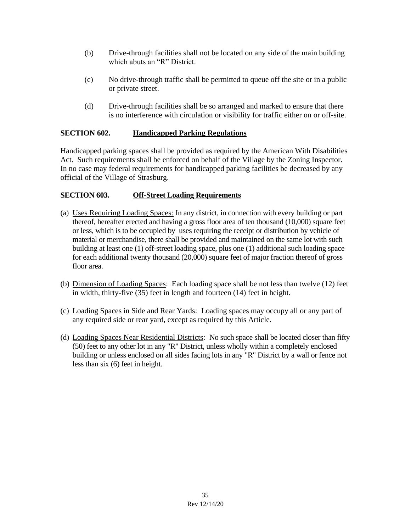- (b) Drive-through facilities shall not be located on any side of the main building which abuts an "R" District.
- (c) No drive-through traffic shall be permitted to queue off the site or in a public or private street.
- (d) Drive-through facilities shall be so arranged and marked to ensure that there is no interference with circulation or visibility for traffic either on or off-site.

# **SECTION 602. Handicapped Parking Regulations**

Handicapped parking spaces shall be provided as required by the American With Disabilities Act. Such requirements shall be enforced on behalf of the Village by the Zoning Inspector. In no case may federal requirements for handicapped parking facilities be decreased by any official of the Village of Strasburg.

# **SECTION 603. Off-Street Loading Requirements**

- (a) Uses Requiring Loading Spaces: In any district, in connection with every building or part thereof, hereafter erected and having a gross floor area of ten thousand (10,000) square feet or less, which is to be occupied by uses requiring the receipt or distribution by vehicle of material or merchandise, there shall be provided and maintained on the same lot with such building at least one (1) off-street loading space, plus one (1) additional such loading space for each additional twenty thousand (20,000) square feet of major fraction thereof of gross floor area.
- (b) Dimension of Loading Spaces: Each loading space shall be not less than twelve (12) feet in width, thirty-five (35) feet in length and fourteen (14) feet in height.
- (c) Loading Spaces in Side and Rear Yards: Loading spaces may occupy all or any part of any required side or rear yard, except as required by this Article.
- (d) Loading Spaces Near Residential Districts: No such space shall be located closer than fifty (50) feet to any other lot in any "R" District, unless wholly within a completely enclosed building or unless enclosed on all sides facing lots in any "R" District by a wall or fence not less than six (6) feet in height.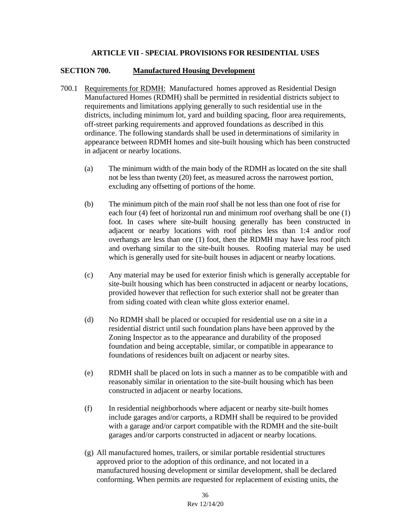## **ARTICLE VII - SPECIAL PROVISIONS FOR RESIDENTIAL USES**

#### **SECTION 700. Manufactured Housing Development**

- 700.1 Requirements for RDMH: Manufactured homes approved as Residential Design Manufactured Homes (RDMH) shall be permitted in residential districts subject to requirements and limitations applying generally to such residential use in the districts, including minimum lot, yard and building spacing, floor area requirements, off-street parking requirements and approved foundations as described in this ordinance. The following standards shall be used in determinations of similarity in appearance between RDMH homes and site-built housing which has been constructed in adjacent or nearby locations.
	- (a) The minimum width of the main body of the RDMH as located on the site shall not be less than twenty (20) feet, as measured across the narrowest portion, excluding any offsetting of portions of the home.
	- (b) The minimum pitch of the main roof shall be not less than one foot of rise for each four (4) feet of horizontal run and minimum roof overhang shall be one (1) foot. In cases where site-built housing generally has been constructed in adjacent or nearby locations with roof pitches less than 1:4 and/or roof overhangs are less than one (1) foot, then the RDMH may have less roof pitch and overhang similar to the site-built houses. Roofing material may be used which is generally used for site-built houses in adjacent or nearby locations.
	- (c) Any material may be used for exterior finish which is generally acceptable for site-built housing which has been constructed in adjacent or nearby locations, provided however that reflection for such exterior shall not be greater than from siding coated with clean white gloss exterior enamel.
	- (d) No RDMH shall be placed or occupied for residential use on a site in a residential district until such foundation plans have been approved by the Zoning Inspector as to the appearance and durability of the proposed foundation and being acceptable, similar, or compatible in appearance to foundations of residences built on adjacent or nearby sites.
	- (e) RDMH shall be placed on lots in such a manner as to be compatible with and reasonably similar in orientation to the site-built housing which has been constructed in adjacent or nearby locations.
	- (f) In residential neighborhoods where adjacent or nearby site-built homes include garages and/or carports, a RDMH shall be required to be provided with a garage and/or carport compatible with the RDMH and the site-built garages and/or carports constructed in adjacent or nearby locations.
	- (g) All manufactured homes, trailers, or similar portable residential structures approved prior to the adoption of this ordinance, and not located in a manufactured housing development or similar development, shall be declared conforming. When permits are requested for replacement of existing units, the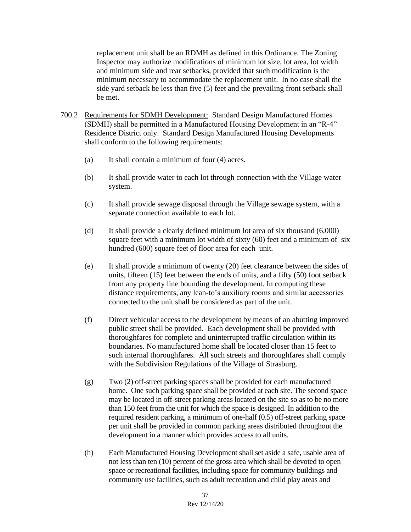replacement unit shall be an RDMH as defined in this Ordinance. The Zoning Inspector may authorize modifications of minimum lot size, lot area, lot width and minimum side and rear setbacks, provided that such modification is the minimum necessary to accommodate the replacement unit. In no case shall the side yard setback be less than five (5) feet and the prevailing front setback shall be met.

- 700.2 Requirements for SDMH Development: Standard Design Manufactured Homes (SDMH) shall be permitted in a Manufactured Housing Development in an "R-4" Residence District only. Standard Design Manufactured Housing Developments shall conform to the following requirements:
	- (a) It shall contain a minimum of four (4) acres.
	- (b) It shall provide water to each lot through connection with the Village water system.
	- (c) It shall provide sewage disposal through the Village sewage system, with a separate connection available to each lot.
	- (d) It shall provide a clearly defined minimum lot area of six thousand (6,000) square feet with a minimum lot width of sixty (60) feet and a minimum of six hundred (600) square feet of floor area for each unit.
	- (e) It shall provide a minimum of twenty (20) feet clearance between the sides of units, fifteen (15) feet between the ends of units, and a fifty (50) foot setback from any property line bounding the development. In computing these distance requirements, any lean-to's auxiliary rooms and similar accessories connected to the unit shall be considered as part of the unit.
	- (f) Direct vehicular access to the development by means of an abutting improved public street shall be provided. Each development shall be provided with thoroughfares for complete and uninterrupted traffic circulation within its boundaries. No manufactured home shall be located closer than 15 feet to such internal thoroughfares. All such streets and thoroughfares shall comply with the Subdivision Regulations of the Village of Strasburg.
	- (g) Two (2) off-street parking spaces shall be provided for each manufactured home. One such parking space shall be provided at each site. The second space may be located in off-street parking areas located on the site so as to be no more than 150 feet from the unit for which the space is designed. In addition to the required resident parking, a minimum of one-half (0.5) off-street parking space per unit shall be provided in common parking areas distributed throughout the development in a manner which provides access to all units.
	- (h) Each Manufactured Housing Development shall set aside a safe, usable area of not less than ten (10) percent of the gross area which shall be devoted to open space or recreational facilities, including space for community buildings and community use facilities, such as adult recreation and child play areas and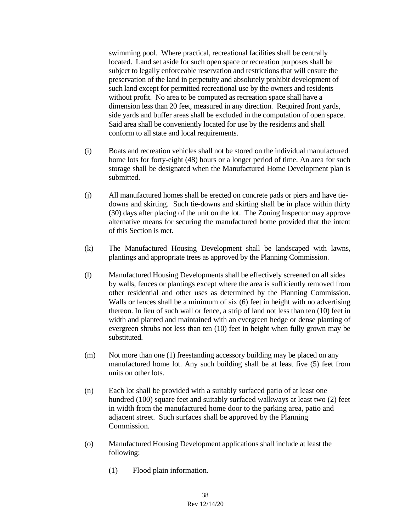swimming pool. Where practical, recreational facilities shall be centrally located. Land set aside for such open space or recreation purposes shall be subject to legally enforceable reservation and restrictions that will ensure the preservation of the land in perpetuity and absolutely prohibit development of such land except for permitted recreational use by the owners and residents without profit. No area to be computed as recreation space shall have a dimension less than 20 feet, measured in any direction. Required front yards, side yards and buffer areas shall be excluded in the computation of open space. Said area shall be conveniently located for use by the residents and shall conform to all state and local requirements.

- (i) Boats and recreation vehicles shall not be stored on the individual manufactured home lots for forty-eight (48) hours or a longer period of time. An area for such storage shall be designated when the Manufactured Home Development plan is submitted.
- (j) All manufactured homes shall be erected on concrete pads or piers and have tiedowns and skirting. Such tie-downs and skirting shall be in place within thirty (30) days after placing of the unit on the lot. The Zoning Inspector may approve alternative means for securing the manufactured home provided that the intent of this Section is met.
- (k) The Manufactured Housing Development shall be landscaped with lawns, plantings and appropriate trees as approved by the Planning Commission.
- (l) Manufactured Housing Developments shall be effectively screened on all sides by walls, fences or plantings except where the area is sufficiently removed from other residential and other uses as determined by the Planning Commission. Walls or fences shall be a minimum of six (6) feet in height with no advertising thereon. In lieu of such wall or fence, a strip of land not less than ten (10) feet in width and planted and maintained with an evergreen hedge or dense planting of evergreen shrubs not less than ten (10) feet in height when fully grown may be substituted.
- (m) Not more than one (1) freestanding accessory building may be placed on any manufactured home lot. Any such building shall be at least five (5) feet from units on other lots.
- (n) Each lot shall be provided with a suitably surfaced patio of at least one hundred (100) square feet and suitably surfaced walkways at least two (2) feet in width from the manufactured home door to the parking area, patio and adjacent street. Such surfaces shall be approved by the Planning Commission.
- (o) Manufactured Housing Development applications shall include at least the following:
	- (1) Flood plain information.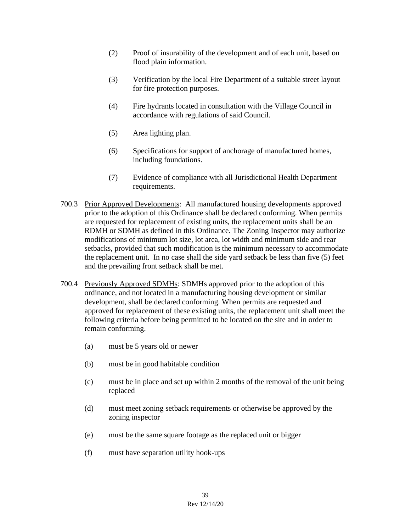- (2) Proof of insurability of the development and of each unit, based on flood plain information.
- (3) Verification by the local Fire Department of a suitable street layout for fire protection purposes.
- (4) Fire hydrants located in consultation with the Village Council in accordance with regulations of said Council.
- (5) Area lighting plan.
- (6) Specifications for support of anchorage of manufactured homes, including foundations.
- (7) Evidence of compliance with all Jurisdictional Health Department requirements.
- 700.3 Prior Approved Developments: All manufactured housing developments approved prior to the adoption of this Ordinance shall be declared conforming. When permits are requested for replacement of existing units, the replacement units shall be an RDMH or SDMH as defined in this Ordinance. The Zoning Inspector may authorize modifications of minimum lot size, lot area, lot width and minimum side and rear setbacks, provided that such modification is the minimum necessary to accommodate the replacement unit. In no case shall the side yard setback be less than five (5) feet and the prevailing front setback shall be met.
- 700.4 Previously Approved SDMHs: SDMHs approved prior to the adoption of this ordinance, and not located in a manufacturing housing development or similar development, shall be declared conforming. When permits are requested and approved for replacement of these existing units, the replacement unit shall meet the following criteria before being permitted to be located on the site and in order to remain conforming.
	- (a) must be 5 years old or newer
	- (b) must be in good habitable condition
	- (c) must be in place and set up within 2 months of the removal of the unit being replaced
	- (d) must meet zoning setback requirements or otherwise be approved by the zoning inspector
	- (e) must be the same square footage as the replaced unit or bigger
	- (f) must have separation utility hook-ups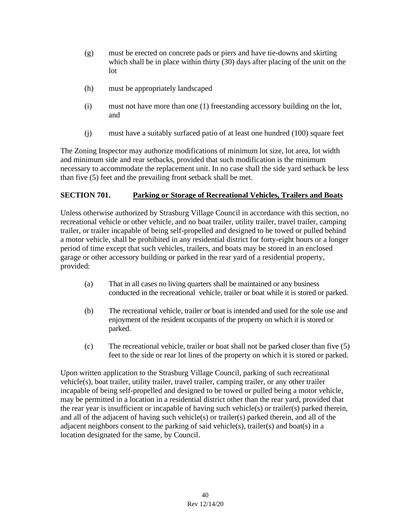- (g) must be erected on concrete pads or piers and have tie-downs and skirting which shall be in place within thirty (30) days after placing of the unit on the lot
- (h) must be appropriately landscaped
- (i) must not have more than one (1) freestanding accessory building on the lot, and
- (j) must have a suitably surfaced patio of at least one hundred (100) square feet

The Zoning Inspector may authorize modifications of minimum lot size, lot area, lot width and minimum side and rear setbacks, provided that such modification is the minimum necessary to accommodate the replacement unit. In no case shall the side yard setback be less than five (5) feet and the prevailing front setback shall be met.

# **SECTION 701. Parking or Storage of Recreational Vehicles, Trailers and Boats**

Unless otherwise authorized by Strasburg Village Council in accordance with this section, no recreational vehicle or other vehicle, and no boat trailer, utility trailer, travel trailer, camping trailer, or trailer incapable of being self-propelled and designed to be towed or pulled behind a motor vehicle, shall be prohibited in any residential district for forty-eight hours or a longer period of time except that such vehicles, trailers, and boats may be stored in an enclosed garage or other accessory building or parked in the rear yard of a residential property, provided:

- (a) That in all cases no living quarters shall be maintained or any business conducted in the recreational vehicle, trailer or boat while it is stored or parked.
- (b) The recreational vehicle, trailer or boat is intended and used for the sole use and enjoyment of the resident occupants of the property on which it is stored or parked.
- (c) The recreational vehicle, trailer or boat shall not be parked closer than five (5) feet to the side or rear lot lines of the property on which it is stored or parked.

Upon written application to the Strasburg Village Council, parking of such recreational vehicle(s), boat trailer, utility trailer, travel trailer, camping trailer, or any other trailer incapable of being self-propelled and designed to be towed or pulled being a motor vehicle, may be permitted in a location in a residential district other than the rear yard, provided that the rear year is insufficient or incapable of having such vehicle(s) or trailer(s) parked therein, and all of the adjacent of having such vehicle(s) or trailer(s) parked therein, and all of the adjacent neighbors consent to the parking of said vehicle(s), trailer(s) and boat(s) in a location designated for the same, by Council.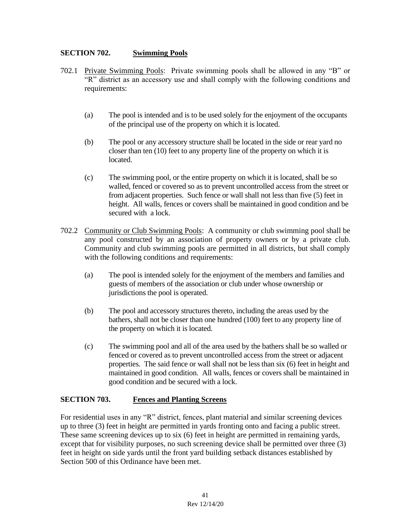## **SECTION 702. Swimming Pools**

- 702.1 Private Swimming Pools: Private swimming pools shall be allowed in any "B" or "R" district as an accessory use and shall comply with the following conditions and requirements:
	- (a) The pool is intended and is to be used solely for the enjoyment of the occupants of the principal use of the property on which it is located.
	- (b) The pool or any accessory structure shall be located in the side or rear yard no closer than ten (10) feet to any property line of the property on which it is located.
	- (c) The swimming pool, or the entire property on which it is located, shall be so walled, fenced or covered so as to prevent uncontrolled access from the street or from adjacent properties. Such fence or wall shall not less than five (5) feet in height. All walls, fences or covers shall be maintained in good condition and be secured with a lock.
- 702.2 Community or Club Swimming Pools: A community or club swimming pool shall be any pool constructed by an association of property owners or by a private club. Community and club swimming pools are permitted in all districts, but shall comply with the following conditions and requirements:
	- (a) The pool is intended solely for the enjoyment of the members and families and guests of members of the association or club under whose ownership or jurisdictions the pool is operated.
	- (b) The pool and accessory structures thereto, including the areas used by the bathers, shall not be closer than one hundred (100) feet to any property line of the property on which it is located.
	- (c) The swimming pool and all of the area used by the bathers shall be so walled or fenced or covered as to prevent uncontrolled access from the street or adjacent properties. The said fence or wall shall not be less than six (6) feet in height and maintained in good condition. All walls, fences or covers shall be maintained in good condition and be secured with a lock.

#### **SECTION 703. Fences and Planting Screens**

For residential uses in any "R" district, fences, plant material and similar screening devices up to three (3) feet in height are permitted in yards fronting onto and facing a public street. These same screening devices up to six (6) feet in height are permitted in remaining yards, except that for visibility purposes, no such screening device shall be permitted over three (3) feet in height on side yards until the front yard building setback distances established by Section 500 of this Ordinance have been met.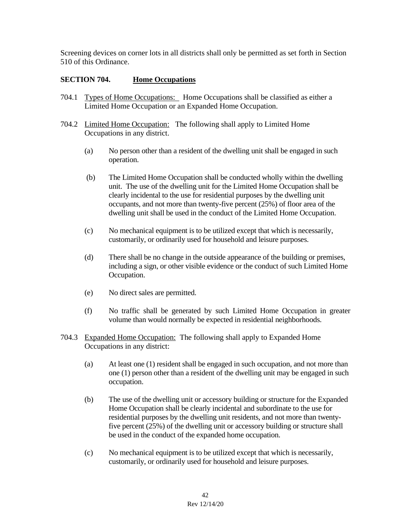Screening devices on corner lots in all districts shall only be permitted as set forth in Section 510 of this Ordinance.

# **SECTION 704. Home Occupations**

- 704.1 Types of Home Occupations: Home Occupations shall be classified as either a Limited Home Occupation or an Expanded Home Occupation.
- 704.2 Limited Home Occupation: The following shall apply to Limited Home Occupations in any district.
	- (a) No person other than a resident of the dwelling unit shall be engaged in such operation.
	- (b) The Limited Home Occupation shall be conducted wholly within the dwelling unit. The use of the dwelling unit for the Limited Home Occupation shall be clearly incidental to the use for residential purposes by the dwelling unit occupants, and not more than twenty-five percent (25%) of floor area of the dwelling unit shall be used in the conduct of the Limited Home Occupation.
	- (c) No mechanical equipment is to be utilized except that which is necessarily, customarily, or ordinarily used for household and leisure purposes.
	- (d) There shall be no change in the outside appearance of the building or premises, including a sign, or other visible evidence or the conduct of such Limited Home Occupation.
	- (e) No direct sales are permitted.
	- (f) No traffic shall be generated by such Limited Home Occupation in greater volume than would normally be expected in residential neighborhoods.
- 704.3 Expanded Home Occupation: The following shall apply to Expanded Home Occupations in any district:
	- (a) At least one (1) resident shall be engaged in such occupation, and not more than one (1) person other than a resident of the dwelling unit may be engaged in such occupation.
	- (b) The use of the dwelling unit or accessory building or structure for the Expanded Home Occupation shall be clearly incidental and subordinate to the use for residential purposes by the dwelling unit residents, and not more than twentyfive percent (25%) of the dwelling unit or accessory building or structure shall be used in the conduct of the expanded home occupation.
	- (c) No mechanical equipment is to be utilized except that which is necessarily, customarily, or ordinarily used for household and leisure purposes.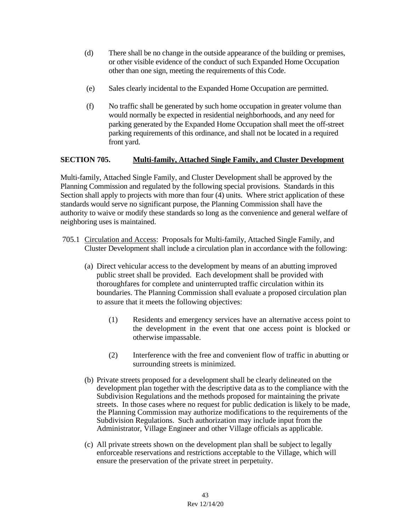- (d) There shall be no change in the outside appearance of the building or premises, or other visible evidence of the conduct of such Expanded Home Occupation other than one sign, meeting the requirements of this Code.
- (e) Sales clearly incidental to the Expanded Home Occupation are permitted.
- (f) No traffic shall be generated by such home occupation in greater volume than would normally be expected in residential neighborhoods, and any need for parking generated by the Expanded Home Occupation shall meet the off-street parking requirements of this ordinance, and shall not be located in a required front yard.

# **SECTION 705. Multi-family, Attached Single Family, and Cluster Development**

Multi-family, Attached Single Family, and Cluster Development shall be approved by the Planning Commission and regulated by the following special provisions. Standards in this Section shall apply to projects with more than four (4) units. Where strict application of these standards would serve no significant purpose, the Planning Commission shall have the authority to waive or modify these standards so long as the convenience and general welfare of neighboring uses is maintained.

- 705.1 Circulation and Access: Proposals for Multi-family, Attached Single Family, and Cluster Development shall include a circulation plan in accordance with the following:
	- (a) Direct vehicular access to the development by means of an abutting improved public street shall be provided. Each development shall be provided with thoroughfares for complete and uninterrupted traffic circulation within its boundaries. The Planning Commission shall evaluate a proposed circulation plan to assure that it meets the following objectives:
		- (1) Residents and emergency services have an alternative access point to the development in the event that one access point is blocked or otherwise impassable.
		- (2) Interference with the free and convenient flow of traffic in abutting or surrounding streets is minimized.
	- (b) Private streets proposed for a development shall be clearly delineated on the development plan together with the descriptive data as to the compliance with the Subdivision Regulations and the methods proposed for maintaining the private streets. In those cases where no request for public dedication is likely to be made, the Planning Commission may authorize modifications to the requirements of the Subdivision Regulations. Such authorization may include input from the Administrator, Village Engineer and other Village officials as applicable.
	- (c) All private streets shown on the development plan shall be subject to legally enforceable reservations and restrictions acceptable to the Village, which will ensure the preservation of the private street in perpetuity.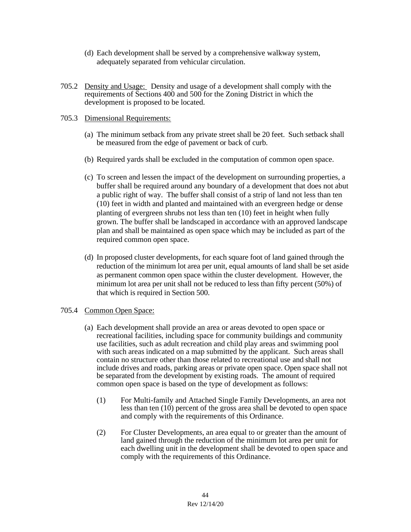- (d) Each development shall be served by a comprehensive walkway system, adequately separated from vehicular circulation.
- 705.2 Density and Usage: Density and usage of a development shall comply with the requirements of Sections 400 and 500 for the Zoning District in which the development is proposed to be located.

#### 705.3 Dimensional Requirements:

- (a) The minimum setback from any private street shall be 20 feet. Such setback shall be measured from the edge of pavement or back of curb.
- (b) Required yards shall be excluded in the computation of common open space.
- (c) To screen and lessen the impact of the development on surrounding properties, a buffer shall be required around any boundary of a development that does not abut a public right of way. The buffer shall consist of a strip of land not less than ten (10) feet in width and planted and maintained with an evergreen hedge or dense planting of evergreen shrubs not less than ten (10) feet in height when fully grown. The buffer shall be landscaped in accordance with an approved landscape plan and shall be maintained as open space which may be included as part of the required common open space.
- (d) In proposed cluster developments, for each square foot of land gained through the reduction of the minimum lot area per unit, equal amounts of land shall be set aside as permanent common open space within the cluster development. However, the minimum lot area per unit shall not be reduced to less than fifty percent (50%) of that which is required in Section 500.

#### 705.4 Common Open Space:

- (a) Each development shall provide an area or areas devoted to open space or recreational facilities, including space for community buildings and community use facilities, such as adult recreation and child play areas and swimming pool with such areas indicated on a map submitted by the applicant. Such areas shall contain no structure other than those related to recreational use and shall not include drives and roads, parking areas or private open space. Open space shall not be separated from the development by existing roads. The amount of required common open space is based on the type of development as follows:
	- (1) For Multi-family and Attached Single Family Developments, an area not less than ten (10) percent of the gross area shall be devoted to open space and comply with the requirements of this Ordinance.
	- (2) For Cluster Developments, an area equal to or greater than the amount of land gained through the reduction of the minimum lot area per unit for each dwelling unit in the development shall be devoted to open space and comply with the requirements of this Ordinance.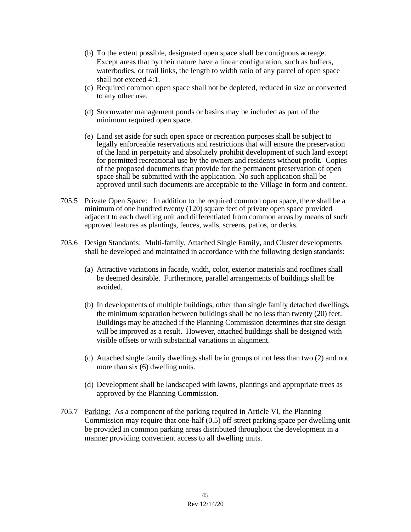- (b) To the extent possible, designated open space shall be contiguous acreage. Except areas that by their nature have a linear configuration, such as buffers, waterbodies, or trail links, the length to width ratio of any parcel of open space shall not exceed 4:1.
- (c) Required common open space shall not be depleted, reduced in size or converted to any other use.
- (d) Stormwater management ponds or basins may be included as part of the minimum required open space.
- (e) Land set aside for such open space or recreation purposes shall be subject to legally enforceable reservations and restrictions that will ensure the preservation of the land in perpetuity and absolutely prohibit development of such land except for permitted recreational use by the owners and residents without profit. Copies of the proposed documents that provide for the permanent preservation of open space shall be submitted with the application. No such application shall be approved until such documents are acceptable to the Village in form and content.
- 705.5 Private Open Space: In addition to the required common open space, there shall be a minimum of one hundred twenty (120) square feet of private open space provided adjacent to each dwelling unit and differentiated from common areas by means of such approved features as plantings, fences, walls, screens, patios, or decks.
- 705.6 Design Standards: Multi-family, Attached Single Family, and Cluster developments shall be developed and maintained in accordance with the following design standards:
	- (a) Attractive variations in facade, width, color, exterior materials and rooflines shall be deemed desirable. Furthermore, parallel arrangements of buildings shall be avoided.
	- (b) In developments of multiple buildings, other than single family detached dwellings, the minimum separation between buildings shall be no less than twenty (20) feet. Buildings may be attached if the Planning Commission determines that site design will be improved as a result. However, attached buildings shall be designed with visible offsets or with substantial variations in alignment.
	- (c) Attached single family dwellings shall be in groups of not less than two (2) and not more than six (6) dwelling units.
	- (d) Development shall be landscaped with lawns, plantings and appropriate trees as approved by the Planning Commission.
- 705.7 Parking: As a component of the parking required in Article VI, the Planning Commission may require that one-half (0.5) off-street parking space per dwelling unit be provided in common parking areas distributed throughout the development in a manner providing convenient access to all dwelling units.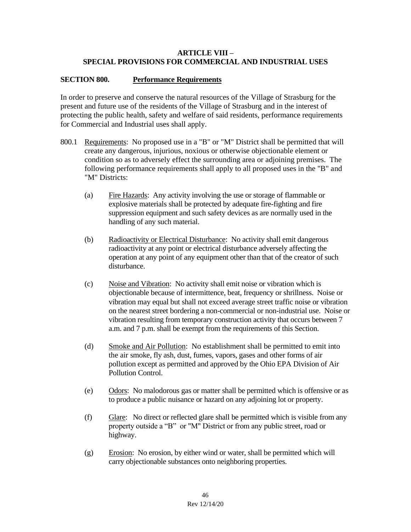## **ARTICLE VIII – SPECIAL PROVISIONS FOR COMMERCIAL AND INDUSTRIAL USES**

## **SECTION 800. Performance Requirements**

In order to preserve and conserve the natural resources of the Village of Strasburg for the present and future use of the residents of the Village of Strasburg and in the interest of protecting the public health, safety and welfare of said residents, performance requirements for Commercial and Industrial uses shall apply.

- 800.1 Requirements: No proposed use in a "B" or "M" District shall be permitted that will create any dangerous, injurious, noxious or otherwise objectionable element or condition so as to adversely effect the surrounding area or adjoining premises. The following performance requirements shall apply to all proposed uses in the "B" and "M" Districts:
	- (a) Fire Hazards: Any activity involving the use or storage of flammable or explosive materials shall be protected by adequate fire-fighting and fire suppression equipment and such safety devices as are normally used in the handling of any such material.
	- (b) Radioactivity or Electrical Disturbance: No activity shall emit dangerous radioactivity at any point or electrical disturbance adversely affecting the operation at any point of any equipment other than that of the creator of such disturbance.
	- (c) Noise and Vibration: No activity shall emit noise or vibration which is objectionable because of intermittence, beat, frequency or shrillness. Noise or vibration may equal but shall not exceed average street traffic noise or vibration on the nearest street bordering a non-commercial or non-industrial use. Noise or vibration resulting from temporary construction activity that occurs between 7 a.m. and 7 p.m. shall be exempt from the requirements of this Section.
	- (d) Smoke and Air Pollution: No establishment shall be permitted to emit into the air smoke, fly ash, dust, fumes, vapors, gases and other forms of air pollution except as permitted and approved by the Ohio EPA Division of Air Pollution Control.
	- (e) Odors: No malodorous gas or matter shall be permitted which is offensive or as to produce a public nuisance or hazard on any adjoining lot or property.
	- (f) Glare: No direct or reflected glare shall be permitted which is visible from any property outside a "B" or "M" District or from any public street, road or highway.
	- (g) Erosion: No erosion, by either wind or water, shall be permitted which will carry objectionable substances onto neighboring properties.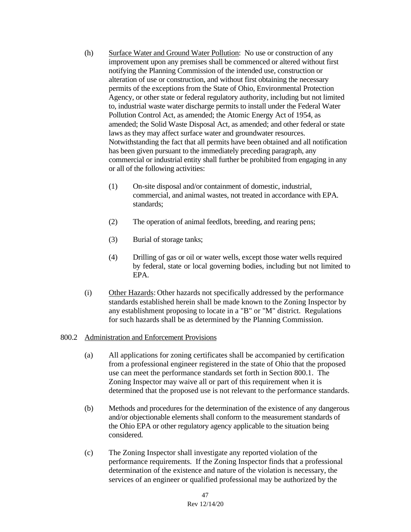- (h) Surface Water and Ground Water Pollution: No use or construction of any improvement upon any premises shall be commenced or altered without first notifying the Planning Commission of the intended use, construction or alteration of use or construction, and without first obtaining the necessary permits of the exceptions from the State of Ohio, Environmental Protection Agency, or other state or federal regulatory authority, including but not limited to, industrial waste water discharge permits to install under the Federal Water Pollution Control Act, as amended; the Atomic Energy Act of 1954, as amended; the Solid Waste Disposal Act, as amended; and other federal or state laws as they may affect surface water and groundwater resources. Notwithstanding the fact that all permits have been obtained and all notification has been given pursuant to the immediately preceding paragraph, any commercial or industrial entity shall further be prohibited from engaging in any or all of the following activities:
	- (1) On-site disposal and/or containment of domestic, industrial, commercial, and animal wastes, not treated in accordance with EPA. standards;
	- (2) The operation of animal feedlots, breeding, and rearing pens;
	- (3) Burial of storage tanks;
	- (4) Drilling of gas or oil or water wells, except those water wells required by federal, state or local governing bodies, including but not limited to EPA.
- (i) Other Hazards: Other hazards not specifically addressed by the performance standards established herein shall be made known to the Zoning Inspector by any establishment proposing to locate in a "B" or "M" district. Regulations for such hazards shall be as determined by the Planning Commission.

#### 800.2 Administration and Enforcement Provisions

- (a) All applications for zoning certificates shall be accompanied by certification from a professional engineer registered in the state of Ohio that the proposed use can meet the performance standards set forth in Section 800.1. The Zoning Inspector may waive all or part of this requirement when it is determined that the proposed use is not relevant to the performance standards.
- (b) Methods and procedures for the determination of the existence of any dangerous and/or objectionable elements shall conform to the measurement standards of the Ohio EPA or other regulatory agency applicable to the situation being considered.
- (c) The Zoning Inspector shall investigate any reported violation of the performance requirements. If the Zoning Inspector finds that a professional determination of the existence and nature of the violation is necessary, the services of an engineer or qualified professional may be authorized by the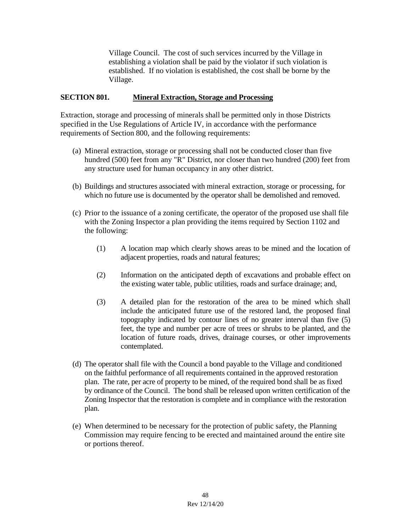Village Council. The cost of such services incurred by the Village in establishing a violation shall be paid by the violator if such violation is established. If no violation is established, the cost shall be borne by the Village.

## **SECTION 801. Mineral Extraction, Storage and Processing**

Extraction, storage and processing of minerals shall be permitted only in those Districts specified in the Use Regulations of Article IV, in accordance with the performance requirements of Section 800, and the following requirements:

- (a) Mineral extraction, storage or processing shall not be conducted closer than five hundred (500) feet from any "R" District, nor closer than two hundred (200) feet from any structure used for human occupancy in any other district.
- (b) Buildings and structures associated with mineral extraction, storage or processing, for which no future use is documented by the operator shall be demolished and removed.
- (c) Prior to the issuance of a zoning certificate, the operator of the proposed use shall file with the Zoning Inspector a plan providing the items required by Section 1102 and the following:
	- (1) A location map which clearly shows areas to be mined and the location of adjacent properties, roads and natural features;
	- (2) Information on the anticipated depth of excavations and probable effect on the existing water table, public utilities, roads and surface drainage; and,
	- (3) A detailed plan for the restoration of the area to be mined which shall include the anticipated future use of the restored land, the proposed final topography indicated by contour lines of no greater interval than five (5) feet, the type and number per acre of trees or shrubs to be planted, and the location of future roads, drives, drainage courses, or other improvements contemplated.
- (d) The operator shall file with the Council a bond payable to the Village and conditioned on the faithful performance of all requirements contained in the approved restoration plan. The rate, per acre of property to be mined, of the required bond shall be as fixed by ordinance of the Council. The bond shall be released upon written certification of the Zoning Inspector that the restoration is complete and in compliance with the restoration plan.
- (e) When determined to be necessary for the protection of public safety, the Planning Commission may require fencing to be erected and maintained around the entire site or portions thereof.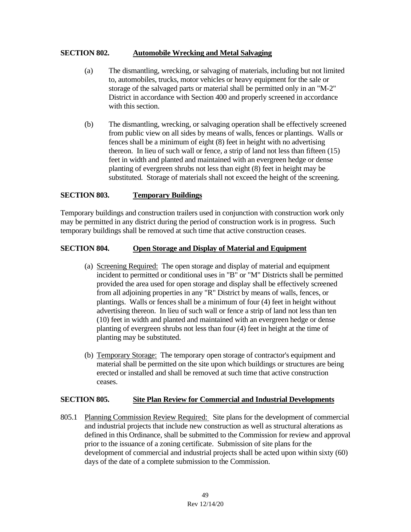## **SECTION 802. Automobile Wrecking and Metal Salvaging**

- (a) The dismantling, wrecking, or salvaging of materials, including but not limited to, automobiles, trucks, motor vehicles or heavy equipment for the sale or storage of the salvaged parts or material shall be permitted only in an "M-2" District in accordance with Section 400 and properly screened in accordance with this section.
- (b) The dismantling, wrecking, or salvaging operation shall be effectively screened from public view on all sides by means of walls, fences or plantings. Walls or fences shall be a minimum of eight (8) feet in height with no advertising thereon. In lieu of such wall or fence, a strip of land not less than fifteen (15) feet in width and planted and maintained with an evergreen hedge or dense planting of evergreen shrubs not less than eight (8) feet in height may be substituted. Storage of materials shall not exceed the height of the screening.

### **SECTION 803. Temporary Buildings**

Temporary buildings and construction trailers used in conjunction with construction work only may be permitted in any district during the period of construction work is in progress. Such temporary buildings shall be removed at such time that active construction ceases.

### **SECTION 804. Open Storage and Display of Material and Equipment**

- (a) Screening Required: The open storage and display of material and equipment incident to permitted or conditional uses in "B" or "M" Districts shall be permitted provided the area used for open storage and display shall be effectively screened from all adjoining properties in any "R" District by means of walls, fences, or plantings. Walls or fences shall be a minimum of four (4) feet in height without advertising thereon. In lieu of such wall or fence a strip of land not less than ten (10) feet in width and planted and maintained with an evergreen hedge or dense planting of evergreen shrubs not less than four (4) feet in height at the time of planting may be substituted.
- (b) Temporary Storage: The temporary open storage of contractor's equipment and material shall be permitted on the site upon which buildings or structures are being erected or installed and shall be removed at such time that active construction ceases.

#### **SECTION 805. Site Plan Review for Commercial and Industrial Developments**

805.1 Planning Commission Review Required: Site plans for the development of commercial and industrial projects that include new construction as well as structural alterations as defined in this Ordinance, shall be submitted to the Commission for review and approval prior to the issuance of a zoning certificate. Submission of site plans for the development of commercial and industrial projects shall be acted upon within sixty (60) days of the date of a complete submission to the Commission.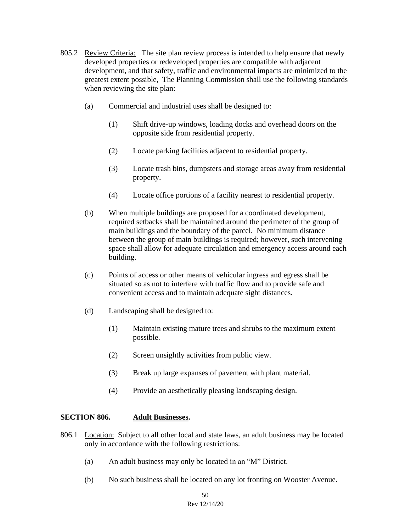- 805.2 Review Criteria: The site plan review process is intended to help ensure that newly developed properties or redeveloped properties are compatible with adjacent development, and that safety, traffic and environmental impacts are minimized to the greatest extent possible, The Planning Commission shall use the following standards when reviewing the site plan:
	- (a) Commercial and industrial uses shall be designed to:
		- (1) Shift drive-up windows, loading docks and overhead doors on the opposite side from residential property.
		- (2) Locate parking facilities adjacent to residential property.
		- (3) Locate trash bins, dumpsters and storage areas away from residential property.
		- (4) Locate office portions of a facility nearest to residential property.
	- (b) When multiple buildings are proposed for a coordinated development, required setbacks shall be maintained around the perimeter of the group of main buildings and the boundary of the parcel. No minimum distance between the group of main buildings is required; however, such intervening space shall allow for adequate circulation and emergency access around each building.
	- (c) Points of access or other means of vehicular ingress and egress shall be situated so as not to interfere with traffic flow and to provide safe and convenient access and to maintain adequate sight distances.
	- (d) Landscaping shall be designed to:
		- (1) Maintain existing mature trees and shrubs to the maximum extent possible.
		- (2) Screen unsightly activities from public view.
		- (3) Break up large expanses of pavement with plant material.
		- (4) Provide an aesthetically pleasing landscaping design.

## **SECTION 806. Adult Businesses.**

- 806.1 **Location:** Subject to all other local and state laws, an adult business may be located only in accordance with the following restrictions:
	- (a) An adult business may only be located in an "M" District.
	- (b) No such business shall be located on any lot fronting on Wooster Avenue.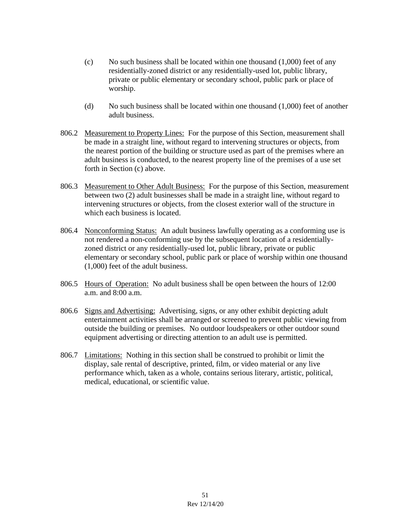- $(c)$  No such business shall be located within one thousand  $(1,000)$  feet of any residentially-zoned district or any residentially-used lot, public library, private or public elementary or secondary school, public park or place of worship.
- (d) No such business shall be located within one thousand (1,000) feet of another adult business.
- 806.2 Measurement to Property Lines: For the purpose of this Section, measurement shall be made in a straight line, without regard to intervening structures or objects, from the nearest portion of the building or structure used as part of the premises where an adult business is conducted, to the nearest property line of the premises of a use set forth in Section (c) above.
- 806.3 Measurement to Other Adult Business: For the purpose of this Section, measurement between two (2) adult businesses shall be made in a straight line, without regard to intervening structures or objects, from the closest exterior wall of the structure in which each business is located.
- 806.4 Nonconforming Status: An adult business lawfully operating as a conforming use is not rendered a non-conforming use by the subsequent location of a residentiallyzoned district or any residentially-used lot, public library, private or public elementary or secondary school, public park or place of worship within one thousand (1,000) feet of the adult business.
- 806.5 Hours of Operation: No adult business shall be open between the hours of 12:00 a.m. and 8:00 a.m.
- 806.6 Signs and Advertising: Advertising, signs, or any other exhibit depicting adult entertainment activities shall be arranged or screened to prevent public viewing from outside the building or premises. No outdoor loudspeakers or other outdoor sound equipment advertising or directing attention to an adult use is permitted.
- 806.7 Limitations: Nothing in this section shall be construed to prohibit or limit the display, sale rental of descriptive, printed, film, or video material or any live performance which, taken as a whole, contains serious literary, artistic, political, medical, educational, or scientific value.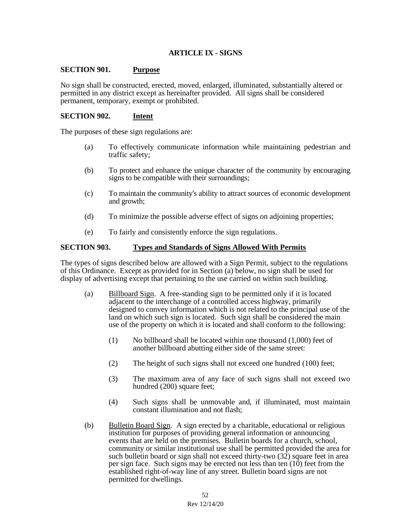## **ARTICLE IX - SIGNS**

#### **SECTION 901. Purpose**

No sign shall be constructed, erected, moved, enlarged, illuminated, substantially altered or permitted in any district except as hereinafter provided. All signs shall be considered permanent, temporary, exempt or prohibited.

#### **SECTION 902. Intent**

The purposes of these sign regulations are:

- (a) To effectively communicate information while maintaining pedestrian and traffic safety;
- (b) To protect and enhance the unique character of the community by encouraging signs to be compatible with their surroundings;
- (c) To maintain the community's ability to attract sources of economic development and growth;
- (d) To minimize the possible adverse effect of signs on adjoining properties;
- (e) To fairly and consistently enforce the sign regulations.

#### **SECTION 903. Types and Standards of Signs Allowed With Permits**

The types of signs described below are allowed with a Sign Permit, subject to the regulations of this Ordinance. Except as provided for in Section (a) below, no sign shall be used for display of advertising except that pertaining to the use carried on within such building.

- (a) Billboard Sign.A free-standing sign to be permitted only if it is located adjacent to the interchange of a controlled access highway, primarily designed to convey information which is not related to the principal use of the land on which such sign is located. Such sign shall be considered the main use of the property on which it is located and shall conform to the following:
	- (1) No billboard shall be located within one thousand (1,000) feet of another billboard abutting either side of the same street:
	- (2) The height of such signs shall not exceed one hundred (100) feet;
	- (3) The maximum area of any face of such signs shall not exceed two hundred (200) square feet;
	- (4) Such signs shall be unmovable and, if illuminated, must maintain constant illumination and not flash;
- (b) Bulletin Board Sign. A sign erected by a charitable, educational or religious institution for purposes of providing general information or announcing events that are held on the premises. Bulletin boards for a church, school, community or similar institutional use shall be permitted provided the area for such bulletin board or sign shall not exceed thirty-two  $(32)$  square feet in area per sign face. Such signs may be erected not less than ten  $(10)$  feet from the established right-of-way line of any street. Bulletin board signs are not permitted for dwellings.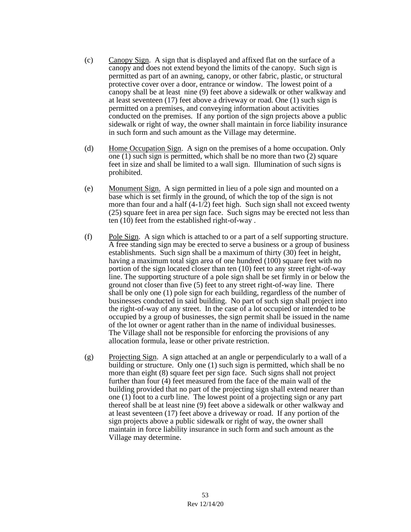- (c) Canopy Sign. A sign that is displayed and affixed flat on the surface of a canopy and does not extend beyond the limits of the canopy. Such sign is permitted as part of an awning, canopy, or other fabric, plastic, or structural protective cover over a door, entrance or window. The lowest point of a canopy shall be at least nine (9) feet above a sidewalk or other walkway and at least seventeen (17) feet above a driveway or road. One (1) such sign is permitted on a premises, and conveying information about activities conducted on the premises. If any portion of the sign projects above a public sidewalk or right of way, the owner shall maintain in force liability insurance in such form and such amount as the Village may determine.
- (d) Home Occupation Sign. A sign on the premises of a home occupation. Only one (1) such sign is permitted, which shall be no more than two (2) square feet in size and shall be limited to a wall sign. Illumination of such signs is prohibited.
- (e) Monument Sign. A sign permitted in lieu of a pole sign and mounted on a base which is set firmly in the ground, of which the top of the sign is not more than four and a half  $(4-1/2)$  feet high. Such sign shall not exceed twenty (25) square feet in area per sign face. Such signs may be erected not less than ten (10) feet from the established right-of-way .
- (f) Pole Sign. A sign which is attached to or a part of a self supporting structure. A free standing sign may be erected to serve a business or a group of business establishments. Such sign shall be a maximum of thirty (30) feet in height, having a maximum total sign area of one hundred (100) square feet with no portion of the sign located closer than ten (10) feet to any street right-of-way line. The supporting structure of a pole sign shall be set firmly in or below the ground not closer than five (5) feet to any street right-of-way line. There shall be only one (1) pole sign for each building, regardless of the number of businesses conducted in said building. No part of such sign shall project into the right-of-way of any street. In the case of a lot occupied or intended to be occupied by a group of businesses, the sign permit shall be issued in the name of the lot owner or agent rather than in the name of individual businesses. The Village shall not be responsible for enforcing the provisions of any allocation formula, lease or other private restriction.
- (g) Projecting Sign. A sign attached at an angle or perpendicularly to a wall of a building or structure. Only one (1) such sign is permitted, which shall be no more than eight (8) square feet per sign face. Such signs shall not project further than four (4) feet measured from the face of the main wall of the building provided that no part of the projecting sign shall extend nearer than one (1) foot to a curb line. The lowest point of a projecting sign or any part thereof shall be at least nine (9) feet above a sidewalk or other walkway and at least seventeen (17) feet above a driveway or road. If any portion of the sign projects above a public sidewalk or right of way, the owner shall maintain in force liability insurance in such form and such amount as the Village may determine.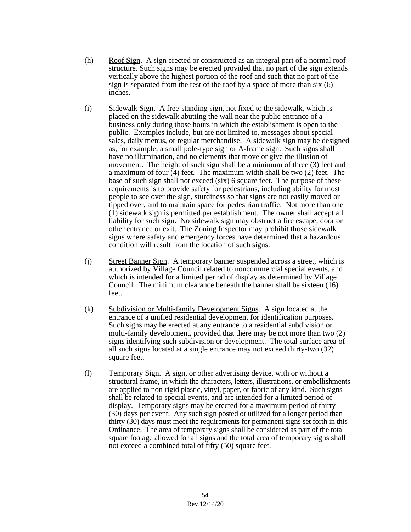- (h) Roof Sign. A sign erected or constructed as an integral part of a normal roof structure. Such signs may be erected provided that no part of the sign extends vertically above the highest portion of the roof and such that no part of the sign is separated from the rest of the roof by a space of more than six (6) inches.
- (i) Sidewalk Sign. A free-standing sign, not fixed to the sidewalk, which is placed on the sidewalk abutting the wall near the public entrance of a business only during those hours in which the establishment is open to the public. Examples include, but are not limited to, messages about special sales, daily menus, or regular merchandise. A sidewalk sign may be designed as, for example, a small pole-type sign or A-frame sign. Such signs shall have no illumination, and no elements that move or give the illusion of movement. The height of such sign shall be a minimum of three (3) feet and a maximum of four (4) feet. The maximum width shall be two (2) feet. The base of such sign shall not exceed (six) 6 square feet. The purpose of these requirements is to provide safety for pedestrians, including ability for most people to see over the sign, sturdiness so that signs are not easily moved or tipped over, and to maintain space for pedestrian traffic. Not more than one (1) sidewalk sign is permitted per establishment. The owner shall accept all liability for such sign. No sidewalk sign may obstruct a fire escape, door or other entrance or exit. The Zoning Inspector may prohibit those sidewalk signs where safety and emergency forces have determined that a hazardous condition will result from the location of such signs.
- (j) Street Banner Sign. A temporary banner suspended across a street, which is authorized by Village Council related to noncommercial special events, and which is intended for a limited period of display as determined by Village Council. The minimum clearance beneath the banner shall be sixteen (16) feet.
- (k) Subdivision or Multi-family Development Signs. A sign located at the entrance of a unified residential development for identification purposes. Such signs may be erected at any entrance to a residential subdivision or multi-family development, provided that there may be not more than two (2) signs identifying such subdivision or development. The total surface area of all such signs located at a single entrance may not exceed thirty-two (32) square feet.
- (l) Temporary Sign. A sign, or other advertising device, with or without a structural frame, in which the characters, letters, illustrations, or embellishments are applied to non-rigid plastic, vinyl, paper, or fabric of any kind. Such signs shall be related to special events, and are intended for a limited period of display. Temporary signs may be erected for a maximum period of thirty (30) days per event. Any such sign posted or utilized for a longer period than thirty (30) days must meet the requirements for permanent signs set forth in this Ordinance. The area of temporary signs shall be considered as part of the total square footage allowed for all signs and the total area of temporary signs shall not exceed a combined total of fifty (50) square feet.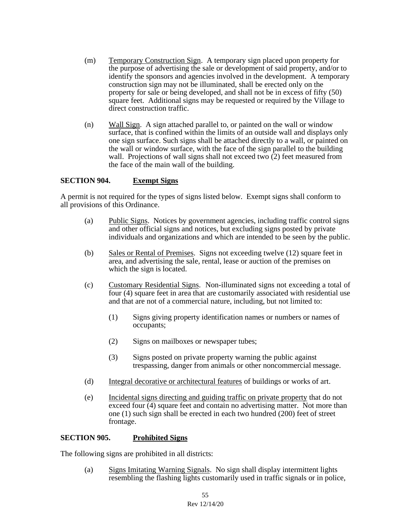- (m) Temporary Construction Sign.A temporary sign placed upon property for the purpose of advertising the sale or development of said property, and/or to identify the sponsors and agencies involved in the development. A temporary construction sign may not be illuminated, shall be erected only on the property for sale or being developed, and shall not be in excess of fifty (50) square feet. Additional signs may be requested or required by the Village to direct construction traffic.
- (n) Wall Sign. A sign attached parallel to, or painted on the wall or window surface, that is confined within the limits of an outside wall and displays only one sign surface. Such signs shall be attached directly to a wall, or painted on the wall or window surface, with the face of the sign parallel to the building wall. Projections of wall signs shall not exceed two  $(2)$  feet measured from the face of the main wall of the building.

#### **SECTION 904. Exempt Signs**

A permit is not required for the types of signs listed below. Exempt signs shall conform to all provisions of this Ordinance.

- (a) Public Signs. Notices by government agencies, including traffic control signs and other official signs and notices, but excluding signs posted by private individuals and organizations and which are intended to be seen by the public.
- (b) Sales or Rental of Premises. Signs not exceeding twelve (12) square feet in area, and advertising the sale, rental, lease or auction of the premises on which the sign is located.
- (c) Customary Residential Signs. Non-illuminated signs not exceeding a total of four (4) square feet in area that are customarily associated with residential use and that are not of a commercial nature, including, but not limited to:
	- (1) Signs giving property identification names or numbers or names of occupants;
	- (2) Signs on mailboxes or newspaper tubes;
	- (3) Signs posted on private property warning the public against trespassing, danger from animals or other noncommercial message.
- (d) Integral decorative or architectural features of buildings or works of art.
- (e) Incidental signs directing and guiding traffic on private property that do not exceed four (4) square feet and contain no advertising matter. Not more than one (1) such sign shall be erected in each two hundred (200) feet of street frontage.

#### **SECTION 905. Prohibited Signs**

The following signs are prohibited in all districts:

(a) Signs Imitating Warning Signals. No sign shall display intermittent lights resembling the flashing lights customarily used in traffic signals or in police,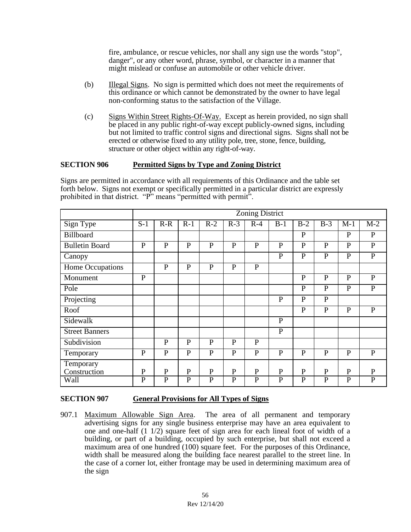fire, ambulance, or rescue vehicles, nor shall any sign use the words "stop", danger", or any other word, phrase, symbol, or character in a manner that might mislead or confuse an automobile or other vehicle driver.

- (b) Illegal Signs. No sign is permitted which does not meet the requirements of this ordinance or which cannot be demonstrated by the owner to have legal non-conforming status to the satisfaction of the Village.
- (c) Signs Within Street Rights-Of-Way. Except as herein provided, no sign shall be placed in any public right-of-way except publicly-owned signs, including but not limited to traffic control signs and directional signs. Signs shall not be erected or otherwise fixed to any utility pole, tree, stone, fence, building, structure or other object within any right-of-way.

## **SECTION 906 Permitted Signs by Type and Zoning District**

Signs are permitted in accordance with all requirements of this Ordinance and the table set forth below. Signs not exempt or specifically permitted in a particular district are expressly prohibited in that district. "P" means "permitted with permit".

|                           | <b>Zoning District</b> |              |              |              |              |              |                |              |              |              |              |
|---------------------------|------------------------|--------------|--------------|--------------|--------------|--------------|----------------|--------------|--------------|--------------|--------------|
| Sign Type                 | $S-1$                  | $R-R$        | $R-1$        | $R-2$        | $R-3$        | $R-4$        | $B-1$          | $B-2$        | $B-3$        | $M-1$        | $M-2$        |
| <b>Billboard</b>          |                        |              |              |              |              |              |                | $\mathbf{P}$ |              | $\mathbf{P}$ | $\mathbf{P}$ |
| <b>Bulletin Board</b>     | $\mathbf{P}$           | $\mathbf{P}$ | $\mathbf{P}$ | $\mathbf{P}$ | $\mathbf{P}$ | $\mathbf{P}$ | $\mathbf{P}$   | $\mathbf{P}$ | $\mathbf{P}$ | $\mathbf{P}$ | $\mathbf{P}$ |
| Canopy                    |                        |              |              |              |              |              | $\mathbf{P}$   | $\mathbf P$  | $\mathbf{P}$ | $\mathbf{P}$ | ${\bf P}$    |
| Home Occupations          |                        | $\mathbf{P}$ | $\mathbf{P}$ | $\mathbf{P}$ | $\mathbf{P}$ | $\mathbf{P}$ |                |              |              |              |              |
| Monument                  | $\mathbf{P}$           |              |              |              |              |              |                | $\mathbf{P}$ | P            | $\mathbf{P}$ | $\mathbf{P}$ |
| Pole                      |                        |              |              |              |              |              |                | $\mathbf{P}$ | $\mathbf{P}$ | $\mathbf{P}$ | $\mathbf{P}$ |
| Projecting                |                        |              |              |              |              |              | $\mathbf{P}$   | $\mathbf{P}$ | $\mathbf{P}$ |              |              |
| Roof                      |                        |              |              |              |              |              |                | $\mathbf{P}$ | $\mathbf{P}$ | $\mathbf{P}$ | ${\bf P}$    |
| Sidewalk                  |                        |              |              |              |              |              | $\mathbf{P}$   |              |              |              |              |
| <b>Street Banners</b>     |                        |              |              |              |              |              | $\overline{P}$ |              |              |              |              |
| Subdivision               |                        | $\mathbf{P}$ | $\mathbf{P}$ | $\mathbf{P}$ | $\mathbf{P}$ | $\mathbf{P}$ |                |              |              |              |              |
| Temporary                 | $\mathbf{P}$           | $\mathbf{P}$ | P            | $\mathbf P$  | $\mathbf{P}$ | $\mathbf{P}$ | $\mathbf{P}$   | $\mathbf{P}$ | $\mathbf{P}$ | $\mathbf{P}$ | $\mathbf{P}$ |
| Temporary<br>Construction | ${\bf P}$              | $\mathbf{P}$ | $\mathbf{P}$ | $\mathbf{P}$ | $\mathbf{P}$ | $\mathbf{P}$ | $\mathbf{P}$   | $\mathbf{P}$ | $\mathbf{P}$ | $\mathbf P$  | $\mathbf{P}$ |
| Wall                      | $\mathbf{P}$           | $\mathbf{P}$ | $\mathbf{P}$ | $\mathbf{P}$ | $\mathbf{P}$ | $\mathbf{P}$ | $\mathbf{P}$   | $\mathbf{P}$ | $\mathbf{P}$ | $\mathbf{P}$ | $\mathbf{P}$ |

## **SECTION 907 General Provisions for All Types of Signs**

907.1 Maximum Allowable Sign Area. The area of all permanent and temporary advertising signs for any single business enterprise may have an area equivalent to one and one-half (1 1/2) square feet of sign area for each lineal foot of width of a building, or part of a building, occupied by such enterprise, but shall not exceed a maximum area of one hundred (100) square feet. For the purposes of this Ordinance, width shall be measured along the building face nearest parallel to the street line. In the case of a corner lot, either frontage may be used in determining maximum area of the sign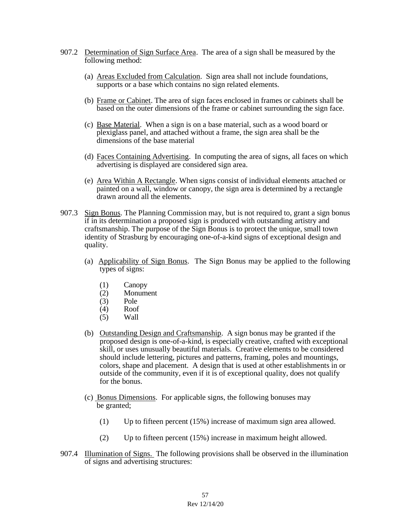- 907.2 Determination of Sign Surface Area. The area of a sign shall be measured by the following method:
	- (a) Areas Excluded from Calculation. Sign area shall not include foundations, supports or a base which contains no sign related elements.
	- (b) Frame or Cabinet. The area of sign faces enclosed in frames or cabinets shall be based on the outer dimensions of the frame or cabinet surrounding the sign face.
	- (c) Base Material. When a sign is on a base material, such as a wood board or plexiglass panel, and attached without a frame, the sign area shall be the dimensions of the base material
	- (d) Faces Containing Advertising. In computing the area of signs, all faces on which advertising is displayed are considered sign area.
	- (e) Area Within A Rectangle. When signs consist of individual elements attached or painted on a wall, window or canopy, the sign area is determined by a rectangle drawn around all the elements.
- 907.3 Sign Bonus. The Planning Commission may, but is not required to, grant a sign bonus if in its determination a proposed sign is produced with outstanding artistry and craftsmanship. The purpose of the Sign Bonus is to protect the unique, small town identity of Strasburg by encouraging one-of-a-kind signs of exceptional design and quality.
	- (a) Applicability of Sign Bonus. The Sign Bonus may be applied to the following types of signs:
		- (1) Canopy
		- (2) Monument
		- (3) Pole
		- (4) Roof
		- (5) Wall
	- (b) Outstanding Design and Craftsmanship. A sign bonus may be granted if the proposed design is one-of-a-kind, is especially creative, crafted with exceptional skill, or uses unusually beautiful materials. Creative elements to be considered should include lettering, pictures and patterns, framing, poles and mountings, colors, shape and placement. A design that is used at other establishments in or outside of the community, even if it is of exceptional quality, does not qualify for the bonus.
	- (c) Bonus Dimensions. For applicable signs, the following bonuses may be granted;
		- (1) Up to fifteen percent (15%) increase of maximum sign area allowed.
		- (2) Up to fifteen percent (15%) increase in maximum height allowed.
- 907.4 Illumination of Signs. The following provisions shall be observed in the illumination of signs and advertising structures: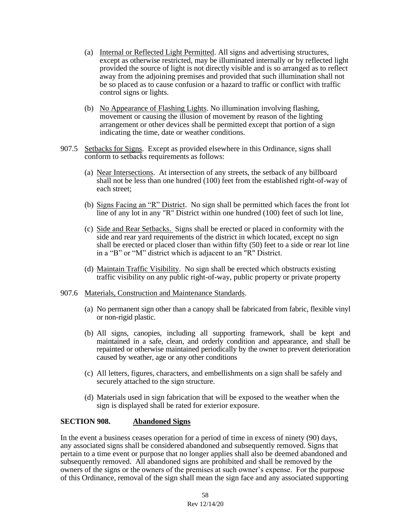- (a) Internal or Reflected Light Permitted. All signs and advertising structures, except as otherwise restricted, may be illuminated internally or by reflected light provided the source of light is not directly visible and is so arranged as to reflect away from the adjoining premises and provided that such illumination shall not be so placed as to cause confusion or a hazard to traffic or conflict with traffic control signs or lights.
- (b) No Appearance of Flashing Lights. No illumination involving flashing, movement or causing the illusion of movement by reason of the lighting arrangement or other devices shall be permitted except that portion of a sign indicating the time, date or weather conditions.
- 907.5 Setbacks for Signs. Except as provided elsewhere in this Ordinance, signs shall conform to setbacks requirements as follows:
	- (a) Near Intersections. At intersection of any streets, the setback of any billboard shall not be less than one hundred (100) feet from the established right-of-way of each street;
	- (b) Signs Facing an "R" District. No sign shall be permitted which faces the front lot line of any lot in any "R" District within one hundred (100) feet of such lot line,
	- (c) Side and Rear Setbacks. Signs shall be erected or placed in conformity with the side and rear yard requirements of the district in which located, except no sign shall be erected or placed closer than within fifty (50) feet to a side or rear lot line in a "B" or "M" district which is adjacent to an "R" District.
	- (d) Maintain Traffic Visibility. No sign shall be erected which obstructs existing traffic visibility on any public right-of-way, public property or private property
- 907.6 Materials, Construction and Maintenance Standards.
	- (a) No permanent sign other than a canopy shall be fabricated from fabric, flexible vinyl or non-rigid plastic.
	- (b) All signs, canopies, including all supporting framework, shall be kept and maintained in a safe, clean, and orderly condition and appearance, and shall be repainted or otherwise maintained periodically by the owner to prevent deterioration caused by weather, age or any other conditions
	- (c) All letters, figures, characters, and embellishments on a sign shall be safely and securely attached to the sign structure.
	- (d) Materials used in sign fabrication that will be exposed to the weather when the sign is displayed shall be rated for exterior exposure.

#### **SECTION 908. Abandoned Signs**

In the event a business ceases operation for a period of time in excess of ninety (90) days, any associated signs shall be considered abandoned and subsequently removed. Signs that pertain to a time event or purpose that no longer applies shall also be deemed abandoned and subsequently removed. All abandoned signs are prohibited and shall be removed by the owners of the signs or the owners of the premises at such owner's expense. For the purpose of this Ordinance, removal of the sign shall mean the sign face and any associated supporting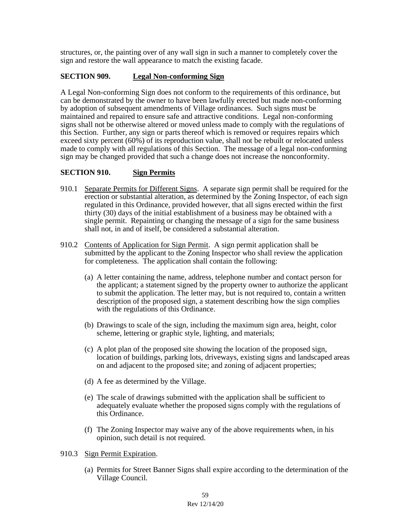structures, or, the painting over of any wall sign in such a manner to completely cover the sign and restore the wall appearance to match the existing facade.

## **SECTION 909. Legal Non-conforming Sign**

A Legal Non-conforming Sign does not conform to the requirements of this ordinance, but can be demonstrated by the owner to have been lawfully erected but made non-conforming by adoption of subsequent amendments of Village ordinances. Such signs must be maintained and repaired to ensure safe and attractive conditions. Legal non-conforming signs shall not be otherwise altered or moved unless made to comply with the regulations of this Section. Further, any sign or parts thereof which is removed or requires repairs which exceed sixty percent (60%) of its reproduction value, shall not be rebuilt or relocated unless made to comply with all regulations of this Section. The message of a legal non-conforming sign may be changed provided that such a change does not increase the nonconformity.

### **SECTION 910. Sign Permits**

- 910.1 Separate Permits for Different Signs. A separate sign permit shall be required for the erection or substantial alteration, as determined by the Zoning Inspector, of each sign regulated in this Ordinance, provided however, that all signs erected within the first thirty (30) days of the initial establishment of a business may be obtained with a single permit. Repainting or changing the message of a sign for the same business shall not, in and of itself, be considered a substantial alteration.
- 910.2 Contents of Application for Sign Permit. A sign permit application shall be submitted by the applicant to the Zoning Inspector who shall review the application for completeness. The application shall contain the following:
	- (a) A letter containing the name, address, telephone number and contact person for the applicant; a statement signed by the property owner to authorize the applicant to submit the application. The letter may, but is not required to, contain a written description of the proposed sign, a statement describing how the sign complies with the regulations of this Ordinance.
	- (b) Drawings to scale of the sign, including the maximum sign area, height, color scheme, lettering or graphic style, lighting, and materials;
	- (c) A plot plan of the proposed site showing the location of the proposed sign, location of buildings, parking lots, driveways, existing signs and landscaped areas on and adjacent to the proposed site; and zoning of adjacent properties;
	- (d) A fee as determined by the Village.
	- (e) The scale of drawings submitted with the application shall be sufficient to adequately evaluate whether the proposed signs comply with the regulations of this Ordinance.
	- (f) The Zoning Inspector may waive any of the above requirements when, in his opinion, such detail is not required.
- 910.3 Sign Permit Expiration.
	- (a) Permits for Street Banner Signs shall expire according to the determination of the Village Council.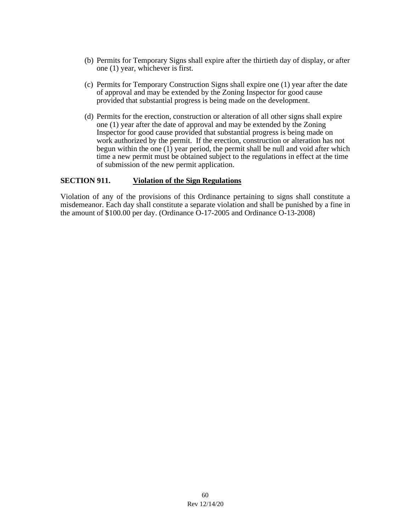- (b) Permits for Temporary Signs shall expire after the thirtieth day of display, or after one (1) year, whichever is first.
- (c) Permits for Temporary Construction Signs shall expire one (1) year after the date of approval and may be extended by the Zoning Inspector for good cause provided that substantial progress is being made on the development.
- (d) Permits for the erection, construction or alteration of all other signs shall expire one (1) year after the date of approval and may be extended by the Zoning Inspector for good cause provided that substantial progress is being made on work authorized by the permit. If the erection, construction or alteration has not begun within the one  $(1)$  year period, the permit shall be null and void after which time a new permit must be obtained subject to the regulations in effect at the time of submission of the new permit application.

#### **SECTION 911. Violation of the Sign Regulations**

Violation of any of the provisions of this Ordinance pertaining to signs shall constitute a misdemeanor. Each day shall constitute a separate violation and shall be punished by a fine in the amount of \$100.00 per day. (Ordinance O-17-2005 and Ordinance O-13-2008)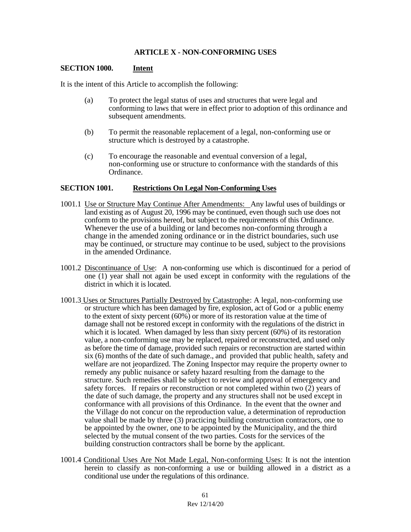### **ARTICLE X - NON-CONFORMING USES**

#### **SECTION 1000. Intent**

It is the intent of this Article to accomplish the following:

- (a) To protect the legal status of uses and structures that were legal and conforming to laws that were in effect prior to adoption of this ordinance and subsequent amendments.
- (b) To permit the reasonable replacement of a legal, non-conforming use or structure which is destroyed by a catastrophe.
- (c) To encourage the reasonable and eventual conversion of a legal, non-conforming use or structure to conformance with the standards of this Ordinance.

#### **SECTION 1001. Restrictions On Legal Non-Conforming Uses**

- 1001.1 Use or Structure May Continue After Amendments: Any lawful uses of buildings or land existing as of August 20, 1996 may be continued, even though such use does not conform to the provisions hereof, but subject to the requirements of this Ordinance. Whenever the use of a building or land becomes non-conforming through a change in the amended zoning ordinance or in the district boundaries, such use may be continued, or structure may continue to be used, subject to the provisions in the amended Ordinance.
- 1001.2 Discontinuance of Use: A non-conforming use which is discontinued for a period of one (1) year shall not again be used except in conformity with the regulations of the district in which it is located.
- 1001.3 Uses or Structures Partially Destroyed by Catastrophe: A legal, non-conforming use or structure which has been damaged by fire, explosion, act of God or a public enemy to the extent of sixty percent (60%) or more of its restoration value at the time of damage shall not be restored except in conformity with the regulations of the district in which it is located. When damaged by less than sixty percent (60%) of its restoration value, a non-conforming use may be replaced, repaired or reconstructed, and used only as before the time of damage, provided such repairs or reconstruction are started within six (6) months of the date of such damage., and provided that public health, safety and welfare are not jeopardized. The Zoning Inspector may require the property owner to remedy any public nuisance or safety hazard resulting from the damage to the structure. Such remedies shall be subject to review and approval of emergency and safety forces. If repairs or reconstruction or not completed within two  $(2)$  years of the date of such damage, the property and any structures shall not be used except in conformance with all provisions of this Ordinance. In the event that the owner and the Village do not concur on the reproduction value, a determination of reproduction value shall be made by three (3) practicing building construction contractors, one to be appointed by the owner, one to be appointed by the Municipality, and the third selected by the mutual consent of the two parties. Costs for the services of the building construction contractors shall be borne by the applicant.
- 1001.4 Conditional Uses Are Not Made Legal, Non-conforming Uses: It is not the intention herein to classify as non-conforming a use or building allowed in a district as a conditional use under the regulations of this ordinance.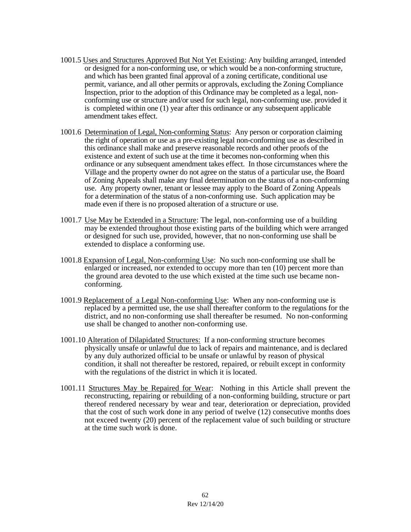- 1001.5 Uses and Structures Approved But Not Yet Existing: Any building arranged, intended or designed for a non-conforming use, or which would be a non-conforming structure, and which has been granted final approval of a zoning certificate, conditional use permit, variance, and all other permits or approvals, excluding the Zoning Compliance Inspection, prior to the adoption of this Ordinance may be completed as a legal, nonconforming use or structure and/or used for such legal, non-conforming use. provided it is completed within one (1) year after this ordinance or any subsequent applicable amendment takes effect.
- 1001.6 Determination of Legal, Non-conforming Status: Any person or corporation claiming the right of operation or use as a pre-existing legal non-conforming use as described in this ordinance shall make and preserve reasonable records and other proofs of the existence and extent of such use at the time it becomes non-conforming when this ordinance or any subsequent amendment takes effect. In those circumstances where the Village and the property owner do not agree on the status of a particular use, the Board of Zoning Appeals shall make any final determination on the status of a non-conforming use. Any property owner, tenant or lessee may apply to the Board of Zoning Appeals for a determination of the status of a non-conforming use. Such application may be made even if there is no proposed alteration of a structure or use.
- 1001.7 Use May be Extended in a Structure: The legal, non-conforming use of a building may be extended throughout those existing parts of the building which were arranged or designed for such use, provided, however, that no non-conforming use shall be extended to displace a conforming use.
- 1001.8 Expansion of Legal, Non-conforming Use: No such non-conforming use shall be enlarged or increased, nor extended to occupy more than ten (10) percent more than the ground area devoted to the use which existed at the time such use became nonconforming.
- 1001.9 Replacement of a Legal Non-conforming Use: When any non-conforming use is replaced by a permitted use, the use shall thereafter conform to the regulations for the district, and no non-conforming use shall thereafter be resumed. No non-conforming use shall be changed to another non-conforming use.
- 1001.10 Alteration of Dilapidated Structures: If a non-conforming structure becomes physically unsafe or unlawful due to lack of repairs and maintenance, and is declared by any duly authorized official to be unsafe or unlawful by reason of physical condition, it shall not thereafter be restored, repaired, or rebuilt except in conformity with the regulations of the district in which it is located.
- 1001.11 Structures May be Repaired for Wear: Nothing in this Article shall prevent the reconstructing, repairing or rebuilding of a non-conforming building, structure or part thereof rendered necessary by wear and tear, deterioration or depreciation, provided that the cost of such work done in any period of twelve (12) consecutive months does not exceed twenty (20) percent of the replacement value of such building or structure at the time such work is done.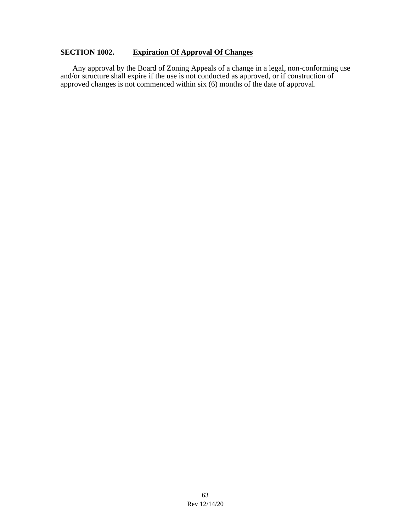# **SECTION 1002. Expiration Of Approval Of Changes**

Any approval by the Board of Zoning Appeals of a change in a legal, non-conforming use and/or structure shall expire if the use is not conducted as approved, or if construction of approved changes is not commenced within six (6) months of the date of approval.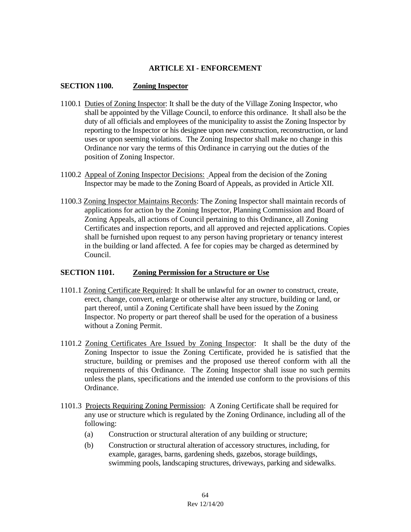## **ARTICLE XI - ENFORCEMENT**

#### **SECTION 1100. Zoning Inspector**

- 1100.1 Duties of Zoning Inspector: It shall be the duty of the Village Zoning Inspector, who shall be appointed by the Village Council, to enforce this ordinance. It shall also be the duty of all officials and employees of the municipality to assist the Zoning Inspector by reporting to the Inspector or his designee upon new construction, reconstruction, or land uses or upon seeming violations. The Zoning Inspector shall make no change in this Ordinance nor vary the terms of this Ordinance in carrying out the duties of the position of Zoning Inspector.
- 1100.2 Appeal of Zoning Inspector Decisions: Appeal from the decision of the Zoning Inspector may be made to the Zoning Board of Appeals, as provided in Article XII.
- 1100.3 Zoning Inspector Maintains Records: The Zoning Inspector shall maintain records of applications for action by the Zoning Inspector, Planning Commission and Board of Zoning Appeals, all actions of Council pertaining to this Ordinance, all Zoning Certificates and inspection reports, and all approved and rejected applications. Copies shall be furnished upon request to any person having proprietary or tenancy interest in the building or land affected. A fee for copies may be charged as determined by Council.

#### **SECTION 1101. Zoning Permission for a Structure or Use**

- 1101.1 Zoning Certificate Required: It shall be unlawful for an owner to construct, create, erect, change, convert, enlarge or otherwise alter any structure, building or land, or part thereof, until a Zoning Certificate shall have been issued by the Zoning Inspector. No property or part thereof shall be used for the operation of a business without a Zoning Permit.
- 1101.2 Zoning Certificates Are Issued by Zoning Inspector: It shall be the duty of the Zoning Inspector to issue the Zoning Certificate, provided he is satisfied that the structure, building or premises and the proposed use thereof conform with all the requirements of this Ordinance. The Zoning Inspector shall issue no such permits unless the plans, specifications and the intended use conform to the provisions of this Ordinance.
- 1101.3 Projects Requiring Zoning Permission: A Zoning Certificate shall be required for any use or structure which is regulated by the Zoning Ordinance, including all of the following:
	- (a) Construction or structural alteration of any building or structure;
	- (b) Construction or structural alteration of accessory structures, including, for example, garages, barns, gardening sheds, gazebos, storage buildings, swimming pools, landscaping structures, driveways, parking and sidewalks.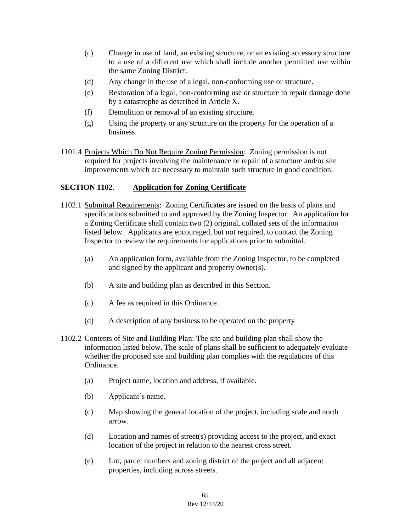- (c) Change in use of land, an existing structure, or an existing accessory structure to a use of a different use which shall include another permitted use within the same Zoning District.
- (d) Any change in the use of a legal, non-conforming use or structure.
- (e) Restoration of a legal, non-conforming use or structure to repair damage done by a catastrophe as described in Article X.
- (f) Demolition or removal of an existing structure.
- (g) Using the property or any structure on the property for the operation of a business.
- 1101.4 Projects Which Do Not Require Zoning Permission: Zoning permission is not required for projects involving the maintenance or repair of a structure and/or site improvements which are necessary to maintain such structure in good condition.

## **SECTION 1102. Application for Zoning Certificate**

- 1102.1 Submittal Requirements: Zoning Certificates are issued on the basis of plans and specifications submitted to and approved by the Zoning Inspector. An application for a Zoning Certificate shall contain two (2) original, collated sets of the information listed below. Applicants are encouraged, but not required, to contact the Zoning Inspector to review the requirements for applications prior to submittal.
	- (a) An application form, available from the Zoning Inspector, to be completed and signed by the applicant and property owner(s).
	- (b) A site and building plan as described in this Section.
	- (c) A fee as required in this Ordinance.
	- (d) A description of any business to be operated on the property
- 1102.2 Contents of Site and Building Plan: The site and building plan shall show the information listed below. The scale of plans shall be sufficient to adequately evaluate whether the proposed site and building plan complies with the regulations of this Ordinance.
	- (a) Project name, location and address, if available.
	- (b) Applicant's name.
	- (c) Map showing the general location of the project, including scale and north arrow.
	- (d) Location and names of street(s) providing access to the project, and exact location of the project in relation to the nearest cross street.
	- (e) Lot, parcel numbers and zoning district of the project and all adjacent properties, including across streets.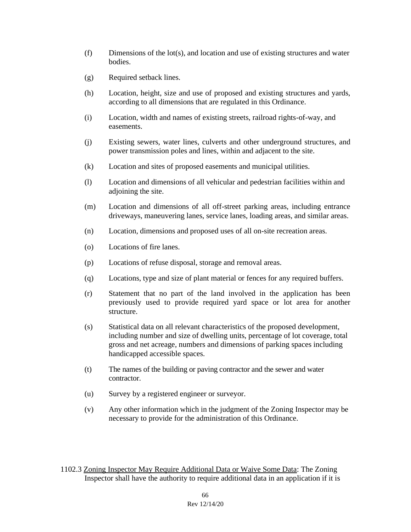- (f) Dimensions of the lot(s), and location and use of existing structures and water bodies.
- (g) Required setback lines.
- (h) Location, height, size and use of proposed and existing structures and yards, according to all dimensions that are regulated in this Ordinance.
- (i) Location, width and names of existing streets, railroad rights-of-way, and easements.
- (j) Existing sewers, water lines, culverts and other underground structures, and power transmission poles and lines, within and adjacent to the site.
- (k) Location and sites of proposed easements and municipal utilities.
- (l) Location and dimensions of all vehicular and pedestrian facilities within and adjoining the site.
- (m) Location and dimensions of all off-street parking areas, including entrance driveways, maneuvering lanes, service lanes, loading areas, and similar areas.
- (n) Location, dimensions and proposed uses of all on-site recreation areas.
- (o) Locations of fire lanes.
- (p) Locations of refuse disposal, storage and removal areas.
- (q) Locations, type and size of plant material or fences for any required buffers.
- (r) Statement that no part of the land involved in the application has been previously used to provide required yard space or lot area for another structure.
- (s) Statistical data on all relevant characteristics of the proposed development, including number and size of dwelling units, percentage of lot coverage, total gross and net acreage, numbers and dimensions of parking spaces including handicapped accessible spaces.
- (t) The names of the building or paving contractor and the sewer and water contractor.
- (u) Survey by a registered engineer or surveyor.
- (v) Any other information which in the judgment of the Zoning Inspector may be necessary to provide for the administration of this Ordinance.
- 1102.3 Zoning Inspector May Require Additional Data or Waive Some Data: The Zoning Inspector shall have the authority to require additional data in an application if it is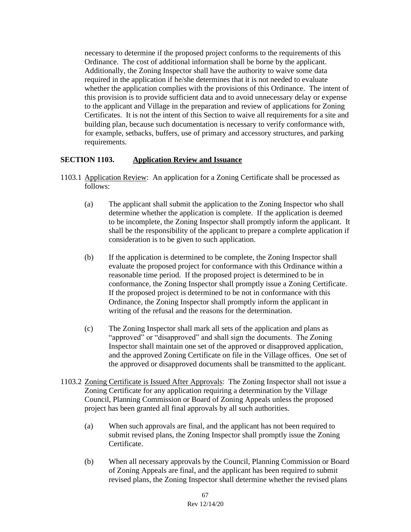necessary to determine if the proposed project conforms to the requirements of this Ordinance. The cost of additional information shall be borne by the applicant. Additionally, the Zoning Inspector shall have the authority to waive some data required in the application if he/she determines that it is not needed to evaluate whether the application complies with the provisions of this Ordinance. The intent of this provision is to provide sufficient data and to avoid unnecessary delay or expense to the applicant and Village in the preparation and review of applications for Zoning Certificates. It is not the intent of this Section to waive all requirements for a site and building plan, because such documentation is necessary to verify conformance with, for example, setbacks, buffers, use of primary and accessory structures, and parking requirements.

#### **SECTION 1103. Application Review and Issuance**

- 1103.1 Application Review: An application for a Zoning Certificate shall be processed as follows:
	- (a) The applicant shall submit the application to the Zoning Inspector who shall determine whether the application is complete. If the application is deemed to be incomplete, the Zoning Inspector shall promptly inform the applicant. It shall be the responsibility of the applicant to prepare a complete application if consideration is to be given to such application.
	- (b) If the application is determined to be complete, the Zoning Inspector shall evaluate the proposed project for conformance with this Ordinance within a reasonable time period. If the proposed project is determined to be in conformance, the Zoning Inspector shall promptly issue a Zoning Certificate. If the proposed project is determined to be not in conformance with this Ordinance, the Zoning Inspector shall promptly inform the applicant in writing of the refusal and the reasons for the determination.
	- (c) The Zoning Inspector shall mark all sets of the application and plans as "approved" or "disapproved" and shall sign the documents. The Zoning Inspector shall maintain one set of the approved or disapproved application, and the approved Zoning Certificate on file in the Village offices. One set of the approved or disapproved documents shall be transmitted to the applicant.
- 1103.2 Zoning Certificate is Issued After Approvals: The Zoning Inspector shall not issue a Zoning Certificate for any application requiring a determination by the Village Council, Planning Commission or Board of Zoning Appeals unless the proposed project has been granted all final approvals by all such authorities.
	- (a) When such approvals are final, and the applicant has not been required to submit revised plans, the Zoning Inspector shall promptly issue the Zoning Certificate.
	- (b) When all necessary approvals by the Council, Planning Commission or Board of Zoning Appeals are final, and the applicant has been required to submit revised plans, the Zoning Inspector shall determine whether the revised plans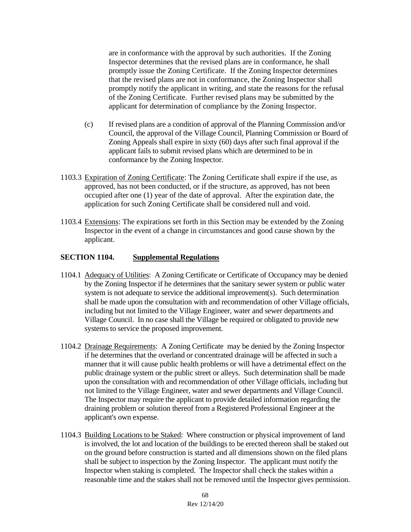are in conformance with the approval by such authorities. If the Zoning Inspector determines that the revised plans are in conformance, he shall promptly issue the Zoning Certificate. If the Zoning Inspector determines that the revised plans are not in conformance, the Zoning Inspector shall promptly notify the applicant in writing, and state the reasons for the refusal of the Zoning Certificate. Further revised plans may be submitted by the applicant for determination of compliance by the Zoning Inspector.

- (c) If revised plans are a condition of approval of the Planning Commission and/or Council, the approval of the Village Council, Planning Commission or Board of Zoning Appeals shall expire in sixty (60) days after such final approval if the applicant fails to submit revised plans which are determined to be in conformance by the Zoning Inspector.
- 1103.3 Expiration of Zoning Certificate: The Zoning Certificate shall expire if the use, as approved, has not been conducted, or if the structure, as approved, has not been occupied after one (1) year of the date of approval. After the expiration date, the application for such Zoning Certificate shall be considered null and void.
- 1103.4 Extensions: The expirations set forth in this Section may be extended by the Zoning Inspector in the event of a change in circumstances and good cause shown by the applicant.

### **SECTION 1104. Supplemental Regulations**

- 1104.1 Adequacy of Utilities: A Zoning Certificate or Certificate of Occupancy may be denied by the Zoning Inspector if he determines that the sanitary sewer system or public water system is not adequate to service the additional improvement(s). Such determination shall be made upon the consultation with and recommendation of other Village officials, including but not limited to the Village Engineer, water and sewer departments and Village Council. In no case shall the Village be required or obligated to provide new systems to service the proposed improvement.
- 1104.2 Drainage Requirements: A Zoning Certificate may be denied by the Zoning Inspector if he determines that the overland or concentrated drainage will be affected in such a manner that it will cause public health problems or will have a detrimental effect on the public drainage system or the public street or alleys. Such determination shall be made upon the consultation with and recommendation of other Village officials, including but not limited to the Village Engineer, water and sewer departments and Village Council. The Inspector may require the applicant to provide detailed information regarding the draining problem or solution thereof from a Registered Professional Engineer at the applicant's own expense.
- 1104.3 Building Locations to be Staked: Where construction or physical improvement of land is involved, the lot and location of the buildings to be erected thereon shall be staked out on the ground before construction is started and all dimensions shown on the filed plans shall be subject to inspection by the Zoning Inspector. The applicant must notify the Inspector when staking is completed. The Inspector shall check the stakes within a reasonable time and the stakes shall not be removed until the Inspector gives permission.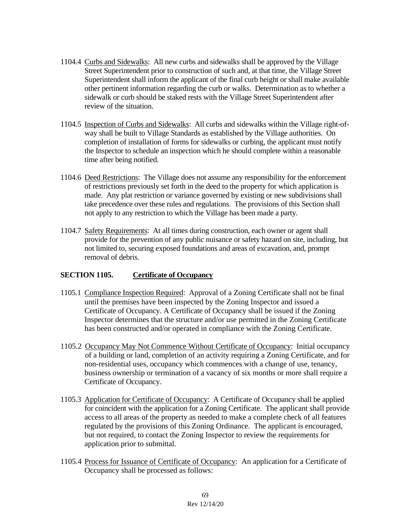- 1104.4 Curbs and Sidewalks: All new curbs and sidewalks shall be approved by the Village Street Superintendent prior to construction of such and, at that time, the Village Street Superintendent shall inform the applicant of the final curb height or shall make available other pertinent information regarding the curb or walks. Determination as to whether a sidewalk or curb should be staked rests with the Village Street Superintendent after review of the situation.
- 1104.5 Inspection of Curbs and Sidewalks: All curbs and sidewalks within the Village right-ofway shall be built to Village Standards as established by the Village authorities. On completion of installation of forms for sidewalks or curbing, the applicant must notify the Inspector to schedule an inspection which he should complete within a reasonable time after being notified.
- 1104.6 Deed Restrictions: The Village does not assume any responsibility for the enforcement of restrictions previously set forth in the deed to the property for which application is made. Any plat restriction or variance governed by existing or new subdivisions shall take precedence over these rules and regulations. The provisions of this Section shall not apply to any restriction to which the Village has been made a party.
- 1104.7 Safety Requirements: At all times during construction, each owner or agent shall provide for the prevention of any public nuisance or safety hazard on site, including, but not limited to, securing exposed foundations and areas of excavation, and, prompt removal of debris.

### **SECTION 1105. Certificate of Occupancy**

- 1105.1 Compliance Inspection Required: Approval of a Zoning Certificate shall not be final until the premises have been inspected by the Zoning Inspector and issued a Certificate of Occupancy. A Certificate of Occupancy shall be issued if the Zoning Inspector determines that the structure and/or use permitted in the Zoning Certificate has been constructed and/or operated in compliance with the Zoning Certificate.
- 1105.2 Occupancy May Not Commence Without Certificate of Occupancy: Initial occupancy of a building or land, completion of an activity requiring a Zoning Certificate, and for non-residential uses, occupancy which commences with a change of use, tenancy, business ownership or termination of a vacancy of six months or more shall require a Certificate of Occupancy.
- 1105.3 Application for Certificate of Occupancy: A Certificate of Occupancy shall be applied for coincident with the application for a Zoning Certificate. The applicant shall provide access to all areas of the property as needed to make a complete check of all features regulated by the provisions of this Zoning Ordinance. The applicant is encouraged, but not required, to contact the Zoning Inspector to review the requirements for application prior to submittal.
- 1105.4 Process for Issuance of Certificate of Occupancy: An application for a Certificate of Occupancy shall be processed as follows: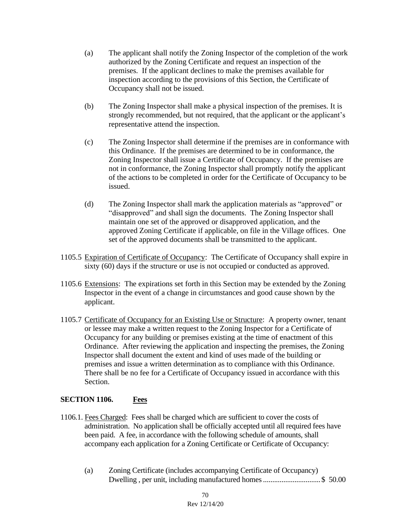- (a) The applicant shall notify the Zoning Inspector of the completion of the work authorized by the Zoning Certificate and request an inspection of the premises. If the applicant declines to make the premises available for inspection according to the provisions of this Section, the Certificate of Occupancy shall not be issued.
- (b) The Zoning Inspector shall make a physical inspection of the premises. It is strongly recommended, but not required, that the applicant or the applicant's representative attend the inspection.
- (c) The Zoning Inspector shall determine if the premises are in conformance with this Ordinance. If the premises are determined to be in conformance, the Zoning Inspector shall issue a Certificate of Occupancy. If the premises are not in conformance, the Zoning Inspector shall promptly notify the applicant of the actions to be completed in order for the Certificate of Occupancy to be issued.
- (d) The Zoning Inspector shall mark the application materials as "approved" or "disapproved" and shall sign the documents. The Zoning Inspector shall maintain one set of the approved or disapproved application, and the approved Zoning Certificate if applicable, on file in the Village offices. One set of the approved documents shall be transmitted to the applicant.
- 1105.5 Expiration of Certificate of Occupancy: The Certificate of Occupancy shall expire in sixty (60) days if the structure or use is not occupied or conducted as approved.
- 1105.6 Extensions: The expirations set forth in this Section may be extended by the Zoning Inspector in the event of a change in circumstances and good cause shown by the applicant.
- 1105.7 Certificate of Occupancy for an Existing Use or Structure:A property owner, tenant or lessee may make a written request to the Zoning Inspector for a Certificate of Occupancy for any building or premises existing at the time of enactment of this Ordinance. After reviewing the application and inspecting the premises, the Zoning Inspector shall document the extent and kind of uses made of the building or premises and issue a written determination as to compliance with this Ordinance. There shall be no fee for a Certificate of Occupancy issued in accordance with this Section.

### **SECTION 1106. Fees**

- 1106.1. Fees Charged: Fees shall be charged which are sufficient to cover the costs of administration. No application shall be officially accepted until all required fees have been paid. A fee, in accordance with the following schedule of amounts, shall accompany each application for a Zoning Certificate or Certificate of Occupancy:
	- (a) Zoning Certificate (includes accompanying Certificate of Occupancy) Dwelling, per unit, including manufactured homes..................................\$ 50.00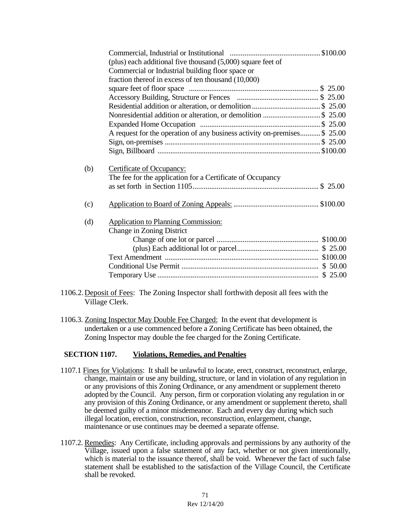|     | (plus) each additional five thousand $(5,000)$ square feet of            |  |
|-----|--------------------------------------------------------------------------|--|
|     | Commercial or Industrial building floor space or                         |  |
|     | fraction thereof in excess of ten thousand (10,000)                      |  |
|     |                                                                          |  |
|     |                                                                          |  |
|     |                                                                          |  |
|     | Nonresidential addition or alteration, or demolition \$ 25.00            |  |
|     |                                                                          |  |
|     | A request for the operation of any business activity on-premises\$ 25.00 |  |
|     |                                                                          |  |
|     |                                                                          |  |
|     |                                                                          |  |
| (b) | Certificate of Occupancy:                                                |  |
|     | The fee for the application for a Certificate of Occupancy               |  |
|     |                                                                          |  |
|     |                                                                          |  |
| (c) |                                                                          |  |
|     |                                                                          |  |
| (d) | <b>Application to Planning Commission:</b>                               |  |
|     | <b>Change in Zoning District</b>                                         |  |
|     |                                                                          |  |
|     |                                                                          |  |
|     |                                                                          |  |
|     |                                                                          |  |
|     |                                                                          |  |
|     |                                                                          |  |

- 1106.2.Deposit of Fees: The Zoning Inspector shall forthwith deposit all fees with the Village Clerk.
- 1106.3. Zoning Inspector May Double Fee Charged: In the event that development is undertaken or a use commenced before a Zoning Certificate has been obtained, the Zoning Inspector may double the fee charged for the Zoning Certificate.

#### **SECTION 1107. Violations, Remedies, and Penalties**

- 1107.1 Fines for Violations: It shall be unlawful to locate, erect, construct, reconstruct, enlarge, change, maintain or use any building, structure, or land in violation of any regulation in or any provisions of this Zoning Ordinance, or any amendment or supplement thereto adopted by the Council. Any person, firm or corporation violating any regulation in or any provision of this Zoning Ordinance, or any amendment or supplement thereto, shall be deemed guilty of a minor misdemeanor. Each and every day during which such illegal location, erection, construction, reconstruction, enlargement, change, maintenance or use continues may be deemed a separate offense.
- 1107.2. Remedies: Any Certificate, including approvals and permissions by any authority of the Village, issued upon a false statement of any fact, whether or not given intentionally, which is material to the issuance thereof, shall be void. Whenever the fact of such false statement shall be established to the satisfaction of the Village Council, the Certificate shall be revoked.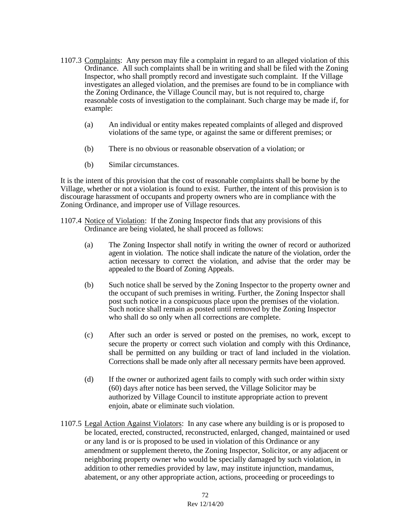- 1107.3 Complaints: Any person may file a complaint in regard to an alleged violation of this Ordinance. All such complaints shall be in writing and shall be filed with the Zoning Inspector, who shall promptly record and investigate such complaint. If the Village investigates an alleged violation, and the premises are found to be in compliance with the Zoning Ordinance, the Village Council may, but is not required to, charge reasonable costs of investigation to the complainant. Such charge may be made if, for example:
	- (a) An individual or entity makes repeated complaints of alleged and disproved violations of the same type, or against the same or different premises; or
	- (b) There is no obvious or reasonable observation of a violation; or
	- (b) Similar circumstances.

It is the intent of this provision that the cost of reasonable complaints shall be borne by the Village, whether or not a violation is found to exist. Further, the intent of this provision is to discourage harassment of occupants and property owners who are in compliance with the Zoning Ordinance, and improper use of Village resources.

- 1107.4 Notice of Violation: If the Zoning Inspector finds that any provisions of this Ordinance are being violated, he shall proceed as follows:
	- (a) The Zoning Inspector shall notify in writing the owner of record or authorized agent in violation. The notice shall indicate the nature of the violation, order the action necessary to correct the violation, and advise that the order may be appealed to the Board of Zoning Appeals.
	- (b) Such notice shall be served by the Zoning Inspector to the property owner and the occupant of such premises in writing. Further, the Zoning Inspector shall post such notice in a conspicuous place upon the premises of the violation. Such notice shall remain as posted until removed by the Zoning Inspector who shall do so only when all corrections are complete.
	- (c) After such an order is served or posted on the premises, no work, except to secure the property or correct such violation and comply with this Ordinance, shall be permitted on any building or tract of land included in the violation. Corrections shall be made only after all necessary permits have been approved.
	- (d) If the owner or authorized agent fails to comply with such order within sixty (60) days after notice has been served, the Village Solicitor may be authorized by Village Council to institute appropriate action to prevent enjoin, abate or eliminate such violation.
- 1107.5 Legal Action Against Violators: In any case where any building is or is proposed to be located, erected, constructed, reconstructed, enlarged, changed, maintained or used or any land is or is proposed to be used in violation of this Ordinance or any amendment or supplement thereto, the Zoning Inspector, Solicitor, or any adjacent or neighboring property owner who would be specially damaged by such violation, in addition to other remedies provided by law, may institute injunction, mandamus, abatement, or any other appropriate action, actions, proceeding or proceedings to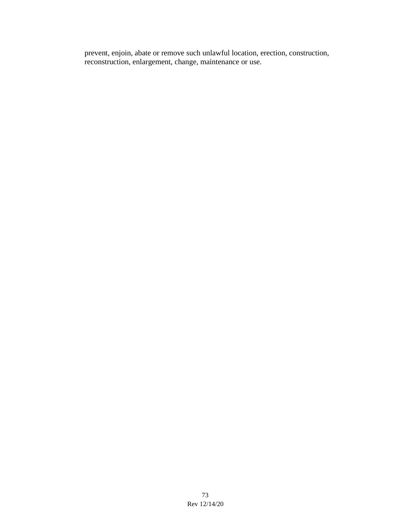prevent, enjoin, abate or remove such unlawful location, erection, construction, reconstruction, enlargement, change, maintenance or use.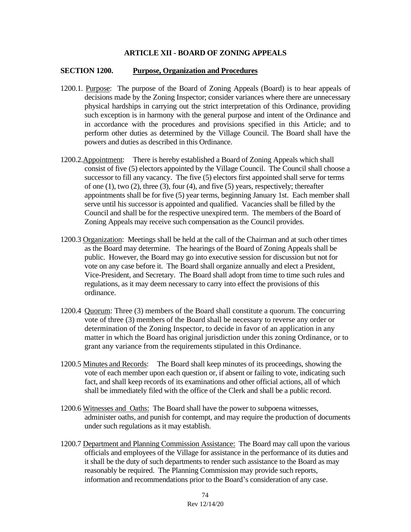### **ARTICLE XII - BOARD OF ZONING APPEALS**

#### **SECTION 1200. Purpose, Organization and Procedures**

- 1200.1. Purpose: The purpose of the Board of Zoning Appeals (Board) is to hear appeals of decisions made by the Zoning Inspector; consider variances where there are unnecessary physical hardships in carrying out the strict interpretation of this Ordinance, providing such exception is in harmony with the general purpose and intent of the Ordinance and in accordance with the procedures and provisions specified in this Article; and to perform other duties as determined by the Village Council. The Board shall have the powers and duties as described in this Ordinance.
- 1200.2.Appointment: There is hereby established a Board of Zoning Appeals which shall consist of five (5) electors appointed by the Village Council. The Council shall choose a successor to fill any vacancy. The five (5) electors first appointed shall serve for terms of one (1), two (2), three (3), four (4), and five (5) years, respectively; thereafter appointments shall be for five (5) year terms, beginning January 1st. Each member shall serve until his successor is appointed and qualified. Vacancies shall be filled by the Council and shall be for the respective unexpired term. The members of the Board of Zoning Appeals may receive such compensation as the Council provides.
- 1200.3 Organization: Meetings shall be held at the call of the Chairman and at such other times as the Board may determine. The hearings of the Board of Zoning Appeals shall be public. However, the Board may go into executive session for discussion but not for vote on any case before it. The Board shall organize annually and elect a President, Vice-President, and Secretary. The Board shall adopt from time to time such rules and regulations, as it may deem necessary to carry into effect the provisions of this ordinance.
- 1200.4 Quorum: Three (3) members of the Board shall constitute a quorum. The concurring vote of three (3) members of the Board shall be necessary to reverse any order or determination of the Zoning Inspector, to decide in favor of an application in any matter in which the Board has original jurisdiction under this zoning Ordinance, or to grant any variance from the requirements stipulated in this Ordinance.
- 1200.5 Minutes and Records: The Board shall keep minutes of its proceedings, showing the vote of each member upon each question or, if absent or failing to vote, indicating such fact, and shall keep records of its examinations and other official actions, all of which shall be immediately filed with the office of the Clerk and shall be a public record.
- 1200.6 Witnesses and Oaths: The Board shall have the power to subpoena witnesses, administer oaths, and punish for contempt, and may require the production of documents under such regulations as it may establish.
- 1200.7 Department and Planning Commission Assistance: The Board may call upon the various officials and employees of the Village for assistance in the performance of its duties and it shall be the duty of such departments to render such assistance to the Board as may reasonably be required. The Planning Commission may provide such reports, information and recommendations prior to the Board's consideration of any case.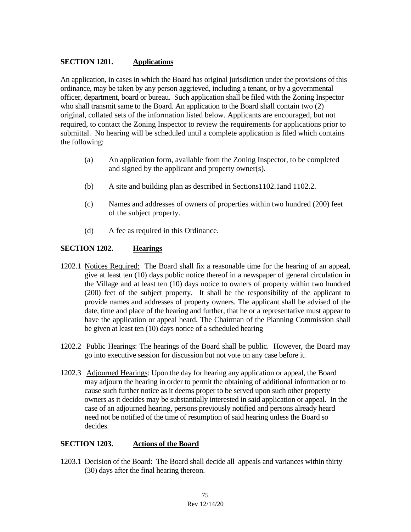### **SECTION 1201. Applications**

An application, in cases in which the Board has original jurisdiction under the provisions of this ordinance, may be taken by any person aggrieved, including a tenant, or by a governmental officer, department, board or bureau. Such application shall be filed with the Zoning Inspector who shall transmit same to the Board. An application to the Board shall contain two (2) original, collated sets of the information listed below. Applicants are encouraged, but not required, to contact the Zoning Inspector to review the requirements for applications prior to submittal. No hearing will be scheduled until a complete application is filed which contains the following:

- (a) An application form, available from the Zoning Inspector, to be completed and signed by the applicant and property owner(s).
- (b) A site and building plan as described in Sections1102.1and 1102.2.
- (c) Names and addresses of owners of properties within two hundred (200) feet of the subject property.
- (d) A fee as required in this Ordinance.

### **SECTION 1202. Hearings**

- 1202.1 Notices Required: The Board shall fix a reasonable time for the hearing of an appeal, give at least ten (10) days public notice thereof in a newspaper of general circulation in the Village and at least ten (10) days notice to owners of property within two hundred (200) feet of the subject property. It shall be the responsibility of the applicant to provide names and addresses of property owners. The applicant shall be advised of the date, time and place of the hearing and further, that he or a representative must appear to have the application or appeal heard. The Chairman of the Planning Commission shall be given at least ten (10) days notice of a scheduled hearing
- 1202.2 Public Hearings: The hearings of the Board shall be public. However, the Board may go into executive session for discussion but not vote on any case before it.
- 1202.3 Adjourned Hearings: Upon the day for hearing any application or appeal, the Board may adjourn the hearing in order to permit the obtaining of additional information or to cause such further notice as it deems proper to be served upon such other property owners as it decides may be substantially interested in said application or appeal. In the case of an adjourned hearing, persons previously notified and persons already heard need not be notified of the time of resumption of said hearing unless the Board so decides.

### **SECTION 1203. Actions of the Board**

1203.1 Decision of the Board: The Board shall decide all appeals and variances within thirty (30) days after the final hearing thereon.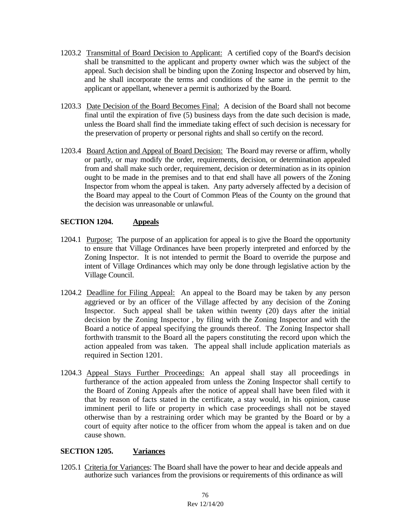- 1203.2 Transmittal of Board Decision to Applicant: A certified copy of the Board's decision shall be transmitted to the applicant and property owner which was the subject of the appeal. Such decision shall be binding upon the Zoning Inspector and observed by him, and he shall incorporate the terms and conditions of the same in the permit to the applicant or appellant, whenever a permit is authorized by the Board.
- 1203.3 Date Decision of the Board Becomes Final: A decision of the Board shall not become final until the expiration of five (5) business days from the date such decision is made, unless the Board shall find the immediate taking effect of such decision is necessary for the preservation of property or personal rights and shall so certify on the record.
- 1203.4 Board Action and Appeal of Board Decision: The Board may reverse or affirm, wholly or partly, or may modify the order, requirements, decision, or determination appealed from and shall make such order, requirement, decision or determination as in its opinion ought to be made in the premises and to that end shall have all powers of the Zoning Inspector from whom the appeal is taken. Any party adversely affected by a decision of the Board may appeal to the Court of Common Pleas of the County on the ground that the decision was unreasonable or unlawful.

# **SECTION 1204. Appeals**

- 1204.1 Purpose: The purpose of an application for appeal is to give the Board the opportunity to ensure that Village Ordinances have been properly interpreted and enforced by the Zoning Inspector. It is not intended to permit the Board to override the purpose and intent of Village Ordinances which may only be done through legislative action by the Village Council.
- 1204.2 Deadline for Filing Appeal: An appeal to the Board may be taken by any person aggrieved or by an officer of the Village affected by any decision of the Zoning Inspector. Such appeal shall be taken within twenty (20) days after the initial decision by the Zoning Inspector , by filing with the Zoning Inspector and with the Board a notice of appeal specifying the grounds thereof. The Zoning Inspector shall forthwith transmit to the Board all the papers constituting the record upon which the action appealed from was taken. The appeal shall include application materials as required in Section 1201.
- 1204.3 Appeal Stays Further Proceedings: An appeal shall stay all proceedings in furtherance of the action appealed from unless the Zoning Inspector shall certify to the Board of Zoning Appeals after the notice of appeal shall have been filed with it that by reason of facts stated in the certificate, a stay would, in his opinion, cause imminent peril to life or property in which case proceedings shall not be stayed otherwise than by a restraining order which may be granted by the Board or by a court of equity after notice to the officer from whom the appeal is taken and on due cause shown.

### **SECTION 1205. Variances**

1205.1 Criteria for Variances: The Board shall have the power to hear and decide appeals and authorize such variances from the provisions or requirements of this ordinance as will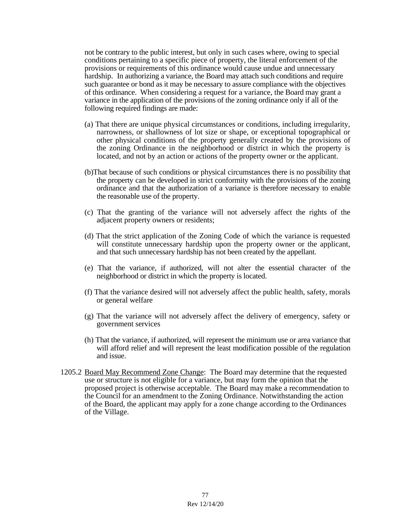not be contrary to the public interest, but only in such cases where, owing to special conditions pertaining to a specific piece of property, the literal enforcement of the provisions or requirements of this ordinance would cause undue and unnecessary hardship. In authorizing a variance, the Board may attach such conditions and require such guarantee or bond as it may be necessary to assure compliance with the objectives of this ordinance. When considering a request for a variance, the Board may grant a variance in the application of the provisions of the zoning ordinance only if all of the following required findings are made:

- (a) That there are unique physical circumstances or conditions, including irregularity, narrowness, or shallowness of lot size or shape, or exceptional topographical or other physical conditions of the property generally created by the provisions of the zoning Ordinance in the neighborhood or district in which the property is located, and not by an action or actions of the property owner or the applicant.
- (b)That because of such conditions or physical circumstances there is no possibility that the property can be developed in strict conformity with the provisions of the zoning ordinance and that the authorization of a variance is therefore necessary to enable the reasonable use of the property.
- (c) That the granting of the variance will not adversely affect the rights of the adjacent property owners or residents;
- (d) That the strict application of the Zoning Code of which the variance is requested will constitute unnecessary hardship upon the property owner or the applicant, and that such unnecessary hardship has not been created by the appellant.
- (e) That the variance, if authorized, will not alter the essential character of the neighborhood or district in which the property is located.
- (f) That the variance desired will not adversely affect the public health, safety, morals or general welfare
- (g) That the variance will not adversely affect the delivery of emergency, safety or government services
- (h) That the variance, if authorized, will represent the minimum use or area variance that will afford relief and will represent the least modification possible of the regulation and issue.
- 1205.2 Board May Recommend Zone Change: The Board may determine that the requested use or structure is not eligible for a variance, but may form the opinion that the proposed project is otherwise acceptable. The Board may make a recommendation to the Council for an amendment to the Zoning Ordinance. Notwithstanding the action of the Board, the applicant may apply for a zone change according to the Ordinances of the Village.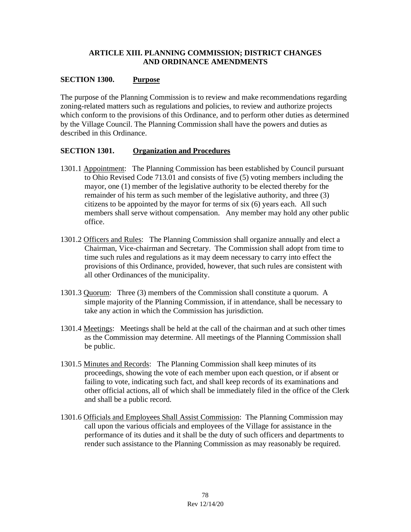# **ARTICLE XIII. PLANNING COMMISSION; DISTRICT CHANGES AND ORDINANCE AMENDMENTS**

# **SECTION 1300. Purpose**

The purpose of the Planning Commission is to review and make recommendations regarding zoning-related matters such as regulations and policies, to review and authorize projects which conform to the provisions of this Ordinance, and to perform other duties as determined by the Village Council. The Planning Commission shall have the powers and duties as described in this Ordinance.

### **SECTION 1301. Organization and Procedures**

- 1301.1 Appointment: The Planning Commission has been established by Council pursuant to Ohio Revised Code 713.01 and consists of five (5) voting members including the mayor, one (1) member of the legislative authority to be elected thereby for the remainder of his term as such member of the legislative authority, and three (3) citizens to be appointed by the mayor for terms of six (6) years each. All such members shall serve without compensation. Any member may hold any other public office.
- 1301.2 Officers and Rules: The Planning Commission shall organize annually and elect a Chairman, Vice-chairman and Secretary. The Commission shall adopt from time to time such rules and regulations as it may deem necessary to carry into effect the provisions of this Ordinance, provided, however, that such rules are consistent with all other Ordinances of the municipality.
- 1301.3 Quorum: Three (3) members of the Commission shall constitute a quorum. A simple majority of the Planning Commission, if in attendance, shall be necessary to take any action in which the Commission has jurisdiction.
- 1301.4 Meetings: Meetings shall be held at the call of the chairman and at such other times as the Commission may determine. All meetings of the Planning Commission shall be public.
- 1301.5 Minutes and Records: The Planning Commission shall keep minutes of its proceedings, showing the vote of each member upon each question, or if absent or failing to vote, indicating such fact, and shall keep records of its examinations and other official actions, all of which shall be immediately filed in the office of the Clerk and shall be a public record.
- 1301.6 Officials and Employees Shall Assist Commission: The Planning Commission may call upon the various officials and employees of the Village for assistance in the performance of its duties and it shall be the duty of such officers and departments to render such assistance to the Planning Commission as may reasonably be required.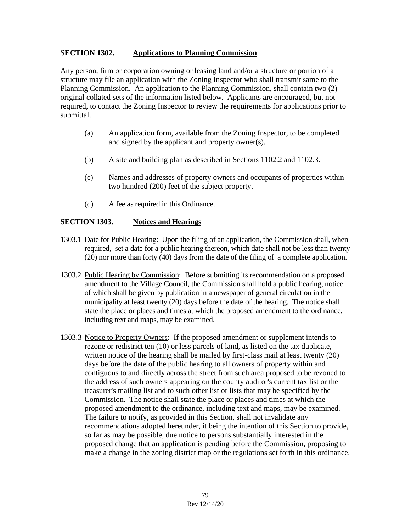### S**ECTION 1302. Applications to Planning Commission**

Any person, firm or corporation owning or leasing land and/or a structure or portion of a structure may file an application with the Zoning Inspector who shall transmit same to the Planning Commission. An application to the Planning Commission, shall contain two (2) original collated sets of the information listed below. Applicants are encouraged, but not required, to contact the Zoning Inspector to review the requirements for applications prior to submittal.

- (a) An application form, available from the Zoning Inspector, to be completed and signed by the applicant and property owner(s).
- (b) A site and building plan as described in Sections 1102.2 and 1102.3.
- (c) Names and addresses of property owners and occupants of properties within two hundred (200) feet of the subject property.
- (d) A fee as required in this Ordinance.

### **SECTION 1303. Notices and Hearings**

- 1303.1 Date for Public Hearing: Upon the filing of an application, the Commission shall, when required, set a date for a public hearing thereon, which date shall not be less than twenty (20) nor more than forty (40) days from the date of the filing of a complete application.
- 1303.2 Public Hearing by Commission: Before submitting its recommendation on a proposed amendment to the Village Council, the Commission shall hold a public hearing, notice of which shall be given by publication in a newspaper of general circulation in the municipality at least twenty (20) days before the date of the hearing. The notice shall state the place or places and times at which the proposed amendment to the ordinance, including text and maps, may be examined.
- 1303.3 Notice to Property Owners: If the proposed amendment or supplement intends to rezone or redistrict ten (10) or less parcels of land, as listed on the tax duplicate, written notice of the hearing shall be mailed by first-class mail at least twenty (20) days before the date of the public hearing to all owners of property within and contiguous to and directly across the street from such area proposed to be rezoned to the address of such owners appearing on the county auditor's current tax list or the treasurer's mailing list and to such other list or lists that may be specified by the Commission. The notice shall state the place or places and times at which the proposed amendment to the ordinance, including text and maps, may be examined. The failure to notify, as provided in this Section, shall not invalidate any recommendations adopted hereunder, it being the intention of this Section to provide, so far as may be possible, due notice to persons substantially interested in the proposed change that an application is pending before the Commission, proposing to make a change in the zoning district map or the regulations set forth in this ordinance.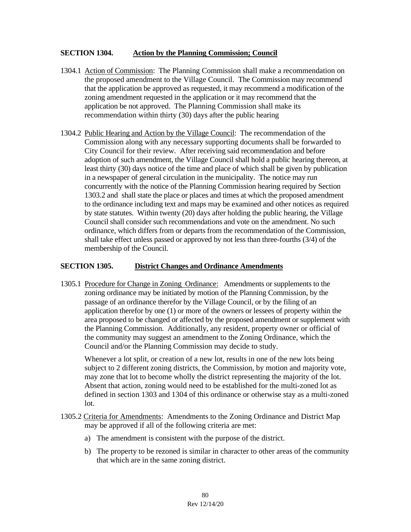#### **SECTION 1304. Action by the Planning Commission; Council**

- 1304.1 Action of Commission: The Planning Commission shall make a recommendation on the proposed amendment to the Village Council. The Commission may recommend that the application be approved as requested, it may recommend a modification of the zoning amendment requested in the application or it may recommend that the application be not approved. The Planning Commission shall make its recommendation within thirty (30) days after the public hearing
- 1304.2 Public Hearing and Action by the Village Council: The recommendation of the Commission along with any necessary supporting documents shall be forwarded to City Council for their review. After receiving said recommendation and before adoption of such amendment, the Village Council shall hold a public hearing thereon, at least thirty (30) days notice of the time and place of which shall be given by publication in a newspaper of general circulation in the municipality. The notice may run concurrently with the notice of the Planning Commission hearing required by Section 1303.2 and shall state the place or places and times at which the proposed amendment to the ordinance including text and maps may be examined and other notices as required by state statutes. Within twenty (20) days after holding the public hearing, the Village Council shall consider such recommendations and vote on the amendment. No such ordinance, which differs from or departs from the recommendation of the Commission, shall take effect unless passed or approved by not less than three-fourths (3/4) of the membership of the Council.

### **SECTION 1305. District Changes and Ordinance Amendments**

1305.1 Procedure for Change in Zoning Ordinance: Amendments or supplements to the zoning ordinance may be initiated by motion of the Planning Commission, by the passage of an ordinance therefor by the Village Council, or by the filing of an application therefor by one (1) or more of the owners or lessees of property within the area proposed to be changed or affected by the proposed amendment or supplement with the Planning Commission. Additionally, any resident, property owner or official of the community may suggest an amendment to the Zoning Ordinance, which the Council and/or the Planning Commission may decide to study.

Whenever a lot split, or creation of a new lot, results in one of the new lots being subject to 2 different zoning districts, the Commission, by motion and majority vote, may zone that lot to become wholly the district representing the majority of the lot. Absent that action, zoning would need to be established for the multi-zoned lot as defined in section 1303 and 1304 of this ordinance or otherwise stay as a multi-zoned lot.

- 1305.2 Criteria for Amendments: Amendments to the Zoning Ordinance and District Map may be approved if all of the following criteria are met:
	- a) The amendment is consistent with the purpose of the district.
	- b) The property to be rezoned is similar in character to other areas of the community that which are in the same zoning district.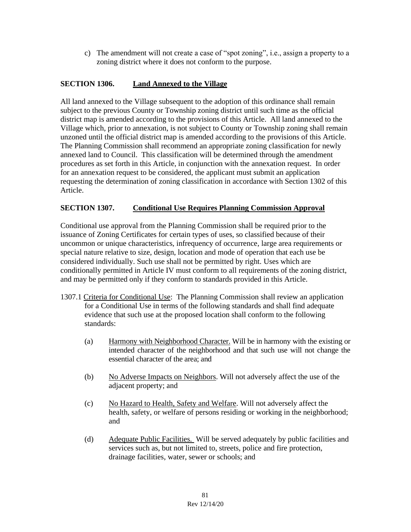c) The amendment will not create a case of "spot zoning", i.e., assign a property to a zoning district where it does not conform to the purpose.

# **SECTION 1306. Land Annexed to the Village**

All land annexed to the Village subsequent to the adoption of this ordinance shall remain subject to the previous County or Township zoning district until such time as the official district map is amended according to the provisions of this Article. All land annexed to the Village which, prior to annexation, is not subject to County or Township zoning shall remain unzoned until the official district map is amended according to the provisions of this Article. The Planning Commission shall recommend an appropriate zoning classification for newly annexed land to Council. This classification will be determined through the amendment procedures as set forth in this Article, in conjunction with the annexation request. In order for an annexation request to be considered, the applicant must submit an application requesting the determination of zoning classification in accordance with Section 1302 of this Article.

### **SECTION 1307. Conditional Use Requires Planning Commission Approval**

Conditional use approval from the Planning Commission shall be required prior to the issuance of Zoning Certificates for certain types of uses, so classified because of their uncommon or unique characteristics, infrequency of occurrence, large area requirements or special nature relative to size, design, location and mode of operation that each use be considered individually. Such use shall not be permitted by right. Uses which are conditionally permitted in Article IV must conform to all requirements of the zoning district, and may be permitted only if they conform to standards provided in this Article.

- 1307.1 Criteria for Conditional Use: The Planning Commission shall review an application for a Conditional Use in terms of the following standards and shall find adequate evidence that such use at the proposed location shall conform to the following standards:
	- (a) Harmony with Neighborhood Character. Will be in harmony with the existing or intended character of the neighborhood and that such use will not change the essential character of the area; and
	- (b) No Adverse Impacts on Neighbors. Will not adversely affect the use of the adjacent property; and
	- (c) No Hazard to Health, Safety and Welfare. Will not adversely affect the health, safety, or welfare of persons residing or working in the neighborhood; and
	- (d) Adequate Public Facilities. Will be served adequately by public facilities and services such as, but not limited to, streets, police and fire protection, drainage facilities, water, sewer or schools; and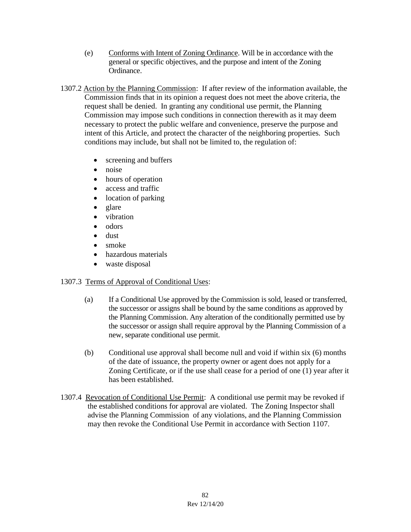- (e) Conforms with Intent of Zoning Ordinance. Will be in accordance with the general or specific objectives, and the purpose and intent of the Zoning Ordinance.
- 1307.2 Action by the Planning Commission: If after review of the information available, the Commission finds that in its opinion a request does not meet the above criteria, the request shall be denied. In granting any conditional use permit, the Planning Commission may impose such conditions in connection therewith as it may deem necessary to protect the public welfare and convenience, preserve the purpose and intent of this Article, and protect the character of the neighboring properties. Such conditions may include, but shall not be limited to, the regulation of:
	- screening and buffers
	- noise
	- hours of operation
	- access and traffic
	- location of parking
	- glare
	- vibration
	- odors
	- dust
	- smoke
	- hazardous materials
	- waste disposal

### 1307.3 Terms of Approval of Conditional Uses:

- (a) If a Conditional Use approved by the Commission is sold, leased or transferred, the successor or assigns shall be bound by the same conditions as approved by the Planning Commission. Any alteration of the conditionally permitted use by the successor or assign shall require approval by the Planning Commission of a new, separate conditional use permit.
- (b) Conditional use approval shall become null and void if within six (6) months of the date of issuance, the property owner or agent does not apply for a Zoning Certificate, or if the use shall cease for a period of one (1) year after it has been established.
- 1307.4 Revocation of Conditional Use Permit: A conditional use permit may be revoked if the established conditions for approval are violated. The Zoning Inspector shall advise the Planning Commission of any violations, and the Planning Commission may then revoke the Conditional Use Permit in accordance with Section 1107.